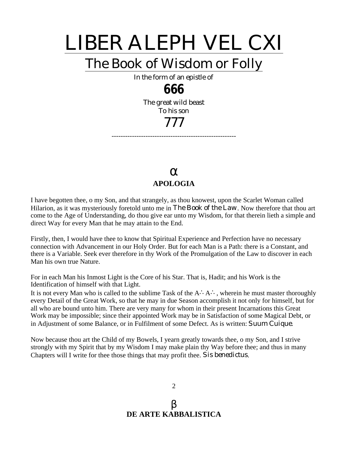# LIBER ALEPH VEL CXI

# The Book of Wisdom or Folly

In the form of an epistle of



The great wild beast To his son 777

-------------------------------------------------------

### **a APOLOGIA**

I have begotten thee, o my Son, and that strangely, as thou knowest, upon the Scarlet Woman called Hilarion, as it was mysteriously foretold unto me in *The Book of the Law*. Now therefore that thou art come to the Age of Understanding, do thou give ear unto my Wisdom, for that therein lieth a simple and direct Way for every Man that he may attain to the End.

Firstly, then, I would have thee to know that Spiritual Experience and Perfection have no necessary connection with Advancement in our Holy Order. But for each Man is a Path: there is a Constant, and there is a Variable. Seek ever therefore in thy Work of the Promulgation of the Law to discover in each Man his own true Nature.

For in each Man his Inmost Light is the Core of his Star. That is, Hadit; and his Work is the Identification of himself with that Light.

It is not every Man who is called to the sublime Task of the A∴A∴, wherein he must master thoroughly every Detail of the Great Work, so that he may in due Season accomplish it not only for himself, but for all who are bound unto him. There are very many for whom in their present Incarnations this Great Work may be impossible; since their appointed Work may be in Satisfaction of some Magical Debt, or in Adjustment of some Balance, or in Fulfilment of some Defect. As is written: *Suum Cuique*.

Now because thou art the Child of my Bowels, I yearn greatly towards thee, o my Son, and I strive strongly with my Spirit that by my Wisdom I may make plain thy Way before thee; and thus in many Chapters will I write for thee those things that may profit thee. *Sis benedictus*.

> **b DE ARTE KABBALISTICA**

2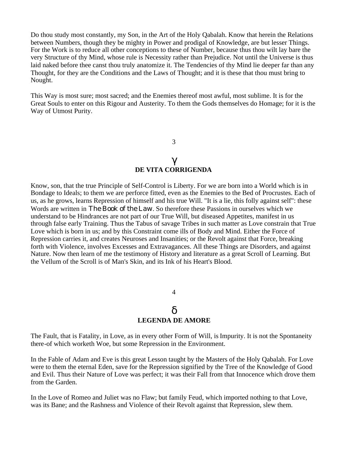Do thou study most constantly, my Son, in the Art of the Holy Qabalah. Know that herein the Relations between Numbers, though they be mighty in Power and prodigal of Knowledge, are but lesser Things. For the Work is to reduce all other conceptions to these of Number, because thus thou wilt lay bare the very Structure of thy Mind, whose rule is Necessity rather than Prejudice. Not until the Universe is thus laid naked before thee canst thou truly anatomize it. The Tendencies of thy Mind lie deeper far than any Thought, for they are the Conditions and the Laws of Thought; and it is these that thou must bring to Nought.

This Way is most sure; most sacred; and the Enemies thereof most awful, most sublime. It is for the Great Souls to enter on this Rigour and Austerity. To them the Gods themselves do Homage; for it is the Way of Utmost Purity.

#### 3

#### **g DE VITA CORRIGENDA**

Know, son, that the true Principle of Self-Control is Liberty. For we are born into a World which is in Bondage to Ideals; to them we are perforce fitted, even as the Enemies to the Bed of Procrustes. Each of us, as he grows, learns Repression of himself and his true Will. "It is a lie, this folly against self": these Words are written in *The Book of the Law*. So therefore these Passions in ourselves which we understand to be Hindrances are not part of our True Will, but diseased Appetites, manifest in us through false early Training. Thus the Tabus of savage Tribes in such matter as Love constrain that True Love which is born in us; and by this Constraint come ills of Body and Mind. Either the Force of Repression carries it, and creates Neuroses and Insanities; or the Revolt against that Force, breaking forth with Violence, involves Excesses and Extravagances. All these Things are Disorders, and against Nature. Now then learn of me the testimony of History and literature as a great Scroll of Learning. But the Vellum of the Scroll is of Man's Skin, and its Ink of his Heart's Blood.

### 4

#### **d LEGENDA DE AMORE**

The Fault, that is Fatality, in Love, as in every other Form of Will, is Impurity. It is not the Spontaneity there-of which worketh Woe, but some Repression in the Environment.

In the Fable of Adam and Eve is this great Lesson taught by the Masters of the Holy Qabalah. For Love were to them the eternal Eden, save for the Repression signified by the Tree of the Knowledge of Good and Evil. Thus their Nature of Love was perfect; it was their Fall from that Innocence which drove them from the Garden.

In the Love of Romeo and Juliet was no Flaw; but family Feud, which imported nothing to that Love, was its Bane; and the Rashness and Violence of their Revolt against that Repression, slew them.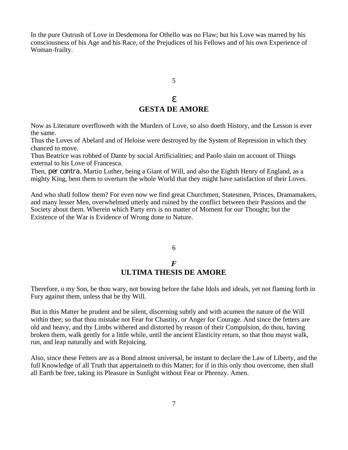In the pure Outrush of Love in Desdemona for Othello was no Flaw; but his Love was marred by his consciousness of his Age and his Race, of the Prejudices of his Fellows and of his own Experience of Woman-frailty.

5

#### **e GESTA DE AMORE**

Now as Literature overfloweth with the Murders of Love, so also doeth History, and the Lesson is ever the same.

Thus the Loves of Abelard and of Heloise were destroyed by the System of Repression in which they chanced to move.

Thus Beatrice was robbed of Dante by social Artificialities; and Paolo slain on account of Things external to his Love of Francesca.

Then, *per contra*, Martin Luther, being a Giant of Will, and also the Eighth Henry of England, as a mighty King, bent them to overturn the whole World that they might have satisfaction of their Loves.

And who shall follow them? For even now we find great Churchmen, Statesmen, Princes, Dramamakers, and many lesser Men, overwhelmed utterly and ruined by the conflict between their Passions and the Society about them. Wherein which Party errs is no matter of Moment for our Thought; but the Existence of the War is Evidence of Wrong done to Nature.

## *F* **ULTIMA THESIS DE AMORE**

6

Therefore, o my Son, be thou wary, not bowing before the false Idols and ideals, yet not flaming forth in Fury against them, unless that be thy Will.

But in this Matter be prudent and be silent, discerning subtly and with acumen the nature of the Will within thee; so that thou mistake not Fear for Chastity, or Anger for Courage. And since the fetters are old and heavy, and thy Limbs withered and distorted by reason of their Compulsion, do thou, having broken them, walk gently for a little while, until the ancient Elasticity return, so that thou mayst walk, run, and leap naturally and with Rejoicing.

Also, since these Fetters are as a Bond almost universal, be instant to declare the Law of Liberty, and the full Knowledge of all Truth that appertaineth to this Matter; for if in this only thou overcome, then shall all Earth be free, taking its Pleasure in Sunlight without Fear or Phrenzy. Amen.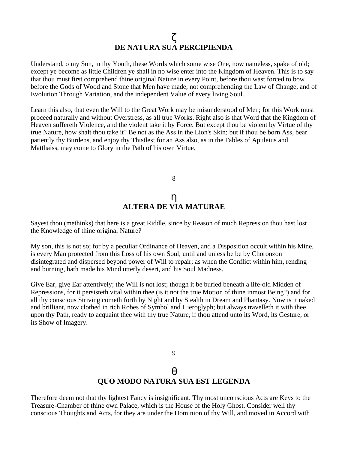#### **z DE NATURA SUA PERCIPIENDA**

Understand, o my Son, in thy Youth, these Words which some wise One, now nameless, spake of old; except ye become as little Children ye shall in no wise enter into the Kingdom of Heaven. This is to say that thou must first comprehend thine original Nature in every Point, before thou wast forced to bow before the Gods of Wood and Stone that Men have made, not comprehending the Law of Change, and of Evolution Through Variation, and the independent Value of every living Soul.

Learn this also, that even the Will to the Great Work may be misunderstood of Men; for this Work must proceed naturally and without Overstress, as all true Works. Right also is that Word that the Kingdom of Heaven suffereth Violence, and the violent take it by Force. But except thou be violent by Virtue of thy true Nature, how shalt thou take it? Be not as the Ass in the Lion's Skin; but if thou be born Ass, bear patiently thy Burdens, and enjoy thy Thistles; for an Ass also, as in the Fables of Apuleius and Matthaiss, may come to Glory in the Path of his own Virtue.

# **h ALTERA DE VIA MATURAE**

8

Sayest thou (methinks) that here is a great Riddle, since by Reason of much Repression thou hast lost the Knowledge of thine original Nature?

My son, this is not so; for by a peculiar Ordinance of Heaven, and a Disposition occult within his Mine, is every Man protected from this Loss of his own Soul, until and unless be be by Choronzon disintegrated and dispersed beyond power of Will to repair; as when the Conflict within him, rending and burning, hath made his Mind utterly desert, and his Soul Madness.

Give Ear, give Ear attentively; the Will is not lost; though it be buried beneath a life-old Midden of Repressions, for it persisteth vital within thee (is it not the true Motion of thine inmost Being?) and for all thy conscious Striving cometh forth by Night and by Stealth in Dream and Phantasy. Now is it naked and brilliant, now clothed in rich Robes of Symbol and Hieroglyph; but always travelleth it with thee upon thy Path, ready to acquaint thee with thy true Nature, if thou attend unto its Word, its Gesture, or its Show of Imagery.

### **q QUO MODO NATURA SUA EST LEGENDA**

9

Therefore deem not that thy lightest Fancy is insignificant. Thy most unconscious Acts are Keys to the Treasure-Chamber of thine own Palace, which is the House of the Holy Ghost. Consider well thy conscious Thoughts and Acts, for they are under the Dominion of thy Will, and moved in Accord with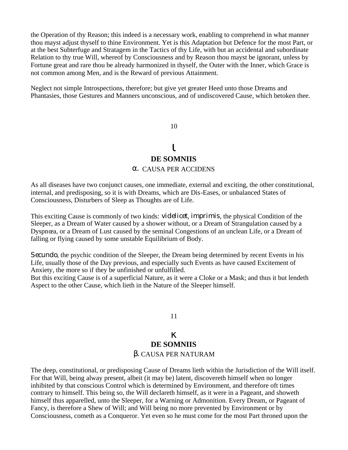the Operation of thy Reason; this indeed is a necessary work, enabling to comprehend in what manner thou mayst adjust thyself to thine Environment. Yet is this Adaptation but Defence for the most Part, or at the best Subterfuge and Stratagem in the Tactics of thy Life, with but an accidental and subordinate Relation to thy true Will, whereof by Consciousness and by Reason thou mayst be ignorant, unless by Fortune great and rare thou be already harmonized in thyself, the Outer with the Inner, which Grace is not common among Men, and is the Reward of previous Attainment.

Neglect not simple Introspections, therefore; but give yet greater Heed unto those Dreams and Phantasies, those Gestures and Manners unconscious, and of undiscovered Cause, which betoken thee.

#### 10

### **i DE SOMNIIS** α. CAUSA PER ACCIDENS

As all diseases have two conjunct causes, one immediate, external and exciting, the other constitutional, internal, and predisposing, so it is with Dreams, which are Dis-Eases, or unbalanced States of Consciousness, Disturbers of Sleep as Thoughts are of Life.

This exciting Cause is commonly of two kinds: *videlicet*, *imprimis*, the physical Condition of the Sleeper, as a Dream of Water caused by a shower without, or a Dream of Strangulation caused by a Dyspnœa, or a Dream of Lust caused by the seminal Congestions of an unclean Life, or a Dream of falling or flying caused by some unstable Equilibrium of Body.

*Secundo*, the psychic condition of the Sleeper, the Dream being determined by recent Events in his Life, usually those of the Day previous, and especially such Events as have caused Excitement of Anxiety, the more so if they be unfinished or unfulfilled.

But this exciting Cause is of a superficial Nature, as it were a Cloke or a Mask; and thus it but lendeth Aspect to the other Cause, which lieth in the Nature of the Sleeper himself.

11

### **k DE SOMNIIS** β. CAUSA PER NATURAM

The deep, constitutional, or predisposing Cause of Dreams lieth within the Jurisdiction of the Will itself. For that Will, being alway present, albeit (it may be) latent, discovereth himself when no longer inhibited by that conscious Control which is determined by Environment, and therefore oft times contrary to himself. This being so, the Will declareth himself, as it were in a Pageant, and showeth himself thus apparelled, unto the Sleeper, for a Warning or Admonition. Every Dream, or Pageant of Fancy, is therefore a Shew of Will; and Will being no more prevented by Environment or by Consciousness, cometh as a Conqueror. Yet even so he must come for the most Part throned upon the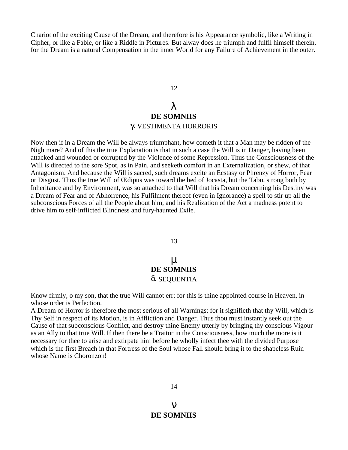Chariot of the exciting Cause of the Dream, and therefore is his Appearance symbolic, like a Writing in Cipher, or like a Fable, or like a Riddle in Pictures. But alway does he triumph and fulfil himself therein, for the Dream is a natural Compensation in the inner World for any Failure of Achievement in the outer.

#### 12

### **l DE SOMNIIS** γ. VESTIMENTA HORRORIS

Now then if in a Dream the Will be always triumphant, how cometh it that a Man may be ridden of the Nightmare? And of this the true Explanation is that in such a case the Will is in Danger, having been attacked and wounded or corrupted by the Violence of some Repression. Thus the Consciousness of the Will is directed to the sore Spot, as in Pain, and seeketh comfort in an Externalization, or shew, of that Antagonism. And because the Will is sacred, such dreams excite an Ecstasy or Phrenzy of Horror, Fear or Disgust. Thus the true Will of Œdipus was toward the bed of Jocasta, but the Tabu, strong both by Inheritance and by Environment, was so attached to that Will that his Dream concerning his Destiny was a Dream of Fear and of Abhorrence, his Fulfilment thereof (even in Ignorance) a spell to stir up all the subconscious Forces of all the People about him, and his Realization of the Act a madness potent to drive him to self-inflicted Blindness and fury-haunted Exile.

#### 13

### **m DE SOMNIIS** δ. SEQUENTIA

Know firmly, o my son, that the true Will cannot err; for this is thine appointed course in Heaven, in whose order is Perfection.

A Dream of Horror is therefore the most serious of all Warnings; for it signifieth that thy Will, which is Thy Self in respect of its Motion, is in Affliction and Danger. Thus thou must instantly seek out the Cause of that subconscious Conflict, and destroy thine Enemy utterly by bringing thy conscious Vigour as an Ally to that true Will. If then there be a Traitor in the Consciousness, how much the more is it necessary for thee to arise and extirpate him before he wholly infect thee with the divided Purpose which is the first Breach in that Fortress of the Soul whose Fall should bring it to the shapeless Ruin whose Name is Choronzon!

#### 14

#### **n DE SOMNIIS**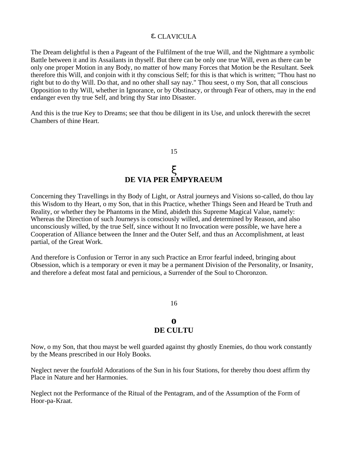#### ε. CLAVICULA

The Dream delightful is then a Pageant of the Fulfilment of the true Will, and the Nightmare a symbolic Battle between it and its Assailants in thyself. But there can be only one true Will, even as there can be only one proper Motion in any Body, no matter of how many Forces that Motion be the Resultant. Seek therefore this Will, and conjoin with it thy conscious Self; for this is that which is written; "Thou hast no right but to do thy Will. Do that, and no other shall say nay." Thou seest, o my Son, that all conscious Opposition to thy Will, whether in Ignorance, or by Obstinacy, or through Fear of others, may in the end endanger even thy true Self, and bring thy Star into Disaster.

And this is the true Key to Dreams; see that thou be diligent in its Use, and unlock therewith the secret Chambers of thine Heart.

#### 15

#### **x DE VIA PER EMPYRAEUM**

Concerning they Travellings in thy Body of Light, or Astral journeys and Visions so-called, do thou lay this Wisdom to thy Heart, o my Son, that in this Practice, whether Things Seen and Heard be Truth and Reality, or whether they be Phantoms in the Mind, abideth this Supreme Magical Value, namely: Whereas the Direction of such Journeys is consciously willed, and determined by Reason, and also unconsciously willed, by the true Self, since without It no Invocation were possible, we have here a Cooperation of Alliance between the Inner and the Outer Self, and thus an Accomplishment, at least partial, of the Great Work.

And therefore is Confusion or Terror in any such Practice an Error fearful indeed, bringing about Obsession, which is a temporary or even it may be a permanent Division of the Personality, or Insanity, and therefore a defeat most fatal and pernicious, a Surrender of the Soul to Choronzon.

#### 16

#### **o DE CULTU**

Now, o my Son, that thou mayst be well guarded against thy ghostly Enemies, do thou work constantly by the Means prescribed in our Holy Books.

Neglect never the fourfold Adorations of the Sun in his four Stations, for thereby thou doest affirm thy Place in Nature and her Harmonies.

Neglect not the Performance of the Ritual of the Pentagram, and of the Assumption of the Form of Hoor-pa-Kraat.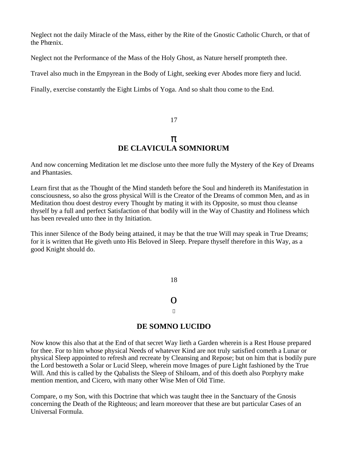Neglect not the daily Miracle of the Mass, either by the Rite of the Gnostic Catholic Church, or that of the Phœnix.

Neglect not the Performance of the Mass of the Holy Ghost, as Nature herself prompteth thee.

Travel also much in the Empyrean in the Body of Light, seeking ever Abodes more fiery and lucid.

Finally, exercise constantly the Eight Limbs of Yoga. And so shalt thou come to the End.

#### 17

### **p DE CLAVICULA SOMNIORUM**

And now concerning Meditation let me disclose unto thee more fully the Mystery of the Key of Dreams and Phantasies.

Learn first that as the Thought of the Mind standeth before the Soul and hindereth its Manifestation in consciousness, so also the gross physical Will is the Creator of the Dreams of common Men, and as in Meditation thou doest destroy every Thought by mating it with its Opposite, so must thou cleanse thyself by a full and perfect Satisfaction of that bodily will in the Way of Chastity and Holiness which has been revealed unto thee in thy Initiation.

This inner Silence of the Body being attained, it may be that the true Will may speak in True Dreams; for it is written that He giveth unto His Beloved in Sleep. Prepare thyself therefore in this Way, as a good Knight should do.

18

#### o **½**

### **DE SOMNO LUCIDO**

Now know this also that at the End of that secret Way lieth a Garden wherein is a Rest House prepared for thee. For to him whose physical Needs of whatever Kind are not truly satisfied cometh a Lunar or physical Sleep appointed to refresh and recreate by Cleansing and Repose; but on him that is bodily pure the Lord bestoweth a Solar or Lucid Sleep, wherein move Images of pure Light fashioned by the True Will. And this is called by the Qabalists the Sleep of Shiloam, and of this doeth also Porphyry make mention mention, and Cicero, with many other Wise Men of Old Time.

Compare, o my Son, with this Doctrine that which was taught thee in the Sanctuary of the Gnosis concerning the Death of the Righteous; and learn moreover that these are but particular Cases of an Universal Formula.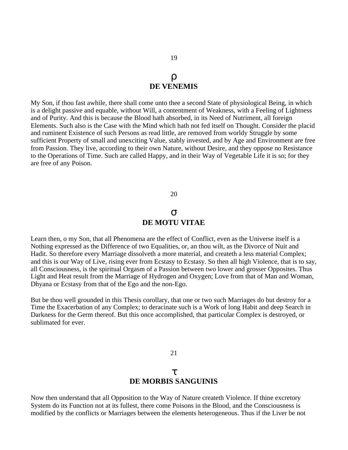#### **r DE VENEMIS**

My Son, if thou fast awhile, there shall come unto thee a second State of physiological Being, in which is a delight passive and equable, without Will, a contentment of Weakness, with a Feeling of Lightness and of Purity. And this is because the Blood hath absorbed, in its Need of Nutriment, all foreign Elements. Such also is the Case with the Mind which hath not fed itself on Thought. Consider the placid and ruminent Existence of such Persons as read little, are removed from worldy Struggle by some sufficient Property of small and unexciting Value, stably invested, and by Age and Environment are free from Passion. They live, according to their own Nature, without Desire, and they oppose no Resistance to the Operations of Time. Such are called Happy, and in their Way of Vegetable Life it is so; for they are free of any Poison.

#### 20

#### **s DE MOTU VITAE**

Learn then, o my Son, that all Phenomena are the effect of Conflict, even as the Universe itself is a Nothing expressed as the Difference of two Equalities, or, an thou wilt, as the Divorce of Nuit and Hadit. So therefore every Marriage dissolveth a more material, and createth a less material Complex; and this is our Way of Live, rising ever from Ecstasy to Ecstasy. So then all high Violence, that is to say, all Consciousness, is the spiritual Orgasm of a Passion between two lower and grosser Opposites. Thus Light and Heat result from the Marriage of Hydrogen and Oxygen; Love from that of Man and Woman, Dhyana or Ecstasy from that of the Ego and the non-Ego.

But be thou well grounded in this Thesis corollary, that one or two such Marriages do but destroy for a Time the Exacerbation of any Complex; to deracinate such is a Work of long Habit and deep Search in Darkness for the Germ thereof. But this once accomplished, that particular Complex is destroyed, or sublimated for ever.

#### 21

#### **t DE MORBIS SANGUINIS**

Now then understand that all Opposition to the Way of Nature createth Violence. If thine excretory System do its Function not at its fullest, there come Poisons in the Blood, and the Consciousness is modified by the conflicts or Marriages between the elements heterogeneous. Thus if the Liver be not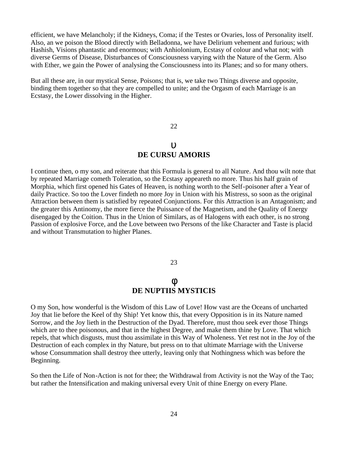efficient, we have Melancholy; if the Kidneys, Coma; if the Testes or Ovaries, loss of Personality itself. Also, an we poison the Blood directly with Belladonna, we have Delirium vehement and furious; with Hashish, Visions phantastic and enormous; with Anhiolonium, Ecstasy of colour and what not; with diverse Germs of Disease, Disturbances of Consciousness varying with the Nature of the Germ. Also with Ether, we gain the Power of analysing the Consciousness into its Planes; and so for many others.

But all these are, in our mystical Sense, Poisons; that is, we take two Things diverse and opposite, binding them together so that they are compelled to unite; and the Orgasm of each Marriage is an Ecstasy, the Lower dissolving in the Higher.

#### 22

#### **u DE CURSU AMORIS**

I continue then, o my son, and reiterate that this Formula is general to all Nature. And thou wilt note that by repeated Marriage cometh Toleration, so the Ecstasy appeareth no more. Thus his half grain of Morphia, which first opened his Gates of Heaven, is nothing worth to the Self-poisoner after a Year of daily Practice. So too the Lover findeth no more Joy in Union with his Mistress, so soon as the original Attraction between them is satisfied by repeated Conjunctions. For this Attraction is an Antagonism; and the greater this Antinomy, the more fierce the Puissance of the Magnetism, and the Quality of Energy disengaged by the Coition. Thus in the Union of Similars, as of Halogens with each other, is no strong Passion of explosive Force, and the Love between two Persons of the like Character and Taste is placid and without Transmutation to higher Planes.

#### 23

### **f DE NUPTIIS MYSTICIS**

O my Son, how wonderful is the Wisdom of this Law of Love! How vast are the Oceans of uncharted Joy that lie before the Keel of thy Ship! Yet know this, that every Opposition is in its Nature named Sorrow, and the Joy lieth in the Destruction of the Dyad. Therefore, must thou seek ever those Things which are to thee poisonous, and that in the highest Degree, and make them thine by Love. That which repels, that which disgusts, must thou assimilate in this Way of Wholeness. Yet rest not in the Joy of the Destruction of each complex in thy Nature, but press on to that ultimate Marriage with the Universe whose Consummation shall destroy thee utterly, leaving only that Nothingness which was before the Beginning.

So then the Life of Non-Action is not for thee; the Withdrawal from Activity is not the Way of the Tao; but rather the Intensification and making universal every Unit of thine Energy on every Plane.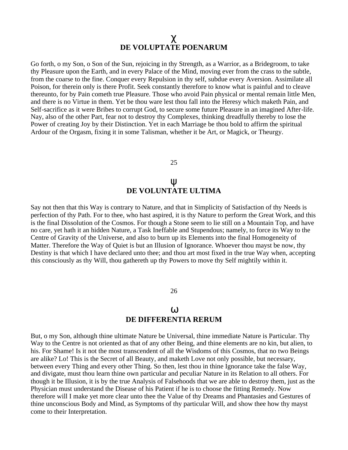#### **c DE VOLUPTATE POENARUM**

Go forth, o my Son, o Son of the Sun, rejoicing in thy Strength, as a Warrior, as a Bridegroom, to take thy Pleasure upon the Earth, and in every Palace of the Mind, moving ever from the crass to the subtle, from the coarse to the fine. Conquer every Repulsion in thy self, subdue every Aversion. Assimilate all Poison, for therein only is there Profit. Seek constantly therefore to know what is painful and to cleave thereunto, for by Pain cometh true Pleasure. Those who avoid Pain physical or mental remain little Men, and there is no Virtue in them. Yet be thou ware lest thou fall into the Heresy which maketh Pain, and Self-sacrifice as it were Bribes to corrupt God, to secure some future Pleasure in an imagined After-life. Nay, also of the other Part, fear not to destroy thy Complexes, thinking dreadfully thereby to lose the Power of creating Joy by their Distinction. Yet in each Marriage be thou bold to affirm the spiritual Ardour of the Orgasm, fixing it in some Talisman, whether it be Art, or Magick, or Theurgy.

#### 25

#### **y DE VOLUNTATE ULTIMA**

Say not then that this Way is contrary to Nature, and that in Simplicity of Satisfaction of thy Needs is perfection of thy Path. For to thee, who hast aspired, it is thy Nature to perform the Great Work, and this is the final Dissolution of the Cosmos. For though a Stone seem to lie still on a Mountain Top, and have no care, yet hath it an hidden Nature, a Task Ineffable and Stupendous; namely, to force its Way to the Centre of Gravity of the Universe, and also to burn up its Elements into the final Homogeneity of Matter. Therefore the Way of Quiet is but an Illusion of Ignorance. Whoever thou mayst be now, thy Destiny is that which I have declared unto thee; and thou art most fixed in the true Way when, accepting this consciously as thy Will, thou gathereth up thy Powers to move thy Self mightily within it.

#### 26

#### **w DE DIFFERENTIA RERUM**

But, o my Son, although thine ultimate Nature be Universal, thine immediate Nature is Particular. Thy Way to the Centre is not oriented as that of any other Being, and thine elements are no kin, but alien, to his. For Shame! Is it not the most transcendent of all the Wisdoms of this Cosmos, that no two Beings are alike? Lo! This is the Secret of all Beauty, and maketh Love not only possible, but necessary, between every Thing and every other Thing. So then, lest thou in thine Ignorance take the false Way, and divigate, must thou learn thine own particular and peculiar Nature in its Relation to all others. For though it be Illusion, it is by the true Analysis of Falsehoods that we are able to destroy them, just as the Physician must understand the Disease of his Patient if he is to choose the fitting Remedy. Now therefore will I make yet more clear unto thee the Value of thy Dreams and Phantasies and Gestures of thine unconscious Body and Mind, as Symptoms of thy particular Will, and show thee how thy mayst come to their Interpretation.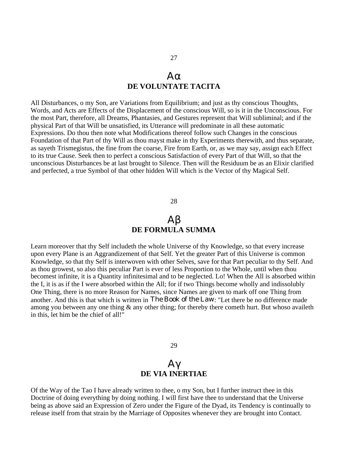### **Aa DE VOLUNTATE TACITA**

All Disturbances, o my Son, are Variations from Equilibrium; and just as thy conscious Thoughts, Words, and Acts are Effects of the Displacement of the conscious Will, so is it in the Unconscious. For the most Part, therefore, all Dreams, Phantasies, and Gestures represent that Will subliminal; and if the physical Part of that Will be unsatisfied, its Utterance will predominate in all these automatic Expressions. Do thou then note what Modifications thereof follow such Changes in the conscious Foundation of that Part of thy Will as thou mayst make in thy Experiments therewith, and thus separate, as sayeth Trismegistus, the fine from the coarse, Fire from Earth, or, as we may say, assign each Effect to its true Cause. Seek then to perfect a conscious Satisfaction of every Part of that Will, so that the unconscious Disturbances be at last brought to Silence. Then will the Residuum be as an Elixir clarified and perfected, a true Symbol of that other hidden Will which is the Vector of thy Magical Self.

#### 28

### **Ab DE FORMULA SUMMA**

Learn moreover that thy Self includeth the whole Universe of thy Knowledge, so that every increase upon every Plane is an Aggrandizement of that Self. Yet the greater Part of this Universe is common Knowledge, so that thy Self is interwoven with other Selves, save for that Part peculiar to thy Self. And as thou growest, so also this peculiar Part is ever of less Proportion to the Whole, until when thou becomest infinite, it is a Quantity infinitesimal and to be neglected. Lo! When the All is absorbed within the I, it is as if the I were absorbed within the All; for if two Things become wholly and indissolubly One Thing, there is no more Reason for Names, since Names are given to mark off one Thing from another. And this is that which is written in *The Book of the Law*: "Let there be no difference made among you between any one thing & any other thing; for thereby there cometh hurt. But whoso availeth in this, let him be the chief of all!"

#### 29

### **Ag DE VIA INERTIAE**

Of the Way of the Tao I have already written to thee, o my Son, but I further instruct thee in this Doctrine of doing everything by doing nothing. I will first have thee to understand that the Universe being as above said an Expression of Zero under the Figure of the Dyad, its Tendency is continually to release itself from that strain by the Marriage of Opposites whenever they are brought into Contact.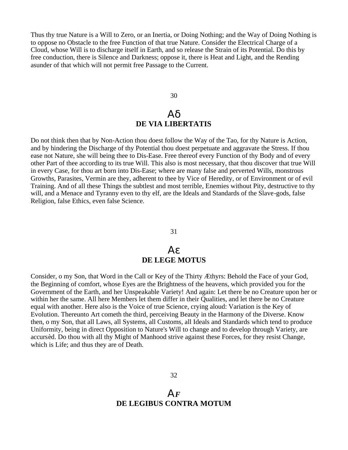Thus thy true Nature is a Will to Zero, or an Inertia, or Doing Nothing; and the Way of Doing Nothing is to oppose no Obstacle to the free Function of that true Nature. Consider the Electrical Charge of a Cloud, whose Will is to discharge itself in Earth, and so release the Strain of its Potential. Do this by free conduction, there is Silence and Darkness; oppose it, there is Heat and Light, and the Rending asunder of that which will not permit free Passage to the Current.

30

### **Ad DE VIA LIBERTATIS**

Do not think then that by Non-Action thou doest follow the Way of the Tao, for thy Nature is Action, and by hindering the Discharge of thy Potential thou doest perpetuate and aggravate the Stress. If thou ease not Nature, she will being thee to Dis-Ease. Free thereof every Function of thy Body and of every other Part of thee according to its true Will. This also is most necessary, that thou discover that true Will in every Case, for thou art born into Dis-Ease; where are many false and perverted Wills, monstrous Growths, Parasites, Vermin are they, adherent to thee by Vice of Heredity, or of Environment or of evil Training. And of all these Things the subtlest and most terrible, Enemies without Pity, destructive to thy will, and a Menace and Tyranny even to thy elf, are the Ideals and Standards of the Slave-gods, false Religion, false Ethics, even false Science.

#### 31

### **Ae DE LEGE MOTUS**

Consider, o my Son, that Word in the Call or Key of the Thirty Æthyrs: Behold the Face of your God, the Beginning of comfort, whose Eyes are the Brightness of the heavens, which provided you for the Government of the Earth, and her Unspeakable Variety! And again: Let there be no Creature upon her or within her the same. All here Members let them differ in their Qualities, and let there be no Creature equal with another. Here also is the Voice of true Science, crying aloud: Variation is the Key of Evolution. Thereunto Art cometh the third, perceiving Beauty in the Harmony of the Diverse. Know then, o my Son, that all Laws, all Systems, all Customs, all Ideals and Standards which tend to produce Uniformity, being in direct Opposition to Nature's Will to change and to develop through Variety, are accursèd. Do thou with all thy Might of Manhood strive against these Forces, for they resist Change, which is Life; and thus they are of Death.

#### 32

### **A***F* **DE LEGIBUS CONTRA MOTUM**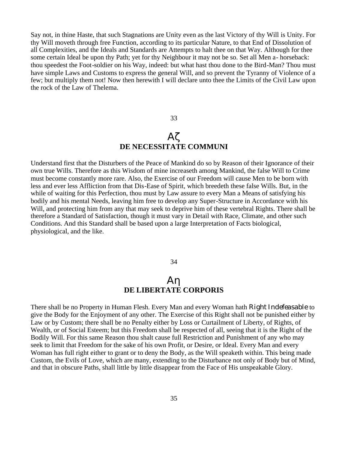Say not, in thine Haste, that such Stagnations are Unity even as the last Victory of thy Will is Unity. For thy Will moveth through free Function, according to its particular Nature, to that End of Dissolution of all Complexities, and the Ideals and Standards are Attempts to halt thee on that Way. Although for thee some certain Ideal be upon thy Path; yet for thy Neighbour it may not be so. Set all Men a- horseback: thou speedest the Foot-soldier on his Way, indeed: but what hast thou done to the Bird-Man? Thou must have simple Laws and Customs to express the general Will, and so prevent the Tyranny of Violence of a few; but multiply them not! Now then herewith I will declare unto thee the Limits of the Civil Law upon the rock of the Law of Thelema.

#### 33

#### **Az DE NECESSITATE COMMUNI**

Understand first that the Disturbers of the Peace of Mankind do so by Reason of their Ignorance of their own true Wills. Therefore as this Wisdom of mine increaseth among Mankind, the false Will to Crime must become constantly more rare. Also, the Exercise of our Freedom will cause Men to be born with less and ever less Affliction from that Dis-Ease of Spirit, which breedeth these false Wills. But, in the while of waiting for this Perfection, thou must by Law assure to every Man a Means of satisfying his bodily and his mental Needs, leaving him free to develop any Super-Structure in Accordance with his Will, and protecting him from any that may seek to deprive him of these vertebral Rights. There shall be therefore a Standard of Satisfaction, though it must vary in Detail with Race, Climate, and other such Conditions. And this Standard shall be based upon a large Interpretation of Facts biological, physiological, and the like.

34

### **Ah DE LIBERTATE CORPORIS**

There shall be no Property in Human Flesh. Every Man and every Woman hath *Right Indefeasable* to give the Body for the Enjoyment of any other. The Exercise of this Right shall not be punished either by Law or by Custom; there shall be no Penalty either by Loss or Curtailment of Liberty, of Rights, of Wealth, or of Social Esteem; but this Freedom shall be respected of all, seeing that it is the Right of the Bodily Will. For this same Reason thou shalt cause full Restriction and Punishment of any who may seek to limit that Freedom for the sake of his own Profit, or Desire, or Ideal. Every Man and every Woman has full right either to grant or to deny the Body, as the Will speaketh within. This being made Custom, the Evils of Love, which are many, extending to the Disturbance not only of Body but of Mind, and that in obscure Paths, shall little by little disappear from the Face of His unspeakable Glory.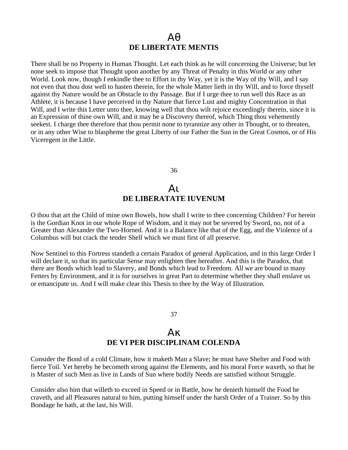### **Aq DE LIBERTATE MENTIS**

There shall be no Property in Human Thought. Let each think as he will concerning the Universe; but let none seek to impose that Thought upon another by any Threat of Penalty in this World or any other World. Look now, though I enkindle thee to Effort in thy Way, yet it is the Way of thy Will, and I say not even that thou dost well to hasten therein, for the whole Matter lieth in thy Will, and to force thyself against thy Nature would be an Obstacle to thy Passage. But if I urge thee to run well this Race as an Athlete, it is because I have perceived in thy Nature that fierce Lust and mighty Concentration in that Will, and I write this Letter unto thee, knowing well that thou wilt rejoice exceedingly therein, since it is an Expression of thine own Will, and it may be a Discovery thereof, which Thing thou vehemently seekest. I charge thee therefore that thou permit none to tyrannize any other in Thought, or to threaten, or in any other Wise to blaspheme the great Liberty of our Father the Sun in the Great Cosmos, or of His Viceregent in the Little.

#### 36

### **Ai DE LIBERATATE IUVENUM**

O thou that art the Child of mine own Bowels, how shall I write to thee concerning Children? For herein is the Gordian Knot in our whole Rope of Wisdom, and it may not be severed by Sword, no, not of a Greater than Alexander the Two-Horned. And it is a Balance like that of the Egg, and the Violence of a Columbus will but crack the tender Shell which we must first of all preserve.

Now Sentinel to this Fortress standeth a certain Paradox of general Application, and in this large Order I will declare it, so that its particular Sense may enlighten thee hereafter. And this is the Paradox, that there are Bonds which lead to Slavery, and Bonds which lead to Freedom. All we are bound in many Fetters by Environment, and it is for ourselves in great Part to determine whether they shall enslave us or emancipate us. And I will make clear this Thesis to thee by the Way of Illustration.

#### 37

### **Ak DE VI PER DISCIPLINAM COLENDA**

Consider the Bond of a cold Climate, how it maketh Man a Slave; he must have Shelter and Food with fierce Toil. Yet hereby he becometh strong against the Elements, and his moral Force waxeth, so that he is Master of such Men as live in Lands of Sun where bodily Needs are satisfied without Struggle.

Consider also him that willeth to exceed in Speed or in Battle, how he denieth himself the Food he craveth, and all Pleasures natural to him, putting himself under the harsh Order of a Trainer. So by this Bondage he hath, at the last, his Will.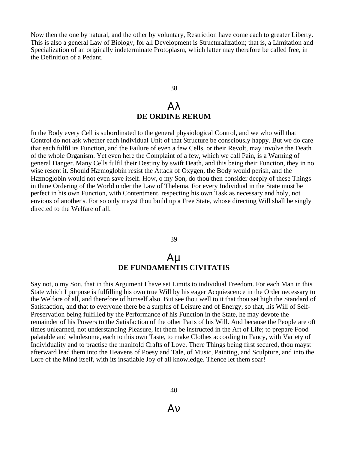Now then the one by natural, and the other by voluntary, Restriction have come each to greater Liberty. This is also a general Law of Biology, for all Development is Structuralization; that is, a Limitation and Specialization of an originally indeterminate Protoplasm, which latter may therefore be called free, in the Definition of a Pedant.

#### 38

### **Al DE ORDINE RERUM**

In the Body every Cell is subordinated to the general physiological Control, and we who will that Control do not ask whether each individual Unit of that Structure be consciously happy. But we do care that each fulfil its Function, and the Failure of even a few Cells, or their Revolt, may involve the Death of the whole Organism. Yet even here the Complaint of a few, which we call Pain, is a Warning of general Danger. Many Cells fulfil their Destiny by swift Death, and this being their Function, they in no wise resent it. Should Hæmoglobin resist the Attack of Oxygen, the Body would perish, and the Hæmoglobin would not even save itself. How, o my Son, do thou then consider deeply of these Things in thine Ordering of the World under the Law of Thelema. For every Individual in the State must be perfect in his own Function, with Contentment, respecting his own Task as necessary and holy, not envious of another's. For so only mayst thou build up a Free State, whose directing Will shall be singly directed to the Welfare of all.

#### 39

### **Am DE FUNDAMENTIS CIVITATIS**

Say not, o my Son, that in this Argument I have set Limits to individual Freedom. For each Man in this State which I purpose is fulfilling his own true Will by his eager Acquiescence in the Order necessary to the Welfare of all, and therefore of himself also. But see thou well to it that thou set high the Standard of Satisfaction, and that to everyone there be a surplus of Leisure and of Energy, so that, his Will of Self-Preservation being fulfilled by the Performance of his Function in the State, he may devote the remainder of his Powers to the Satisfaction of the other Parts of his Will. And because the People are oft times unlearned, not understanding Pleasure, let them be instructed in the Art of Life; to prepare Food palatable and wholesome, each to this own Taste, to make Clothes according to Fancy, with Variety of Individuality and to practise the manifold Crafts of Love. There Things being first secured, thou mayst afterward lead them into the Heavens of Poesy and Tale, of Music, Painting, and Sculpture, and into the Lore of the Mind itself, with its insatiable Joy of all knowledge. Thence let them soar!

### **An**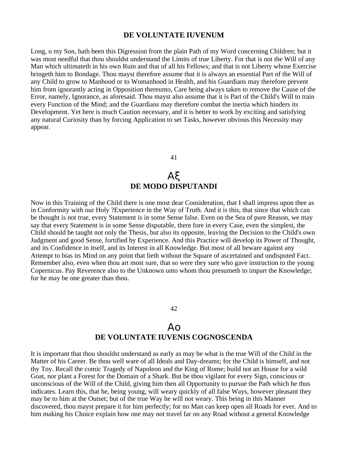#### **DE VOLUNTATE IUVENUM**

Long, o my Son, hath been this Digression from the plain Path of my Word concerning Children; but it was most needful that thou shouldst understand the Limits of true Liberty. For that is not the Will of any Man which ultimateth in his own Ruin and that of all his Fellows; and that is not Liberty whose Exercise bringeth him to Bondage. Thou mayst therefore assume that it is always an essential Part of the Will of any Child to grow to Manhood or to Womanhood in Health, and his Guardians may therefore prevent him from ignorantly acting in Opposition thereunto, Care being always taken to remove the Cause of the Error, namely, Ignorance, as aforesaid. Thou mayst also assume that it is Part of the Child's Will to train every Function of the Mind; and the Guardians may therefore combat the inertia which hinders its Development. Yet here is much Caution necessary, and it is better to work by exciting and satisfying any natural Curiosity than by forcing Application to set Tasks, however obvious this Necessity may appear.

#### 41

### **Ax DE MODO DISPUTANDI**

Now in this Training of the Child there is one most dear Consideration, that I shall impress upon thee as in Conformity with our Holy ?Experience in the Way of Truth. And it is this, that since that which can be thought is not true, every Statement is in some Sense false. Even on the Sea of pure Reason, we may say that every Statement is in some Sense disputable, there fore in every Case, even the simplest, the Child should be taught not only the Thesis, but also its opposite, leaving the Decision to the Child's own Judgment and good Sense, fortified by Experience. And this Practice will develop its Power of Thought, and its Confidence in itself, and its Interest in all Knowledge. But most of all beware against any Attempt to bias its Mind on any point that lieth without the Square of ascertained and undisputed Fact. Remember also, even when thou art most sure, that so were they sure who gave instruction to the young Copernicus. Pay Reverence also to the Unknown unto whom thou presumeth to impart the Knowledge; for he may be one greater than thou.

#### 42

### **Ao DE VOLUNTATE IUVENIS COGNOSCENDA**

It is important that thou shouldst understand as early as may be what is the true Will of the Child in the Matter of his Career. Be thou well ware of all Ideals and Day-dreams; for the Child is himself, and not thy Toy. Recall the comic Tragedy of Napoleon and the King of Rome; build not an House for a wild Goat, nor plant a Forest for the Domain of a Shark. But be thou vigilant for every Sign, conscious or unconscious of the Will of the Child, giving him then all Opportunity to pursue the Path which he thus indicates. Learn this, that he, being young, will weary quickly of all false Ways, however pleasant they may be to him at the Outset; but of the true Way he will not weary. This being in this Manner discovered, thou mayst prepare it for him perfectly; for no Man can keep open all Roads for ever. And to him making his Choice explain how one may not travel far on any Road without a general Knowledge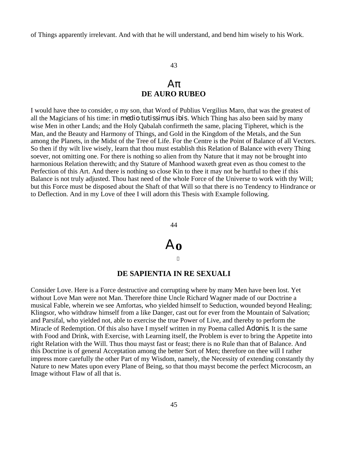of Things apparently irrelevant. And with that he will understand, and bend him wisely to his Work.

43

### **Ap DE AURO RUBEO**

I would have thee to consider, o my son, that Word of Publius Vergilius Maro, that was the greatest of all the Magicians of his time: *in medio tutissimus ibis*. Which Thing has also been said by many wise Men in other Lands; and the Holy Qabalah confirmeth the same, placing Tipheret, which is the Man, and the Beauty and Harmony of Things, and Gold in the Kingdom of the Metals, and the Sun among the Planets, in the Midst of the Tree of Life. For the Centre is the Point of Balance of all Vectors. So then if thy wilt live wisely, learn that thou must establish this Relation of Balance with every Thing soever, not omitting one. For there is nothing so alien from thy Nature that it may not be brought into harmonious Relation therewith; and thy Stature of Manhood waxeth great even as thou comest to the Perfection of this Art. And there is nothing so close Kin to thee it may not be hurtful to thee if this Balance is not truly adjusted. Thou hast need of the whole Force of the Universe to work with thy Will; but this Force must be disposed about the Shaft of that Will so that there is no Tendency to Hindrance or to Deflection. And in my Love of thee I will adorn this Thesis with Example following.

#### 44

# **Ao**

 **<sup>½</sup>**

#### **DE SAPIENTIA IN RE SEXUALI**

Consider Love. Here is a Force destructive and corrupting where by many Men have been lost. Yet without Love Man were not Man. Therefore thine Uncle Richard Wagner made of our Doctrine a musical Fable, wherein we see Amfortas, who yielded himself to Seduction, wounded beyond Healing; Klingsor, who withdraw himself from a like Danger, cast out for ever from the Mountain of Salvation; and Parsifal, who yielded not, able to exercise the true Power of Live, and thereby to perform the Miracle of Redemption. Of this also have I myself written in my Poema called *Adonis*. It is the same with Food and Drink, with Exercise, with Learning itself, the Problem is ever to bring the Appetite into right Relation with the Will. Thus thou mayst fast or feast; there is no Rule than that of Balance. And this Doctrine is of general Acceptation among the better Sort of Men; therefore on thee will I rather impress more carefully the other Part of my Wisdom, namely, the Necessity of extending constantly thy Nature to new Mates upon every Plane of Being, so that thou mayst become the perfect Microcosm, an Image without Flaw of all that is.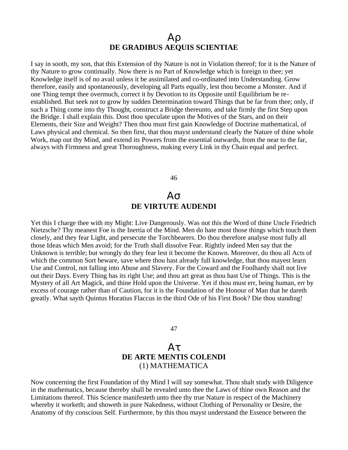### **Ar DE GRADIBUS AEQUIS SCIENTIAE**

I say in sooth, my son, that this Extension of thy Nature is not in Violation thereof; for it is the Nature of thy Nature to grow continually. Now there is no Part of Knowledge which is foreign to thee; yet Knowledge itself is of no avail unless it be assimilated and co-ordinated into Understanding. Grow therefore, easily and spontaneously, developing all Parts equally, lest thou become a Monster. And if one Thing tempt thee overmuch, correct it by Devotion to its Opposite until Equilibrium be reestablished. But seek not to grow by sudden Determination toward Things that be far from thee; only, if such a Thing come into thy Thought, construct a Bridge thereunto, and take firmly the first Step upon the Bridge. I shall explain this. Dost thou speculate upon the Motives of the Stars, and on their Elements, their Size and Weight? Then thou must first gain Knowledge of Doctrine mathematical, of Laws physical and chemical. So then first, that thou mayst understand clearly the Nature of thine whole Work, map out thy Mind, and extend its Powers from the essential outwards, from the near to the far, always with Firmness and great Thoroughness, making every Link in thy Chain equal and perfect.

46

### **As DE VIRTUTE AUDENDI**

Yet this I charge thee with my Might: Live Dangerously. Was not this the Word of thine Uncle Friedrich Nietzsche? Thy meanest Foe is the Inertia of the Mind. Men do hate most those things which touch them closely, and they fear Light, and persecute the Torchbearers. Do thou therefore analyse most fully all those Ideas which Men avoid; for the Truth shall dissolve Fear. Rightly indeed Men say that the Unknown is terrible; but wrongly do they fear lest it become the Known. Moreover, do thou all Acts of which the common Sort beware, save where thou hast already full knowledge, that thou mayest learn Use and Control, not falling into Abuse and Slavery. For the Coward and the Foolhardy shall not live out their Days. Every Thing has its right Use; and thou art great as thou hast Use of Things. This is the Mystery of all Art Magick, and thine Hold upon the Universe. Yet if thou must err, being human, err by excess of courage rather than of Caution, for it is the Foundation of the Honour of Man that he dareth greatly. What sayth Quintus Horatius Flaccus in the third Ode of his First Book? Die thou standing!

47

### **At DE ARTE MENTIS COLENDI** (1) MATHEMATICA

Now concerning the first Foundation of thy Mind I will say somewhat. Thou shalt study with Diligence in the mathematics, because thereby shall be revealed unto thee the Laws of thine own Reason and the Limitations thereof. This Science manifesteth unto thee thy true Nature in respect of the Machinery whereby it worketh; and showeth in pure Nakedness, without Clothing of Personality or Desire, the Anatomy of thy conscious Self. Furthermore, by this thou mayst understand the Essence between the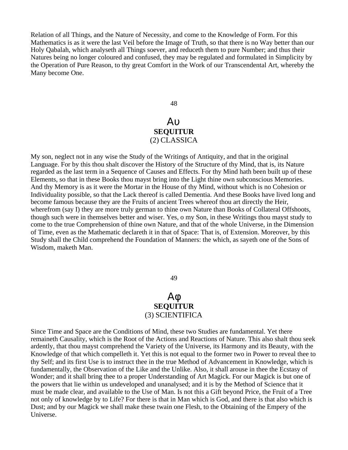Relation of all Things, and the Nature of Necessity, and come to the Knowledge of Form. For this Mathematics is as it were the last Veil before the Image of Truth, so that there is no Way better than our Holy Qabalah, which analyseth all Things soever, and reduceth them to pure Number; and thus their Natures being no longer coloured and confused, they may be regulated and formulated in Simplicity by the Operation of Pure Reason, to thy great Comfort in the Work of our Transcendental Art, whereby the Many become One.

48

### **Au SEQUITUR** (2) CLASSICA

My son, neglect not in any wise the Study of the Writings of Antiquity, and that in the original Language. For by this thou shalt discover the History of the Structure of thy Mind, that is, its Nature regarded as the last term in a Sequence of Causes and Effects. For thy Mind hath been built up of these Elements, so that in these Books thou mayst bring into the Light thine own subconscious Memories. And thy Memory is as it were the Mortar in the House of thy Mind, without which is no Cohesion or Individuality possible, so that the Lack thereof is called Dementia. And these Books have lived long and become famous because they are the Fruits of ancient Trees whereof thou art directly the Heir, wherefrom (say I) they are more truly german to thine own Nature than Books of Collateral Offshoots, though such were in themselves better and wiser. Yes, o my Son, in these Writings thou mayst study to come to the true Comprehension of thine own Nature, and that of the whole Universe, in the Dimension of Time, even as the Mathematic declareth it in that of Space: That is, of Extension. Moreover, by this Study shall the Child comprehend the Foundation of Manners: the which, as sayeth one of the Sons of Wisdom, maketh Man.

#### 49

### **Af SEQUITUR** (3) SCIENTIFICA

Since Time and Space are the Conditions of Mind, these two Studies are fundamental. Yet there remaineth Causality, which is the Root of the Actions and Reactions of Nature. This also shalt thou seek ardently, that thou mayst comprehend the Variety of the Universe, its Harmony and its Beauty, with the Knowledge of that which compelleth it. Yet this is not equal to the former two in Power to reveal thee to thy Self; and its first Use is to instruct thee in the true Method of Advancement in Knowledge, which is fundamentally, the Observation of the Like and the Unlike. Also, it shall arouse in thee the Ecstasy of Wonder; and it shall bring thee to a proper Understanding of Art Magick. For our Magick is but one of the powers that lie within us undeveloped and unanalysed; and it is by the Method of Science that it must be made clear, and available to the Use of Man. Is not this a Gift beyond Price, the Fruit of a Tree not only of knowledge by to Life? For there is that in Man which is God, and there is that also which is Dust; and by our Magick we shall make these twain one Flesh, to the Obtaining of the Empery of the Universe.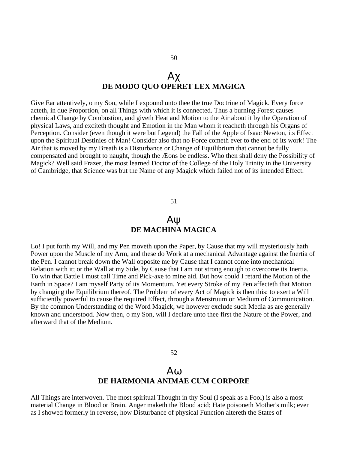### **Ac DE MODO QUO OPERET LEX MAGICA**

Give Ear attentively, o my Son, while I expound unto thee the true Doctrine of Magick. Every force acteth, in due Proportion, on all Things with which it is connected. Thus a burning Forest causes chemical Change by Combustion, and giveth Heat and Motion to the Air about it by the Operation of physical Laws, and exciteth thought and Emotion in the Man whom it reacheth through his Organs of Perception. Consider (even though it were but Legend) the Fall of the Apple of Isaac Newton, its Effect upon the Spiritual Destinies of Man! Consider also that no Force cometh ever to the end of its work! The Air that is moved by my Breath is a Disturbance or Change of Equilibrium that cannot be fully compensated and brought to naught, though the Æons be endless. Who then shall deny the Possibility of Magick? Well said Frazer, the most learned Doctor of the College of the Holy Trinity in the University of Cambridge, that Science was but the Name of any Magick which failed not of its intended Effect.

#### 51

### **Ay DE MACHINA MAGICA**

Lo! I put forth my Will, and my Pen moveth upon the Paper, by Cause that my will mysteriously hath Power upon the Muscle of my Arm, and these do Work at a mechanical Advantage against the Inertia of the Pen. I cannot break down the Wall opposite me by Cause that I cannot come into mechanical Relation with it; or the Wall at my Side, by Cause that I am not strong enough to overcome its Inertia. To win that Battle I must call Time and Pick-axe to mine aid. But how could I retard the Motion of the Earth in Space? I am myself Party of its Momentum. Yet every Stroke of my Pen affecteth that Motion by changing the Equilibrium thereof. The Problem of every Act of Magick is then this: to exert a Will sufficiently powerful to cause the required Effect, through a Menstruum or Medium of Communication. By the common Understanding of the Word Magick, we however exclude such Media as are generally known and understood. Now then, o my Son, will I declare unto thee first the Nature of the Power, and afterward that of the Medium.

#### 52

### **Aw DE HARMONIA ANIMAE CUM CORPORE**

All Things are interwoven. The most spiritual Thought in thy Soul (I speak as a Fool) is also a most material Change in Blood or Brain. Anger maketh the Blood acid; Hate poisoneth Mother's milk; even as I showed formerly in reverse, how Disturbance of physical Function altereth the States of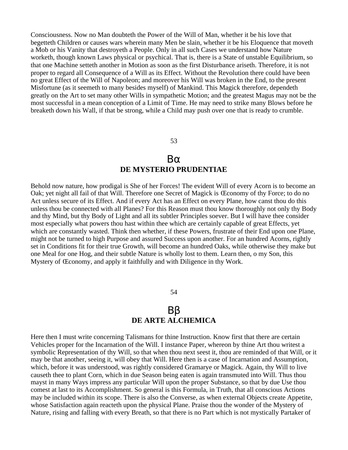Consciousness. Now no Man doubteth the Power of the Will of Man, whether it be his love that begetteth Children or causes wars wherein many Men be slain, whether it be his Eloquence that moveth a Mob or his Vanity that destroyeth a People. Only in all such Cases we understand how Nature worketh, though known Laws physical or psychical. That is, there is a State of unstable Equilibrium, so that one Machine setteth another in Motion as soon as the first Disturbance ariseth. Therefore, it is not proper to regard all Consequence of a Will as its Effect. Without the Revolution there could have been no great Effect of the Will of Napoleon; and moreover his Will was broken in the End, to the present Misfortune (as it seemeth to many besides myself) of Mankind. This Magick therefore, dependeth greatly on the Art to set many other Wills in sympathetic Motion; and the greatest Magus may not be the most successful in a mean conception of a Limit of Time. He may need to strike many Blows before he breaketh down his Wall, if that be strong, while a Child may push over one that is ready to crumble.

53

### **Ba DE MYSTERIO PRUDENTIAE**

Behold now nature, how prodigal is She of her Forces! The evident Will of every Acorn is to become an Oak; yet night all fail of that Will. Therefore one Secret of Magick is Œconomy of thy Force; to do no Act unless secure of its Effect. And if every Act has an Effect on every Plane, how canst thou do this unless thou be connected with all Planes? For this Reason must thou know thoroughly not only thy Body and thy Mind, but thy Body of Light and all its subtler Principles soever. But I will have thee consider most especially what powers thou hast within thee which are certainly capable of great Effects, yet which are constantly wasted. Think then whether, if these Powers, frustrate of their End upon one Plane, might not be turned to high Purpose and assured Success upon another. For an hundred Acorns, rightly set in Conditions fit for their true Growth, will become an hundred Oaks, while otherwise they make but one Meal for one Hog, and their subtle Nature is wholly lost to them. Learn then, o my Son, this Mystery of Œconomy, and apply it faithfully and with Diligence in thy Work.

#### 54

### **Bb DE ARTE ALCHEMICA**

Here then I must write concerning Talismans for thine Instruction. Know first that there are certain Vehicles proper for the Incarnation of the Will. I instance Paper, whereon by thine Art thou writest a symbolic Representation of thy Will, so that when thou next seest it, thou are reminded of that Will, or it may be that another, seeing it, will obey that Will. Here then is a case of Incarnation and Assumption, which, before it was understood, was rightly considered Gramarye or Magick. Again, thy Will to live causeth thee to plant Corn, which in due Season being eaten is again transmuted into Will. Thus thou mayst in many Ways impress any particular Will upon the proper Substance, so that by due Use thou comest at last to its Accomplishment. So general is this Formula, in Truth, that all conscious Actions may be included within its scope. There is also the Converse, as when external Objects create Appetite, whose Satisfaction again reacteth upon the physical Plane. Praise thou the wonder of the Mystery of Nature, rising and falling with every Breath, so that there is no Part which is not mystically Partaker of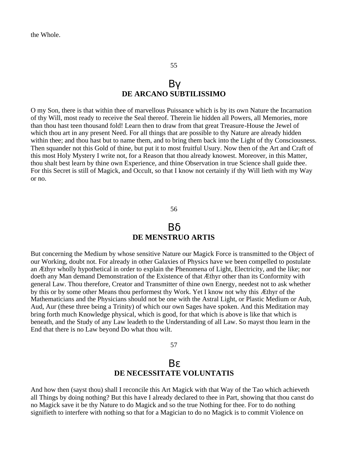### **Bg DE ARCANO SUBTILISSIMO**

O my Son, there is that within thee of marvellous Puissance which is by its own Nature the Incarnation of thy Will, most ready to receive the Seal thereof. Therein lie hidden all Powers, all Memories, more than thou hast teen thousand fold! Learn then to draw from that great Treasure-House the Jewel of which thou art in any present Need. For all things that are possible to thy Nature are already hidden within thee; and thou hast but to name them, and to bring them back into the Light of thy Consciousness. Then squander not this Gold of thine, but put it to most fruitful Usury. Now then of the Art and Craft of this most Holy Mystery I write not, for a Reason that thou already knowest. Moreover, in this Matter, thou shalt best learn by thine own Experience, and thine Observation in true Science shall guide thee. For this Secret is still of Magick, and Occult, so that I know not certainly if thy Will lieth with my Way or no.

#### 56

### **Bd DE MENSTRUO ARTIS**

But concerning the Medium by whose sensitive Nature our Magick Force is transmitted to the Object of our Working, doubt not. For already in other Galaxies of Physics have we been compelled to postulate an Æthyr wholly hypothetical in order to explain the Phenomena of Light, Electricity, and the like; nor doeth any Man demand Demonstration of the Existence of that Æthyr other than its Conformity with general Law. Thou therefore, Creator and Transmitter of thine own Energy, needest not to ask whether by this or by some other Means thou performest thy Work. Yet I know not why this Æthyr of the Mathematicians and the Physicians should not be one with the Astral Light, or Plastic Medium or Aub, Aud, Aur (these three being a Trinity) of which our own Sages have spoken. And this Meditation may bring forth much Knowledge physical, which is good, for that which is above is like that which is beneath, and the Study of any Law leadeth to the Understanding of all Law. So mayst thou learn in the End that there is no Law beyond Do what thou wilt.

#### 57

### **Be DE NECESSITATE VOLUNTATIS**

And how then (sayst thou) shall I reconcile this Art Magick with that Way of the Tao which achieveth all Things by doing nothing? But this have I already declared to thee in Part, showing that thou canst do no Magick save it be thy Nature to do Magick and so the true Nothing for thee. For to do nothing signifieth to interfere with nothing so that for a Magician to do no Magick is to commit Violence on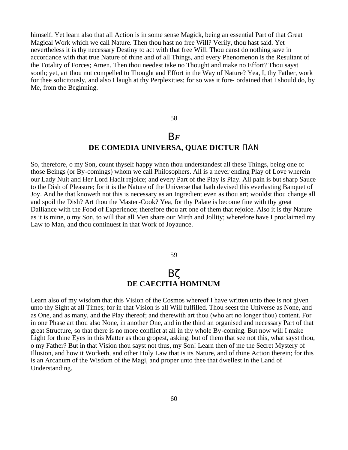himself. Yet learn also that all Action is in some sense Magick, being an essential Part of that Great Magical Work which we call Nature. Then thou hast no free Will? Verily, thou hast said. Yet nevertheless it is thy necessary Destiny to act with that free Will. Thou canst do nothing save in accordance with that true Nature of thine and of all Things, and every Phenomenon is the Resultant of the Totality of Forces; Amen. Then thou needest take no Thought and make no Effort? Thou sayst sooth; yet, art thou not compelled to Thought and Effort in the Way of Nature? Yea, I, thy Father, work for thee solicitously, and also I laugh at thy Perplexities; for so was it fore- ordained that I should do, by Me, from the Beginning.

#### 58

### **B***F* **DE COMEDIA UNIVERSA, QUAE DICTUR PAN**

So, therefore, o my Son, count thyself happy when thou understandest all these Things, being one of those Beings (or By-comings) whom we call Philosophers. All is a never ending Play of Love wherein our Lady Nuit and Her Lord Hadit rejoice; and every Part of the Play is Play. All pain is but sharp Sauce to the Dish of Pleasure; for it is the Nature of the Universe that hath devised this everlasting Banquet of Joy. And he that knoweth not this is necessary as an Ingredient even as thou art; wouldst thou change all and spoil the Dish? Art thou the Master-Cook? Yea, for thy Palate is become fine with thy great Dalliance with the Food of Experience; therefore thou art one of them that rejoice. Also it is thy Nature as it is mine, o my Son, to will that all Men share our Mirth and Jollity; wherefore have I proclaimed my Law to Man, and thou continuest in that Work of Joyaunce.

#### 59

### **Bz DE CAECITIA HOMINUM**

Learn also of my wisdom that this Vision of the Cosmos whereof I have written unto thee is not given unto thy Sight at all Times; for in that Vision is all Will fulfilled. Thou seest the Universe as None, and as One, and as many, and the Play thereof; and therewith art thou (who art no longer thou) content. For in one Phase art thou also None, in another One, and in the third an organised and necessary Part of that great Structure, so that there is no more conflict at all in thy whole By-coming. But now will I make Light for thine Eyes in this Matter as thou gropest, asking: but of them that see not this, what sayst thou, o my Father? But in that Vision thou sayst not thus, my Son! Learn then of me the Secret Mystery of Illusion, and how it Worketh, and other Holy Law that is its Nature, and of thine Action therein; for this is an Arcanum of the Wisdom of the Magi, and proper unto thee that dwellest in the Land of Understanding.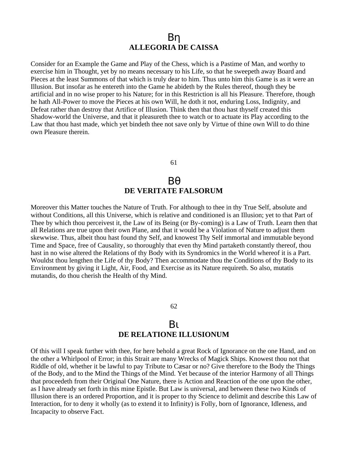### **Bh ALLEGORIA DE CAISSA**

Consider for an Example the Game and Play of the Chess, which is a Pastime of Man, and worthy to exercise him in Thought, yet by no means necessary to his Life, so that he sweepeth away Board and Pieces at the least Summons of that which is truly dear to him. Thus unto him this Game is as it were an Illusion. But insofar as he entereth into the Game he abideth by the Rules thereof, though they be artificial and in no wise proper to his Nature; for in this Restriction is all his Pleasure. Therefore, though he hath All-Power to move the Pieces at his own Will, he doth it not, enduring Loss, Indignity, and Defeat rather than destroy that Artifice of Illusion. Think then that thou hast thyself created this Shadow-world the Universe, and that it pleasureth thee to watch or to actuate its Play according to the Law that thou hast made, which yet bindeth thee not save only by Virtue of thine own Will to do thine own Pleasure therein.

#### 61

### **Bq DE VERITATE FALSORUM**

Moreover this Matter touches the Nature of Truth. For although to thee in thy True Self, absolute and without Conditions, all this Universe, which is relative and conditioned is an Illusion; yet to that Part of Thee by which thou perceivest it, the Law of its Being (or By-coming) is a Law of Truth. Learn then that all Relations are true upon their own Plane, and that it would be a Violation of Nature to adjust them skewwise. Thus, albeit thou hast found thy Self, and knowest Thy Self immortal and immutable beyond Time and Space, free of Causality, so thoroughly that even thy Mind partaketh constantly thereof, thou hast in no wise altered the Relations of thy Body with its Syndromics in the World whereof it is a Part. Wouldst thou lengthen the Life of thy Body? Then accommodate thou the Conditions of thy Body to its Environment by giving it Light, Air, Food, and Exercise as its Nature requireth. So also, mutatis mutandis, do thou cherish the Health of thy Mind.

#### 62

### **Bi DE RELATIONE ILLUSIONUM**

Of this will I speak further with thee, for here behold a great Rock of Ignorance on the one Hand, and on the other a Whirlpool of Error; in this Strait are many Wrecks of Magick Ships. Knowest thou not that Riddle of old, whether it be lawful to pay Tribute to Cæsar or no? Give therefore to the Body the Things of the Body, and to the Mind the Things of the Mind. Yet because of the interior Harmony of all Things that proceedeth from their Original One Nature, there is Action and Reaction of the one upon the other, as I have already set forth in this mine Epistle. But Law is universal, and between these two Kinds of Illusion there is an ordered Proportion, and it is proper to thy Science to delimit and describe this Law of Interaction, for to deny it wholly (as to extend it to Infinity) is Folly, born of Ignorance, Idleness, and Incapacity to observe Fact.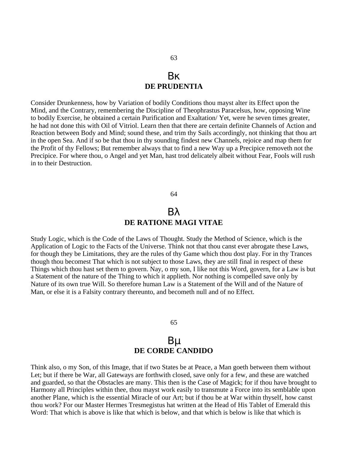### **Bk DE PRUDENTIA**

Consider Drunkenness, how by Variation of bodily Conditions thou mayst alter its Effect upon the Mind, and the Contrary, remembering the Discipline of Theophrastus Paracelsus, how, opposing Wine to bodily Exercise, he obtained a certain Purification and Exaltation/ Yet, were he seven times greater, he had not done this with Oil of Vitriol. Learn then that there are certain definite Channels of Action and Reaction between Body and Mind; sound these, and trim thy Sails accordingly, not thinking that thou art in the open Sea. And if so be that thou in thy sounding findest new Channels, rejoice and map them for the Profit of thy Fellows; But remember always that to find a new Way up a Precipice removeth not the Precipice. For where thou, o Angel and yet Man, hast trod delicately albeit without Fear, Fools will rush in to their Destruction.

#### 64

### **Bl DE RATIONE MAGI VITAE**

Study Logic, which is the Code of the Laws of Thought. Study the Method of Science, which is the Application of Logic to the Facts of the Universe. Think not that thou canst ever abrogate these Laws, for though they be Limitations, they are the rules of thy Game which thou dost play. For in thy Trances though thou becomest That which is not subject to those Laws, they are still final in respect of these Things which thou hast set them to govern. Nay, o my son, I like not this Word, govern, for a Law is but a Statement of the nature of the Thing to which it applieth. Nor nothing is compelled save only by Nature of its own true Will. So therefore human Law is a Statement of the Will and of the Nature of Man, or else it is a Falsity contrary thereunto, and becometh null and of no Effect.

#### 65

### **Bm DE CORDE CANDIDO**

Think also, o my Son, of this Image, that if two States be at Peace, a Man goeth between them without Let; but if there be War, all Gateways are forthwith closed, save only for a few, and these are watched and guarded, so that the Obstacles are many. This then is the Case of Magick; for if thou have brought to Harmony all Principles within thee, thou mayst work easily to transmute a Force into its semblable upon another Plane, which is the essential Miracle of our Art; but if thou be at War within thyself, how canst thou work? For our Master Hermes Tresmegistus hat written at the Head of His Tablet of Emerald this Word: That which is above is like that which is below, and that which is below is like that which is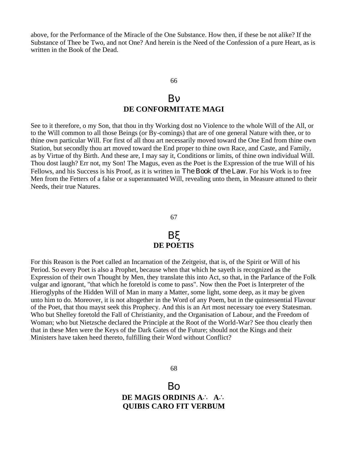above, for the Performance of the Miracle of the One Substance. How then, if these be not alike? If the Substance of Thee be Two, and not One? And herein is the Need of the Confession of a pure Heart, as is written in the Book of the Dead.

#### 66

### **Bn DE CONFORMITATE MAGI**

See to it therefore, o my Son, that thou in thy Working dost no Violence to the whole Will of the All, or to the Will common to all those Beings (or By-comings) that are of one general Nature with thee, or to thine own particular Will. For first of all thou art necessarily moved toward the One End from thine own Station, but secondly thou art moved toward the End proper to thine own Race, and Caste, and Family, as by Virtue of thy Birth. And these are, I may say it, Conditions or limits, of thine own individual Will. Thou dost laugh? Err not, my Son! The Magus, even as the Poet is the Expression of the true Will of his Fellows, and his Success is his Proof, as it is written in *The Book of the Law*. For his Work is to free Men from the Fetters of a false or a superannuated Will, revealing unto them, in Measure attuned to their Needs, their true Natures.

#### 67

### **Bx DE POETIS**

For this Reason is the Poet called an Incarnation of the Zeitgeist, that is, of the Spirit or Will of his Period. So every Poet is also a Prophet, because when that which he sayeth is recognized as the Expression of their own Thought by Men, they translate this into Act, so that, in the Parlance of the Folk vulgar and ignorant, "that which he foretold is come to pass". Now then the Poet is Interpreter of the Hieroglyphs of the Hidden Will of Man in many a Matter, some light, some deep, as it may be given unto him to do. Moreover, it is not altogether in the Word of any Poem, but in the quintessential Flavour of the Poet, that thou mayst seek this Prophecy. And this is an Art most necessary toe every Statesman. Who but Shelley foretold the Fall of Christianity, and the Organisation of Labour, and the Freedom of Woman; who but Nietzsche declared the Principle at the Root of the World-War? See thou clearly then that in these Men were the Keys of the Dark Gates of the Future; should not the Kings and their Ministers have taken heed thereto, fulfilling their Word without Conflict?

#### 68

### **Bo DE MAGIS ORDINIS A\ A\ QUIBIS CARO FIT VERBUM**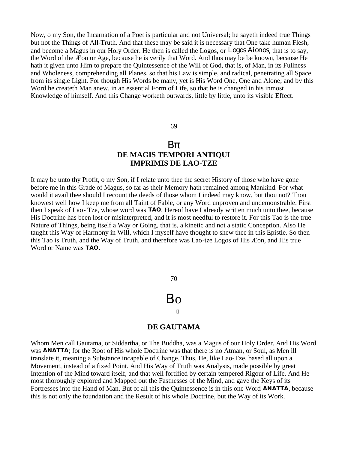Now, o my Son, the Incarnation of a Poet is particular and not Universal; he sayeth indeed true Things but not the Things of All-Truth. And that these may be said it is necessary that One take human Flesh, and become a Magus in our Holy Order. He then is called the Logos, or *Logos Aionos*, that is to say, the Word of the Æon or Age, because he is verily that Word. And thus may be be known, because He hath it given unto Him to prepare the Quintessence of the Will of God, that is, of Man, in its Fullness and Wholeness, comprehending all Planes, so that his Law is simple, and radical, penetrating all Space from its single Light. For though His Words be many, yet is His Word One, One and Alone; and by this Word he createth Man anew, in an essential Form of Life, so that he is changed in his inmost Knowledge of himself. And this Change worketh outwards, little by little, unto its visible Effect.

69

### **Bp DE MAGIS TEMPORI ANTIQUI IMPRIMIS DE LAO-TZE**

It may be unto thy Profit, o my Son, if I relate unto thee the secret History of those who have gone before me in this Grade of Magus, so far as their Memory hath remained among Mankind. For what would it avail thee should I recount the deeds of those whom I indeed may know, but thou not? Thou knowest well how I keep me from all Taint of Fable, or any Word unproven and undemonstrable. First then I speak of Lao- Tze, whose word was **TAO**. Hereof have I already written much unto thee, because His Doctrine has been lost or misinterpreted, and it is most needful to restore it. For this Tao is the true Nature of Things, being itself a Way or Going, that is, a kinetic and not a static Conception. Also He taught this Way of Harmony in Will, which I myself have thought to shew thee in this Epistle. So then this Tao is Truth, and the Way of Truth, and therefore was Lao-tze Logos of His Æon, and His true Word or Name was **TAO**.

70

### Βo

#### **½**

#### **DE GAUTAMA**

Whom Men call Gautama, or Siddartha, or The Buddha, was a Magus of our Holy Order. And His Word was **ANATTA**; for the Root of His whole Doctrine was that there is no Atman, or Soul, as Men ill translate it, meaning a Substance incapable of Change. Thus, He, like Lao-Tze, based all upon a Movement, instead of a fixed Point. And His Way of Truth was Analysis, made possible by great Intention of the Mind toward itself, and that well fortified by certain tempered Rigour of Life. And He most thoroughly explored and Mapped out the Fastnesses of the Mind, and gave the Keys of its Fortresses into the Hand of Man. But of all this the Quintessence is in this one Word **ANATTA**, because this is not only the foundation and the Result of his whole Doctrine, but the Way of its Work.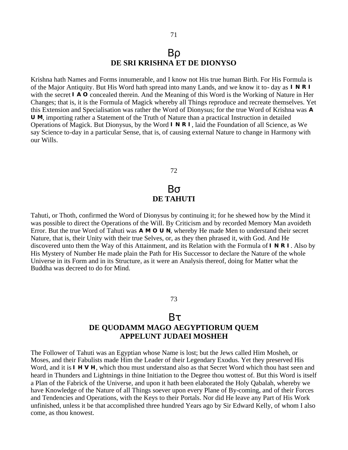### **Br DE SRI KRISHNA ET DE DIONYSO**

Krishna hath Names and Forms innumerable, and I know not His true human Birth. For His Formula is of the Major Antiquity. But His Word hath spread into many Lands, and we know it to- day as **I N R I**  with the secret **I A O** concealed therein. And the Meaning of this Word is the Working of Nature in Her Changes; that is, it is the Formula of Magick whereby all Things reproduce and recreate themselves. Yet this Extension and Specialisation was rather the Word of Dionysus; for the true Word of Krishna was **A U M**, importing rather a Statement of the Truth of Nature than a practical Instruction in detailed Operations of Magick. But Dionysus, by the Word **I N R I**, laid the Foundation of all Science, as We say Science to-day in a particular Sense, that is, of causing external Nature to change in Harmony with our Wills.

#### 72

#### **Bs DE TAHUTI**

Tahuti, or Thoth, confirmed the Word of Dionysus by continuing it; for he shewed how by the Mind it was possible to direct the Operations of the Will. By Criticism and by recorded Memory Man avoideth Error. But the true Word of Tahuti was **A M O U N**, whereby He made Men to understand their secret Nature, that is, their Unity with their true Selves, or, as they then phrased it, with God. And He discovered unto them the Way of this Attainment, and its Relation with the Formula of **I N R I**. Also by His Mystery of Number He made plain the Path for His Successor to declare the Nature of the whole Universe in its Form and in its Structure, as it were an Analysis thereof, doing for Matter what the Buddha was decreed to do for Mind.

#### 73

### **Bt DE QUODAMM MAGO AEGYPTIORUM QUEM APPELUNT JUDAEI MOSHEH**

The Follower of Tahuti was an Egyptian whose Name is lost; but the Jews called Him Mosheh, or Moses, and their Fabulists made Him the Leader of their Legendary Exodus. Yet they preserved His Word, and it is **I H V H**, which thou must understand also as that Secret Word which thou hast seen and heard in Thunders and Lightnings in thine Initiation to the Degree thou wottest of. But this Word is itself a Plan of the Fabrick of the Universe, and upon it hath been elaborated the Holy Qabalah, whereby we have Knowledge of the Nature of all Things soever upon every Plane of By-coming, and of their Forces and Tendencies and Operations, with the Keys to their Portals. Nor did He leave any Part of His Work unfinished, unless it be that accomplished three hundred Years ago by Sir Edward Kelly, of whom I also come, as thou knowest.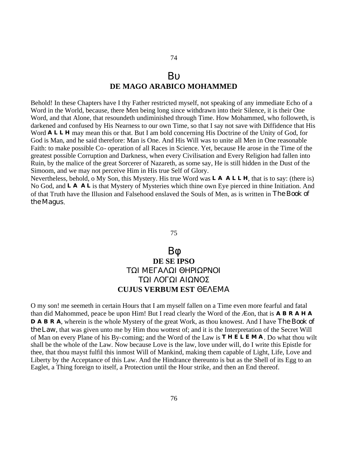### **Bu DE MAGO ARABICO MOHAMMED**

74

Behold! In these Chapters have I thy Father restricted myself, not speaking of any immediate Echo of a Word in the World, because, there Men being long since withdrawn into their Silence, it is their One Word, and that Alone, that resoundeth undiminished through Time. How Mohammed, who followeth, is darkened and confused by His Nearness to our own Time, so that I say not save with Diffidence that His Word **A L L H** may mean this or that. But I am bold concerning His Doctrine of the Unity of God, for God is Man, and he said therefore: Man is One. And His Will was to unite all Men in One reasonable Faith: to make possible Co- operation of all Races in Science. Yet, because He arose in the Time of the greatest possible Corruption and Darkness, when every Civilisation and Every Religion had fallen into Ruin, by the malice of the great Sorcerer of Nazareth, as some say, He is still hidden in the Dust of the Simoom, and we may not perceive Him in His true Self of Glory.

Nevertheless, behold, o My Son, this Mystery. His true Word was **L A A L L H**, that is to say: (there is) No God, and **L A A L** is that Mystery of Mysteries which thine own Eye pierced in thine Initiation. And of that Truth have the Illusion and Falsehood enslaved the Souls of Men, as is written in *The Book of the Magus*.

75

#### **Bf**

### **DE SE IPSO TWI MEGALWI QHRIWRNOI TWI LOGWI AIWNOS CUJUS VERBUM EST QELEMA**

O my son! me seemeth in certain Hours that I am myself fallen on a Time even more fearful and fatal than did Mahommed, peace be upon Him! But I read clearly the Word of the Æon, that is **A B R A H A D A B R A**, wherein is the whole Mystery of the great Work, as thou knowest. And I have *The Book of the Law*, that was given unto me by Him thou wottest of; and it is the Interpretation of the Secret Will of Man on every Plane of his By-coming; and the Word of the Law is **T H E L E M A** . Do what thou wilt shall be the whole of the Law. Now because Love is the law, love under will, do I write this Epistle for thee, that thou mayst fulfil this inmost Will of Mankind, making them capable of Light, Life, Love and Liberty by the Acceptance of this Law. And the Hindrance thereunto is but as the Shell of its Egg to an Eaglet, a Thing foreign to itself, a Protection until the Hour strike, and then an End thereof.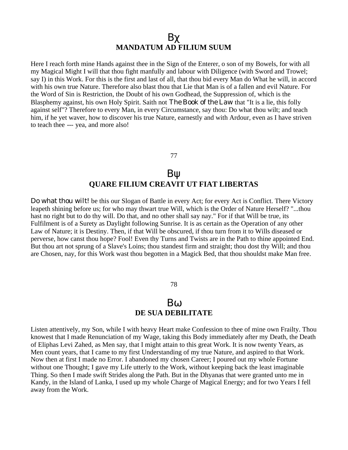### **Bc MANDATUM AD FILIUM SUUM**

Here I reach forth mine Hands against thee in the Sign of the Enterer, o son of my Bowels, for with all my Magical Might I will that thou fight manfully and labour with Diligence (with Sword and Trowel; say I) in this Work. For this is the first and last of all, that thou bid every Man do What he will, in accord with his own true Nature. Therefore also blast thou that Lie that Man is of a fallen and evil Nature. For the Word of Sin is Restriction, the Doubt of his own Godhead, the Suppression of, which is the Blasphemy against, his own Holy Spirit. Saith not *The Book of the Law* that "It is a lie, this folly against self"? Therefore to every Man, in every Circumstance, say thou: Do what thou wilt; and teach him, if he yet waver, how to discover his true Nature, earnestly and with Ardour, even as I have striven to teach thee --- yea, and more also!

#### 77

### **By QUARE FILIUM CREAVIT UT FIAT LIBERTAS**

*Do what thou wilt!* be this our Slogan of Battle in every Act; for every Act is Conflict. There Victory leapeth shining before us; for who may thwart true Will, which is the Order of Nature Herself? "...thou hast no right but to do thy will. Do that, and no other shall say nay." For if that Will be true, its Fulfilment is of a Surety as Daylight following Sunrise. It is as certain as the Operation of any other Law of Nature; it is Destiny. Then, if that Will be obscured, if thou turn from it to Wills diseased or perverse, how canst thou hope? Fool! Even thy Turns and Twists are in the Path to thine appointed End. But thou art not sprung of a Slave's Loins; thou standest firm and straight; thou dost thy Will; and thou are Chosen, nay, for this Work wast thou begotten in a Magick Bed, that thou shouldst make Man free.

#### 78

#### **Bw DE SUA DEBILITATE**

Listen attentively, my Son, while I with heavy Heart make Confession to thee of mine own Frailty. Thou knowest that I made Renunciation of my Wage, taking this Body immediately after my Death, the Death of Eliphas Levi Zahed, as Men say, that I might attain to this great Work. It is now twenty Years, as Men count years, that I came to my first Understanding of my true Nature, and aspired to that Work. Now then at first I made no Error. I abandoned my chosen Career; I poured out my whole Fortune without one Thought; I gave my Life utterly to the Work, without keeping back the least imaginable Thing. So then I made swift Strides along the Path. But in the Dhyanas that were granted unto me in Kandy, in the Island of Lanka, I used up my whole Charge of Magical Energy; and for two Years I fell away from the Work.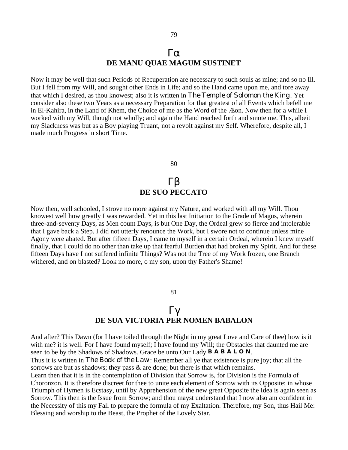### **Ga DE MANU QUAE MAGUM SUSTINET**

Now it may be well that such Periods of Recuperation are necessary to such souls as mine; and so no Ill. But I fell from my Will, and sought other Ends in Life; and so the Hand came upon me, and tore away that which I desired, as thou knowest; also it is written in *The Temple of Solomon the King*. Yet consider also these two Years as a necessary Preparation for that greatest of all Events which befell me in El-Kahira, in the Land of Khem, the Choice of me as the Word of the Æon. Now then for a while I worked with my Will, though not wholly; and again the Hand reached forth and smote me. This, albeit my Slackness was but as a Boy playing Truant, not a revolt against my Self. Wherefore, despite all, I made much Progress in short Time.

#### 80

### **Gb DE SUO PECCATO**

Now then, well schooled, I strove no more against my Nature, and worked with all my Will. Thou knowest well how greatly I was rewarded. Yet in this last Initiation to the Grade of Magus, wherein three-and-seventy Days, as Men count Days, is but One Day, the Ordeal grew so fierce and intolerable that I gave back a Step. I did not utterly renounce the Work, but I swore not to continue unless mine Agony were abated. But after fifteen Days, I came to myself in a certain Ordeal, wherein I knew myself finally, that I could do no other than take up that fearful Burden that had broken my Spirit. And for these fifteen Days have I not suffered infinite Things? Was not the Tree of my Work frozen, one Branch withered, and on blasted? Look no more, o my son, upon thy Father's Shame!

81

### **Gg DE SUA VICTORIA PER NOMEN BABALON**

And after? This Dawn (for I have toiled through the Night in my great Love and Care of thee) how is it with me? it is well. For I have found myself; I have found my Will; the Obstacles that daunted me are seen to be by the Shadows of Shadows. Grace be unto Our Lady **B A B A L O N**.

Thus it is written in *The Book of the Law*: Remember all ye that existence is pure joy; that all the sorrows are but as shadows; they pass  $\&$  are done; but there is that which remains.

Learn then that it is in the contemplation of Division that Sorrow is, for Division is the Formula of Choronzon. It is therefore discreet for thee to unite each element of Sorrow with its Opposite; in whose Triumph of Hymen is Ecstasy, until by Apprehension of the new great Opposite the Idea is again seen as Sorrow. This then is the Issue from Sorrow; and thou mayst understand that I now also am confident in the Necessity of this my Fall to prepare the formula of my Exaltation. Therefore, my Son, thus Hail Me: Blessing and worship to the Beast, the Prophet of the Lovely Star.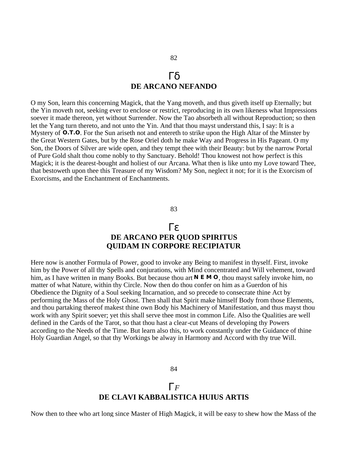### **Gd DE ARCANO NEFANDO**

O my Son, learn this concerning Magick, that the Yang moveth, and thus giveth itself up Eternally; but the Yin moveth not, seeking ever to enclose or restrict, reproducing in its own likeness what Impressions soever it made thereon, yet without Surrender. Now the Tao absorbeth all without Reproduction; so then let the Yang turn thereto, and not unto the Yin. And that thou mayst understand this, I say: It is a Mystery of **O.T.O**. For the Sun ariseth not and entereth to strike upon the High Altar of the Minster by the Great Western Gates, but by the Rose Oriel doth he make Way and Progress in His Pageant. O my Son, the Doors of Silver are wide open, and they tempt thee with their Beauty: but by the narrow Portal of Pure Gold shalt thou come nobly to thy Sanctuary. Behold! Thou knowest not how perfect is this Magick; it is the dearest-bought and holiest of our Arcana. What then is like unto my Love toward Thee, that bestoweth upon thee this Treasure of my Wisdom? My Son, neglect it not; for it is the Exorcism of Exorcisms, and the Enchantment of Enchantments.

#### 83

### **Ge DE ARCANO PER QUOD SPIRITUS QUIDAM IN CORPORE RECIPIATUR**

Here now is another Formula of Power, good to invoke any Being to manifest in thyself. First, invoke him by the Power of all thy Spells and conjurations, with Mind concentrated and Will vehement, toward him, as I have written in many Books. But because thou art **N E M O**, thou mayst safely invoke him, no matter of what Nature, within thy Circle. Now then do thou confer on him as a Guerdon of his Obedience the Dignity of a Soul seeking Incarnation, and so precede to consecrate thine Act by performing the Mass of the Holy Ghost. Then shall that Spirit make himself Body from those Elements, and thou partaking thereof makest thine own Body his Machinery of Manifestation, and thus mayst thou work with any Spirit soever; yet this shall serve thee most in common Life. Also the Qualities are well defined in the Cards of the Tarot, so that thou hast a clear-cut Means of developing thy Powers according to the Needs of the Time. But learn also this, to work constantly under the Guidance of thine Holy Guardian Angel, so that thy Workings be alway in Harmony and Accord with thy true Will.

84

### **G***F* **DE CLAVI KABBALISTICA HUIUS ARTIS**

Now then to thee who art long since Master of High Magick, it will be easy to shew how the Mass of the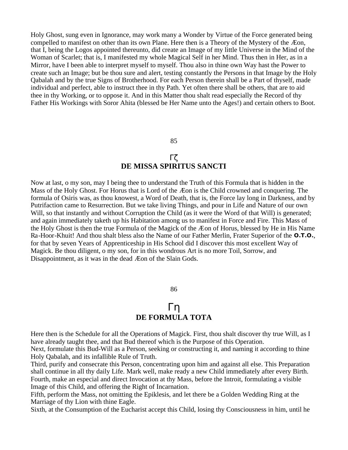Holy Ghost, sung even in Ignorance, may work many a Wonder by Virtue of the Force generated being compelled to manifest on other than its own Plane. Here then is a Theory of the Mystery of the Æon, that I, being the Logos appointed thereunto, did create an Image of my little Universe in the Mind of the Woman of Scarlet; that is, I manifested my whole Magical Self in her Mind. Thus then in Her, as in a Mirror, have I been able to interpret myself to myself. Thou also in thine own Way hast the Power to create such an Image; but be thou sure and alert, testing constantly the Persons in that Image by the Holy Qabalah and by the true Signs of Brotherhood. For each Person therein shall be a Part of thyself, made individual and perfect, able to instruct thee in thy Path. Yet often there shall be others, that are to aid thee in thy Working, or to oppose it. And in this Matter thou shalt read especially the Record of thy Father His Workings with Soror Ahita (blessed be Her Name unto the Ages!) and certain others to Boot.

85

#### **Gz DE MISSA SPIRITUS SANCTI**

Now at last, o my son, may I being thee to understand the Truth of this Formula that is hidden in the Mass of the Holy Ghost. For Horus that is Lord of the Æon is the Child crowned and conquering. The formula of Osiris was, as thou knowest, a Word of Death, that is, the Force lay long in Darkness, and by Putrifaction came to Resurrection. But we take living Things, and pour in Life and Nature of our own Will, so that instantly and without Corruption the Child (as it were the Word of that Will) is generated; and again immediately taketh up his Habitation among us to manifest in Force and Fire. This Mass of the Holy Ghost is then the true Formula of the Magick of the Æon of Horus, blessed by He in His Name Ra-Hoor-Khuit! And thou shalt bless also the Name of our Father Merlin, Frater Superior of the **O.T.O.**, for that by seven Years of Apprenticeship in His School did I discover this most excellent Way of Magick. Be thou diligent, o my son, for in this wondrous Art is no more Toil, Sorrow, and Disappointment, as it was in the dead Æon of the Slain Gods.

86

### **Gh DE FORMULA TOTA**

Here then is the Schedule for all the Operations of Magick. First, thou shalt discover thy true Will, as I have already taught thee, and that Bud thereof which is the Purpose of this Operation.

Next, formulate this Bud-Will as a Person, seeking or constructing it, and naming it according to thine Holy Qabalah, and its infallible Rule of Truth.

Third, purify and consecrate this Person, concentrating upon him and against all else. This Preparation shall continue in all thy daily Life. Mark well, make ready a new Child immediately after every Birth. Fourth, make an especial and direct Invocation at thy Mass, before the Introit, formulating a visible Image of this Child, and offering the Right of Incarnation.

Fifth, perform the Mass, not omitting the Epiklesis, and let there be a Golden Wedding Ring at the Marriage of thy Lion with thine Eagle.

Sixth, at the Consumption of the Eucharist accept this Child, losing thy Consciousness in him, until he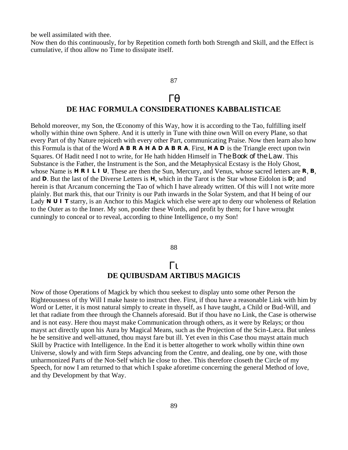be well assimilated with thee.

Now then do this continuously, for by Repetition cometh forth both Strength and Skill, and the Effect is cumulative, if thou allow no Time to dissipate itself.

#### 87

### **Gq DE HAC FORMULA CONSIDERATIONES KABBALISTICAE**

Behold moreover, my Son, the Œconomy of this Way, how it is according to the Tao, fulfilling itself wholly within thine own Sphere. And it is utterly in Tune with thine own Will on every Plane, so that every Part of thy Nature rejoiceth with every other Part, communicating Praise. Now then learn also how this Formula is that of the Word **A B R A H A D A B R A**. First, **H A D** is the Triangle erect upon twin Squares. Of Hadit need I not to write, for He hath hidden Himself in *The Book of the Law*. This Substance is the Father, the Instrument is the Son, and the Metaphysical Ecstasy is the Holy Ghost, whose Name is **H R I L I U**. These are then the Sun, Mercury, and Venus, whose sacred letters are **R**, **B**, and **D**. But the last of the Diverse Letters is **H**, which in the Tarot is the Star whose Eidolon is **D**; and herein is that Arcanum concerning the Tao of which I have already written. Of this will I not write more plainly. But mark this, that our Trinity is our Path inwards in the Solar System, and that H being of our Lady **N U I T** starry, is an Anchor to this Magick which else were apt to deny our wholeness of Relation to the Outer as to the Inner. My son, ponder these Words, and profit by them; for I have wrought cunningly to conceal or to reveal, according to thine Intelligence, o my Son!

#### 88

#### **Gi DE QUIBUSDAM ARTIBUS MAGICIS**

Now of those Operations of Magick by which thou seekest to display unto some other Person the Righteousness of thy Will I make haste to instruct thee. First, if thou have a reasonable Link with him by Word or Letter, it is most natural simply to create in thyself, as I have taught, a Child or Bud-Will, and let that radiate from thee through the Channels aforesaid. But if thou have no Link, the Case is otherwise and is not easy. Here thou mayst make Communication through others, as it were by Relays; or thou mayst act directly upon his Aura by Magical Means, such as the Projection of the Scin-Læca. But unless he be sensitive and well-attuned, thou mayst fare but ill. Yet even in this Case thou mayst attain much Skill by Practice with Intelligence. In the End it is better altogether to work wholly within thine own Universe, slowly and with firm Steps advancing from the Centre, and dealing, one by one, with those unharmonized Parts of the Not-Self which lie close to thee. This therefore closeth the Circle of my Speech, for now I am returned to that which I spake aforetime concerning the general Method of love, and thy Development by that Way.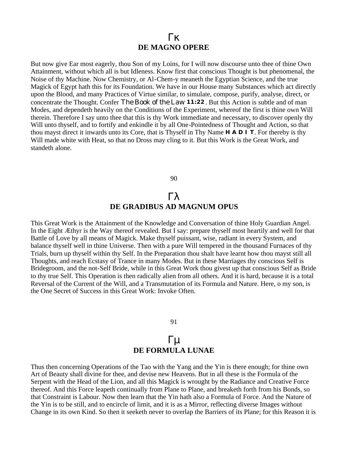### **Gk DE MAGNO OPERE**

But now give Ear most eagerly, thou Son of my Loins, for I will now discourse unto thee of thine Own Attainment, without which all is but Idleness. Know first that conscious Thought is but phenomenal, the Noise of thy Machine. Now Chemistry, or Al-Chem-y meaneth the Egyptian Science, and the true Magick of Egypt hath this for its Foundation. We have in our House many Substances which act directly upon the Blood, and many Practices of Virtue similar, to simulate, compose, purify, analyse, direct, or concentrate the Thought. Confer *The Book of the Law* **11:22** . But this Action is subtle and of man Modes, and dependeth heavily on the Conditions of the Experiment, whereof the first is thine own Will therein. Therefore I say unto thee that this is thy Work immediate and necessary, to discover openly thy Will unto thyself, and to fortify and enkindle it by all One-Pointedness of Thought and Action, so that thou mayst direct it inwards unto its Core, that is Thyself in Thy Name **H A D I T**. For thereby is thy Will made white with Heat, so that no Dross may cling to it. But this Work is the Great Work, and standeth alone.

90

### **Gl DE GRADIBUS AD MAGNUM OPUS**

This Great Work is the Attainment of the Knowledge and Conversation of thine Holy Guardian Angel. In the Eight Æthyr is the Way thereof revealed. But I say: prepare thyself most heartily and well for that Battle of Love by all means of Magick. Make thyself puissant, wise, radiant in every System, and balance thyself well in thine Universe. Then with a pure Will tempered in the thousand Furnaces of thy Trials, burn up thyself within thy Self. In the Preparation thou shalt have learnt how thou mayst still all Thoughts, and reach Ecstasy of Trance in many Modes. But in these Marriages thy conscious Self is Bridegroom, and the not-Self Bride, while in this Great Work thou givest up that conscious Self as Bride to thy true Self. This Operation is then radically alien from all others. And it is hard, because it is a total Reversal of the Current of the Will, and a Transmutation of its Formula and Nature. Here, o my son, is the One Secret of Success in this Great Work: Invoke Often.

#### 91

### **Gm DE FORMULA LUNAE**

Thus then concerning Operations of the Tao with the Yang and the Yin is there enough; for thine own Art of Beauty shall divine for thee, and devise new Heavens. But in all these is the Formula of the Serpent with the Head of the Lion, and all this Magick is wrought by the Radiance and Creative Force thereof. And this Force leapeth continually from Plane to Plane, and breaketh forth from his Bonds, so that Constraint is Labour. Now then learn that the Yin hath also a Formula of Force. And the Nature of the Yin is to be still, and to encircle of limit, and it is as a Mirror, reflecting diverse Images without Change in its own Kind. So then it seeketh never to overlap the Barriers of its Plane; for this Reason it is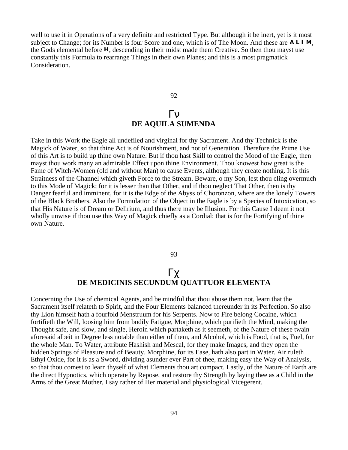well to use it in Operations of a very definite and restricted Type. But although it be inert, yet is it most subject to Change; for its Number is four Score and one, which is of The Moon. And these are **A L I M**, the Gods elemental before **H**, descending in their midst made them Creative. So then thou mayst use constantly this Formula to rearrange Things in their own Planes; and this is a most pragmatick Consideration.

92

# **Gn DE AQUILA SUMENDA**

Take in this Work the Eagle all undefiled and virginal for thy Sacrament. And thy Technick is the Magick of Water, so that thine Act is of Nourishment, and not of Generation. Therefore the Prime Use of this Art is to build up thine own Nature. But if thou hast Skill to control the Mood of the Eagle, then mayst thou work many an admirable Effect upon thine Environment. Thou knowest how great is the Fame of Witch-Women (old and without Man) to cause Events, although they create nothing. It is this Straitness of the Channel which giveth Force to the Stream. Beware, o my Son, lest thou cling overmuch to this Mode of Magick; for it is lesser than that Other, and if thou neglect That Other, then is thy Danger fearful and imminent, for it is the Edge of the Abyss of Choronzon, where are the lonely Towers of the Black Brothers. Also the Formulation of the Object in the Eagle is by a Species of Intoxication, so that His Nature is of Dream or Delirium, and thus there may be Illusion. For this Cause I deem it not wholly unwise if thou use this Way of Magick chiefly as a Cordial; that is for the Fortifying of thine own Nature.

#### 93

# **Gc DE MEDICINIS SECUNDUM QUATTUOR ELEMENTA**

Concerning the Use of chemical Agents, and be mindful that thou abuse them not, learn that the Sacrament itself relateth to Spirit, and the Four Elements balanced thereunder in its Perfection. So also thy Lion himself hath a fourfold Menstruum for his Serpents. Now to Fire belong Cocaine, which fortifieth the Will, loosing him from bodily Fatigue, Morphine, which purifieth the Mind, making the Thought safe, and slow, and single, Heroin which partaketh as it seemeth, of the Nature of these twain aforesaid albeit in Degree less notable than either of them, and Alcohol, which is Food, that is, Fuel, for the whole Man. To Water, attribute Hashish and Mescal, for they make Images, and they open the hidden Springs of Pleasure and of Beauty. Morphine, for its Ease, hath also part in Water. Air ruleth Ethyl Oxide, for it is as a Sword, dividing asunder ever Part of thee, making easy the Way of Analysis, so that thou comest to learn thyself of what Elements thou art compact. Lastly, of the Nature of Earth are the direct Hypnotics, which operate by Repose, and restore thy Strength by laying thee as a Child in the Arms of the Great Mother, I say rather of Her material and physiological Vicegerent.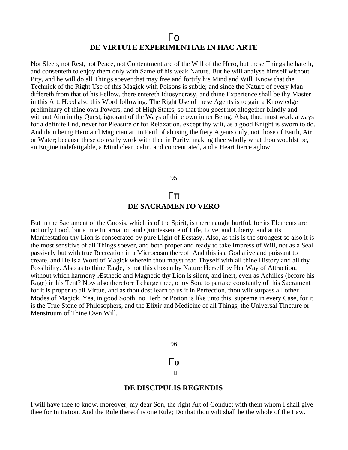# **Go DE VIRTUTE EXPERIMENTIAE IN HAC ARTE**

Not Sleep, not Rest, not Peace, not Contentment are of the Will of the Hero, but these Things he hateth, and consenteth to enjoy them only with Same of his weak Nature. But he will analyse himself without Pity, and he will do all Things soever that may free and fortify his Mind and Will. Know that the Technick of the Right Use of this Magick with Poisons is subtle; and since the Nature of every Man differeth from that of his Fellow, there entereth Idiosyncrasy, and thine Experience shall be thy Master in this Art. Heed also this Word following: The Right Use of these Agents is to gain a Knowledge preliminary of thine own Powers, and of High States, so that thou goest not altogether blindly and without Aim in thy Quest, ignorant of the Ways of thine own inner Being. Also, thou must work always for a definite End, never for Pleasure or for Relaxation, except thy wilt, as a good Knight is sworn to do. And thou being Hero and Magician art in Peril of abusing the fiery Agents only, not those of Earth, Air or Water; because these do really work with thee in Purity, making thee wholly what thou wouldst be, an Engine indefatigable, a Mind clear, calm, and concentrated, and a Heart fierce aglow.

95

### **Gp DE SACRAMENTO VERO**

But in the Sacrament of the Gnosis, which is of the Spirit, is there naught hurtful, for its Elements are not only Food, but a true Incarnation and Quintessence of Life, Love, and Liberty, and at its Manifestation thy Lion is consecrated by pure Light of Ecstasy. Also, as this is the strongest so also it is the most sensitive of all Things soever, and both proper and ready to take Impress of Will, not as a Seal passively but with true Recreation in a Microcosm thereof. And this is a God alive and puissant to create, and He is a Word of Magick wherein thou mayst read Thyself with all thine History and all thy Possibility. Also as to thine Eagle, is not this chosen by Nature Herself by Her Way of Attraction, without which harmony Æsthetic and Magnetic thy Lion is silent, and inert, even as Achilles (before his Rage) in his Tent? Now also therefore I charge thee, o my Son, to partake constantly of this Sacrament for it is proper to all Virtue, and as thou dost learn to us it in Perfection, thou wilt surpass all other Modes of Magick. Yea, in good Sooth, no Herb or Potion is like unto this, supreme in every Case, for it is the True Stone of Philosophers, and the Elixir and Medicine of all Things, the Universal Tincture or Menstruum of Thine Own Will.

#### 96

### **Go**  $\Box$

#### **DE DISCIPULIS REGENDIS**

I will have thee to know, moreover, my dear Son, the right Art of Conduct with them whom I shall give thee for Initiation. And the Rule thereof is one Rule; Do that thou wilt shall be the whole of the Law.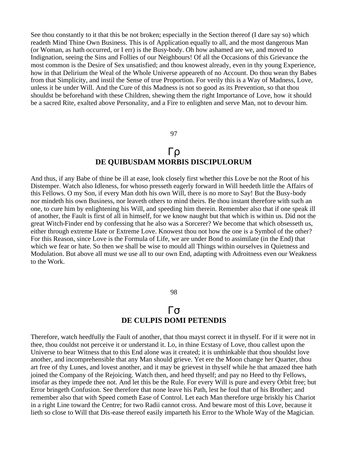See thou constantly to it that this be not broken; especially in the Section thereof (I dare say so) which readeth Mind Thine Own Business. This is of Application equally to all, and the most dangerous Man (or Woman, as hath occurred, or I err) is the Busy-body. Oh how ashamed are we, and moved to Indignation, seeing the Sins and Follies of our Neighbours! Of all the Occasions of this Grievance the most common is the Desire of Sex unsatisfied; and thou knowest already, even in thy young Experience, how in that Delirium the Weal of the Whole Universe appeareth of no Account. Do thou wean thy Babes from that Simplicity, and instil the Sense of true Proportion. For verily this is a Way of Madness, Love, unless it be under Will. And the Cure of this Madness is not so good as its Prevention, so that thou shouldst be beforehand with these Children, shewing them the right Importance of Love, how it should be a sacred Rite, exalted above Personality, and a Fire to enlighten and serve Man, not to devour him.

#### 97

### **Gr DE QUIBUSDAM MORBIS DISCIPULORUM**

And thus, if any Babe of thine be ill at ease, look closely first whether this Love be not the Root of his Distemper. Watch also Idleness, for whoso presseth eagerly forward in Will heedeth little the Affairs of this Fellows. O my Son, if every Man doth his own Will, there is no more to Say! But the Busy-body nor mindeth his own Business, nor leaveth others to mind theirs. Be thou instant therefore with such an one, to cure him by enlightening his Will, and speeding him therein. Remember also that if one speak ill of another, the Fault is first of all in himself, for we know naught but that which is within us. Did not the great Witch-Finder end by confessing that he also was a Sorcerer? We become that which obsesseth us, either through extreme Hate or Extreme Love. Knowest thou not how the one is a Symbol of the other? For this Reason, since Love is the Formula of Life, we are under Bond to assimilate (in the End) that which we fear or hate. So then we shall be wise to mould all Things within ourselves in Quietness and Modulation. But above all must we use all to our own End, adapting with Adroitness even our Weakness to the Work.

#### 98

### **Gs DE CULPIS DOMI PETENDIS**

Therefore, watch heedfully the Fault of another, that thou mayst correct it in thyself. For if it were not in thee, thou couldst not perceive it or understand it. Lo, in thine Ecstasy of Love, thou callest upon the Universe to bear Witness that to this End alone was it created; it is unthinkable that thou shouldst love another, and incomprehensible that any Man should grieve. Yet ere the Moon change her Quarter, thou art free of thy Lunes, and lovest another, and it may be grievest in thyself while he that amazed thee hath joined the Company of the Rejoicing. Watch then, and heed thyself; and pay no Heed to thy Fellows, insofar as they impede thee not. And let this be the Rule. For every Will is pure and every Orbit free; but Error bringeth Confusion. See therefore that none leave his Path, lest he foul that of his Brother; and remember also that with Speed cometh Ease of Control. Let each Man therefore urge briskly his Chariot in a right Line toward the Centre; for two Radii cannot cross. And beware most of this Love, because it lieth so close to Will that Dis-ease thereof easily imparteth his Error to the Whole Way of the Magician.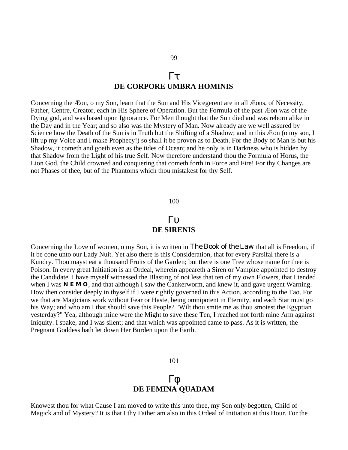# **Gt DE CORPORE UMBRA HOMINIS**

Concerning the Æon, o my Son, learn that the Sun and His Vicegerent are in all Æons, of Necessity, Father, Centre, Creator, each in His Sphere of Operation. But the Formula of the past Æon was of the Dying god, and was based upon Ignorance. For Men thought that the Sun died and was reborn alike in the Day and in the Year; and so also was the Mystery of Man. Now already are we well assured by Science how the Death of the Sun is in Truth but the Shifting of a Shadow; and in this Eon (o my son, I lift up my Voice and I make Prophecy!) so shall it be proven as to Death. For the Body of Man is but his Shadow, it cometh and goeth even as the tides of Ocean; and he only is in Darkness who is hidden by that Shadow from the Light of his true Self. Now therefore understand thou the Formula of Horus, the Lion God, the Child crowned and conquering that cometh forth in Force and Fire! For thy Changes are not Phases of thee, but of the Phantoms which thou mistakest for thy Self.

#### 100

### **Gu DE SIRENIS**

Concerning the Love of women, o my Son, it is written in *The Book of the Law* that all is Freedom, if it be cone unto our Lady Nuit. Yet also there is this Consideration, that for every Parsifal there is a Kundry. Thou mayst eat a thousand Fruits of the Garden; but there is one Tree whose name for thee is Poison. In every great Initiation is an Ordeal, wherein appeareth a Siren or Vampire appointed to destroy the Candidate. I have myself witnessed the Blasting of not less that ten of my own Flowers, that I tended when I was **N E M O**, and that although I saw the Cankerworm, and knew it, and gave urgent Warning. How then consider deeply in thyself if I were rightly governed in this Action, according to the Tao. For we that are Magicians work without Fear or Haste, being omnipotent in Eternity, and each Star must go his Way; and who am I that should save this People? "Wilt thou smite me as thou smotest the Egyptian yesterday?" Yea, although mine were the Might to save these Ten, I reached not forth mine Arm against Iniquity. I spake, and I was silent; and that which was appointed came to pass. As it is written, the Pregnant Goddess hath let down Her Burden upon the Earth.

#### 101

# **Gf DE FEMINA QUADAM**

Knowest thou for what Cause I am moved to write this unto thee, my Son only-begotten, Child of Magick and of Mystery? It is that I thy Father am also in this Ordeal of Initiation at this Hour. For the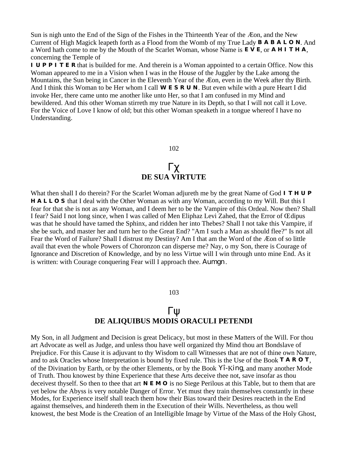Sun is nigh unto the End of the Sign of the Fishes in the Thirteenth Year of the Æon, and the New Current of High Magick leapeth forth as a Flood from the Womb of my True Lady **B A B A L O N**. And a Word hath come to me by the Mouth of the Scarlet Woman, whose Name is **E V E**, or **A H I T H A**, concerning the Temple of

**I U P P I T E R** that is builded for me. And therein is a Woman appointed to a certain Office. Now this Woman appeared to me in a Vision when I was in the House of the Juggler by the Lake among the Mountains, the Sun being in Cancer in the Eleventh Year of the Æon, even in the Week after thy Birth. And I think this Woman to be Her whom I call **W E S R U N**. But even while with a pure Heart I did invoke Her, there came unto me another like unto Her, so that I am confused in my Mind and bewildered. And this other Woman stirreth my true Nature in its Depth, so that I will not call it Love. For the Voice of Love I know of old; but this other Woman speaketh in a tongue whereof I have no Understanding.

102

# **Gc DE SUA VIRTUTE**

What then shall I do therein? For the Scarlet Woman adjureth me by the great Name of God **I** T **H U P H A L L O S** that I deal with the Other Woman as with any Woman, according to my Will. But this I fear for that she is not as any Woman, and I deem her to be the Vampire of this Ordeal. Now then? Shall I fear? Said I not long since, when I was called of Men Eliphaz Levi Zahed, that the Error of Œdipus was that he should have tamed the Sphinx, and ridden her into Thebes? Shall I not take this Vampire, if she be such, and master her and turn her to the Great End? "Am I such a Man as should flee?" Is not all Fear the Word of Failure? Shall I distrust my Destiny? Am I that am the Word of the Æon of so little avail that even the whole Powers of Choronzon can disperse me? Nay, o my Son, there is Courage of Ignorance and Discretion of Knowledge, and by no less Virtue will I win through unto mine End. As it is written: with Courage conquering Fear will I approach thee. *Aumgn*.

103

# **Gy DE ALIQUIBUS MODIS ORACULI PETENDI**

My Son, in all Judgment and Decision is great Delicacy, but most in these Matters of the Will. For thou art Advocate as well as Judge, and unless thou have well organized thy Mind thou art Bondslave of Prejudice. For this Cause it is adjuvant to thy Wisdom to call Witnesses that are not of thine own Nature, and to ask Oracles whose Interpretation is bound by fixed rule. This is the Use of the Book **T A R O T**, of the Divination by Earth, or by the other Elements, or by the Book *Yî-*K*ing*, and many another Mode of Truth. Thou knowest by thine Experience that these Arts deceive thee not, save insofar as thou deceivest thyself. So then to thee that art **N E M O** is no Siege Perilous at this Table, but to them that are yet below the Abyss is very notable Danger of Error. Yet must they train themselves constantly in these Modes, for Experience itself shall teach them how their Bias toward their Desires reacteth in the End against themselves, and hindereth them in the Execution of their Wills. Nevertheless, as thou well knowest, the best Mode is the Creation of an Intelligible Image by Virtue of the Mass of the Holy Ghost,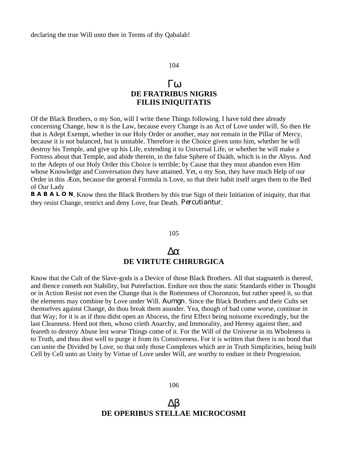104

# **Gw DE FRATRIBUS NIGRIS FILIIS INIQUITATIS**

Of the Black Brothers, o my Son, will I write these Things following. I have told thee already concerning Change, how it is the Law, because every Change is an Act of Love under will. So then He that is Adept Exempt, whether in our Holy Order or another, may not remain in the Pillar of Mercy, because it is not balanced, but is unstable. Therefore is the Choice given unto him, whether he will destroy his Temple, and give up his Life, extending it to Universal Life, or whether he will make a Fortress about that Temple, and abide therein, in the false Sphere of Daäth, which is in the Abyss. And to the Adepts of our Holy Order this Choice is terrible; by Cause that they must abandon even Him whose Knowledge and Conversation they have attained. Yet, o my Son, they have much Help of our Order in this Æon, because the general Formula is Love, so that their habit itself urges them to the Bed of Our Lady

**B A B A L O N**. Know then the Black Brothers by this true Sign of their Initiation of iniquity, that that they resist Change, restrict and deny Love, fear Death. *Percutiantur*.

#### 105

# **Da DE VIRTUTE CHIRURGICA**

Know that the Cult of the Slave-gods is a Device of those Black Brothers. All that stagnateth is thereof, and thence cometh not Stability, but Putrefaction. Endure not thou the static Standards either in Thought or in Action Resist not even the Change that is the Rottenness of Choronzon, but rather speed it, so that the elements may combine by Love under Will. *Aumgn.* Since the Black Brothers and their Cults set themselves against Change, do thou break them asunder. Yea, though of bad come worse, continue in that Way; for it is as if thou didst open an Abscess, the first Effect being noisome exceedingly, but the last Cleanness. Heed not then, whoso crieth Anarchy, and Immorality, and Heresy against thee, and feareth to destroy Abuse lest worse Things come of it. For the Will of the Universe in its Wholeness is to Truth, and thou dost well to purge it from its Constiveness. For it is written that there is no bond that can unite the Divided by Love, so that only those Complexes which are in Truth Simplicities, being built Cell by Cell unto an Unity by Virtue of Love under Will, are worthy to endure in their Progression.

106

**Db DE OPERIBUS STELLAE MICROCOSMI**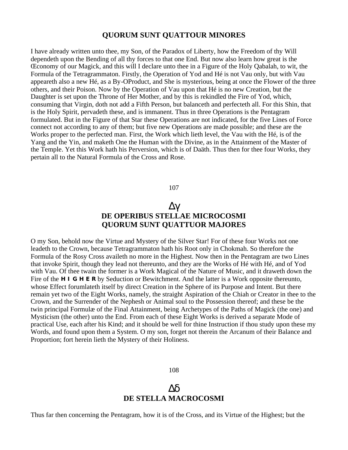#### **QUORUM SUNT QUATTOUR MINORES**

I have already written unto thee, my Son, of the Paradox of Liberty, how the Freedom of thy Will dependeth upon the Bending of all thy forces to that one End. But now also learn how great is the Œconomy of our Magick, and this will I declare unto thee in a Figure of the Holy Qabalah, to wit, the Formula of the Tetragrammaton. Firstly, the Operation of Yod and Hé is not Vau only, but with Vau appeareth also a new Hé, as a By-OProduct, and She is mysterious, being at once the Flower of the three others, and their Poison. Now by the Operation of Vau upon that Hé is no new Creation, but the Daughter is set upon the Throne of Her Mother, and by this is rekindled the Fire of Yod, which, consuming that Virgin, doth not add a Fifth Person, but balanceth and perfecteth all. For this Shin, that is the Holy Spirit, pervadeth these, and is immanent. Thus in three Operations is the Pentagram formulated. But in the Figure of that Star these Operations are not indicated, for the five Lines of Force connect not according to any of them; but five new Operations are made possible; and these are the Works proper to the perfected man. First, the Work which lieth level, the Vau with the Hé, is of the Yang and the Yin, and maketh One the Human with the Divine, as in the Attainment of the Master of the Temple. Yet this Work hath his Perversion, which is of Daäth. Thus then for thee four Works, they pertain all to the Natural Formula of the Cross and Rose.

#### 107

# **Dg DE OPERIBUS STELLAE MICROCOSMI QUORUM SUNT QUATTUOR MAJORES**

O my Son, behold now the Virtue and Mystery of the Silver Star! For of these four Works not one leadeth to the Crown, because Tetragrammaton hath his Root only in Chokmah. So therefore the Formula of the Rosy Cross availeth no more in the Highest. Now then in the Pentagram are two Lines that invoke Spirit, though they lead not thereunto, and they are the Works of Hé with Hé, and of Yod with Vau. Of thee twain the former is a Work Magical of the Nature of Music, and it draweth down the Fire of the **H I G H E R** by Seduction or Bewitchment. And the latter is a Work opposite thereunto, whose Effect forumlateth itself by direct Creation in the Sphere of its Purpose and Intent. But there remain yet two of the Eight Works, namely, the straight Aspiration of the Chiah or Creator in thee to the Crown, and the Surrender of the Nephesh or Animal soul to the Possession thereof; and these be the twin principal Formulæ of the Final Attainment, being Archetypes of the Paths of Magick (the one) and Mysticism (the other) unto the End. From each of these Eight Works is derived a separate Mode of practical Use, each after his Kind; and it should be well for thine Instruction if thou study upon these my Words, and found upon them a System. O my son, forget not therein the Arcanum of their Balance and Proportion; fort herein lieth the Mystery of their Holiness.

#### 108

### **Dd DE STELLA MACROCOSMI**

Thus far then concerning the Pentagram, how it is of the Cross, and its Virtue of the Highest; but the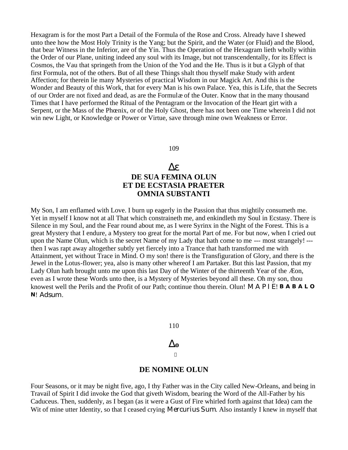Hexagram is for the most Part a Detail of the Formula of the Rose and Cross. Already have I shewed unto thee how the Most Holy Trinity is the Yang; but the Spirit, and the Water (or Fluid) and the Blood, that bear Witness in the Inferior, are of the Yin. Thus the Operation of the Hexagram lieth wholly within the Order of our Plane, uniting indeed any soul with its Image, but not transcendentally, for its Effect is Cosmos, the Vau that springeth from the Union of the Yod and the He. Thus is it but a Glyph of that first Formula, not of the others. But of all these Things shalt thou thyself make Study with ardent Affection; for therein lie many Mysteries of practical Wisdom in our Magick Art. And this is the Wonder and Beauty of this Work, that for every Man is his own Palace. Yea, this is Life, that the Secrets of our Order are not fixed and dead, as are the Formulæ of the Outer. Know that in the many thousand Times that I have performed the Ritual of the Pentagram or the Invocation of the Heart girt with a Serpent, or the Mass of the Phœnix, or of the Holy Ghost, there has not been one Time wherein I did not win new Light, or Knowledge or Power or Virtue, save through mine own Weakness or Error.

109

# **De DE SUA FEMINA OLUN ET DE ECSTASIA PRAETER OMNIA SUBSTANTI**

My Son, I am enflamed with Love. I burn up eagerly in the Passion that thus mightily consumeth me. Yet in myself I know not at all That which constraineth me, and enkindleth my Soul in Ecstasy. There is Silence in my Soul, and the Fear round about me, as I were Syrinx in the Night of the Forest. This is a great Mystery that I endure, a Mystery too great for the mortal Part of me. For but now, when I cried out upon the Name Olun, which is the secret Name of my Lady that hath come to me --- most strangely! -- then I was rapt away altogether subtly yet fiercely into a Trance that hath transformed me with Attainment, yet without Trace in Mind. O my son! there is the Transfiguration of Glory, and there is the Jewel in the Lotus-flower; yea, also is many other whereof I am Partaker. But this last Passion, that my Lady Olun hath brought unto me upon this last Day of the Winter of the thirteenth Year of the Æon, even as I wrote these Words unto thee, is a Mystery of Mysteries beyond all these. Oh my son, thou knowest well the Perils and the Profit of our Path; continue thou therein. Olun! Μ Α Ρ Ι Ε! **B A B A L O N**! *Adsum*.

110

# **Do**  $\Box$

#### **DE NOMINE OLUN**

Four Seasons, or it may be night five, ago, I thy Father was in the City called New-Orleans, and being in Travail of Spirit I did invoke the God that giveth Wisdom, bearing the Word of the All-Father by his Caduceus. Then, suddenly, as I began (as it were a Gust of Fire whirled forth against that Idea) cam the Wit of mine utter Identity, so that I ceased crying *Mercurius Sum*. Also instantly I knew in myself that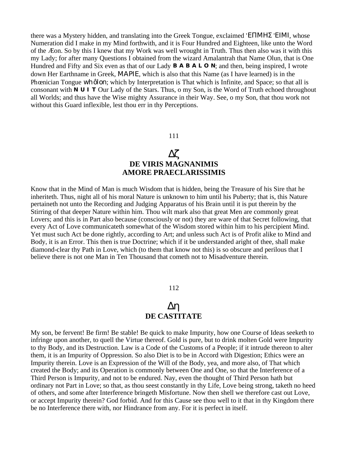there was a Mystery hidden, and translating into the Greek Tongue, exclaimed 'ΕΠΜΗΣ 'ΕΙΜΙ, whose Numeration did I make in my Mind forthwith, and it is Four Hundred and Eighteen, like unto the Word of the Æon. So by this I knew that my Work was well wrought in Truth. Thus then also was it with this my Lady; for after many Questions I obtained from the wizard Amalantrah that Name Olun, that is One Hundred and Fifty and Six even as that of our Lady **B A B A L O N**; and then, being inspired, I wrote down Her Earthname in Greek, ΜΑΡΙΕ, which is also that this Name (as I have learned) is in the Phœnician Tongue *whôlon*; which by Interpretation is That which is Infinite, and Space; so that all is consonant with **N U I T** Our Lady of the Stars. Thus, o my Son, is the Word of Truth echoed throughout all Worlds; and thus have the Wise mighty Assurance in their Way. See, o my Son, that thou work not without this Guard inflexible, lest thou err in thy Perceptions.

#### 111

### **Dz DE VIRIS MAGNANIMIS AMORE PRAECLARISSIMIS**

Know that in the Mind of Man is much Wisdom that is hidden, being the Treasure of his Sire that he inheriteth. Thus, night all of his moral Nature is unknown to him until his Puberty; that is, this Nature pertaineth not unto the Recording and Judging Apparatus of his Brain until it is put therein by the Stirring of that deeper Nature within him. Thou wilt mark also that great Men are commonly great Lovers; and this is in Part also because (consciously or not) they are ware of that Secret following, that every Act of Love communicateth somewhat of the Wisdom stored within him to his percipient Mind. Yet must such Act be done rightly, according to Art; and unless such Act is of Profit alike to Mind and Body, it is an Error. This then is true Doctrine; which if it be understanded aright of thee, shall make diamond-clear thy Path in Love, which (to them that know not this) is so obscure and perilous that I believe there is not one Man in Ten Thousand that cometh not to Misadventure therein.

#### 112

# **Dh DE CASTITATE**

My son, be fervent! Be firm! Be stable! Be quick to make Impurity, how one Course of Ideas seeketh to infringe upon another, to quell the Virtue thereof. Gold is pure, but to drink molten Gold were Impurity to thy Body, and its Destruction. Law is a Code of the Customs of a People; if it intrude thereon to alter them, it is an Impurity of Oppression. So also Diet is to be in Accord with Digestion; Ethics were an Impurity therein. Love is an Expression of the Will of the Body, yea, and more also, of That which created the Body; and its Operation is commonly between One and One, so that the Interference of a Third Person is Impurity, and not to be endured. Nay, even the thought of Third Person hath but ordinary not Part in Love; so that, as thou seest constantly in thy Life, Love being strong, taketh no heed of others, and some after Interference bringeth Misfortune. Now then shell we therefore cast out Love, or accept Impurity therein? God forbid. And for this Cause see thou well to it that in thy Kingdom there be no Interference there with, nor Hindrance from any. For it is perfect in itself.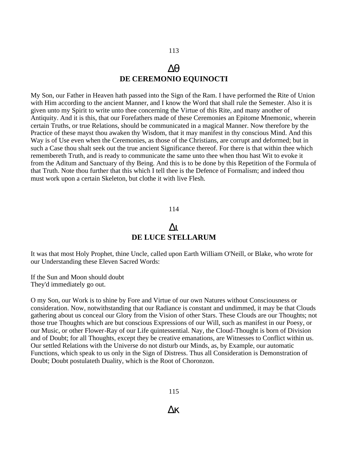# **Dq DE CEREMONIO EQUINOCTI**

My Son, our Father in Heaven hath passed into the Sign of the Ram. I have performed the Rite of Union with Him according to the ancient Manner, and I know the Word that shall rule the Semester. Also it is given unto my Spirit to write unto thee concerning the Virtue of this Rite, and many another of Antiquity. And it is this, that our Forefathers made of these Ceremonies an Epitome Mnemonic, wherein certain Truths, or true Relations, should be communicated in a magical Manner. Now therefore by the Practice of these mayst thou awaken thy Wisdom, that it may manifest in thy conscious Mind. And this Way is of Use even when the Ceremonies, as those of the Christians, are corrupt and deformed; but in such a Case thou shalt seek out the true ancient Significance thereof. For there is that within thee which remembereth Truth, and is ready to communicate the same unto thee when thou hast Wit to evoke it from the Aditum and Sanctuary of thy Being. And this is to be done by this Repetition of the Formula of that Truth. Note thou further that this which I tell thee is the Defence of Formalism; and indeed thou must work upon a certain Skeleton, but clothe it with live Flesh.

#### 114

### **Di DE LUCE STELLARUM**

It was that most Holy Prophet, thine Uncle, called upon Earth William O'Neill, or Blake, who wrote for our Understanding these Eleven Sacred Words:

If the Sun and Moon should doubt They'd immediately go out.

O my Son, our Work is to shine by Fore and Virtue of our own Natures without Consciousness or consideration. Now, notwithstanding that our Radiance is constant and undimmed, it may be that Clouds gathering about us conceal our Glory from the Vision of other Stars. These Clouds are our Thoughts; not those true Thoughts which are but conscious Expressions of our Will, such as manifest in our Poesy, or our Music, or other Flower-Ray of our Life quintessential. Nay, the Cloud-Thought is born of Division and of Doubt; for all Thoughts, except they be creative emanations, are Witnesses to Conflict within us. Our settled Relations with the Universe do not disturb our Minds, as, by Example, our automatic Functions, which speak to us only in the Sign of Distress. Thus all Consideration is Demonstration of Doubt; Doubt postulateth Duality, which is the Root of Choronzon.

**Dk**

#### 113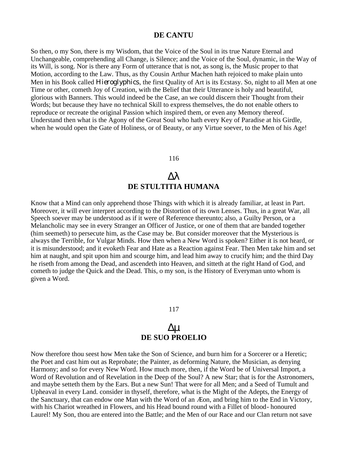#### **DE CANTU**

So then, o my Son, there is my Wisdom, that the Voice of the Soul in its true Nature Eternal and Unchangeable, comprehending all Change, is Silence; and the Voice of the Soul, dynamic, in the Way of its Will, is song. Nor is there any Form of utterance that is not, as song is, the Music proper to that Motion, according to the Law. Thus, as thy Cousin Arthur Machen hath rejoiced to make plain unto Men in his Book called *Hieroglyphics*, the first Quality of Art is its Ecstasy. So, night to all Men at one Time or other, cometh Joy of Creation, with the Belief that their Utterance is holy and beautiful, glorious with Banners. This would indeed be the Case, an we could discern their Thought from their Words; but because they have no technical Skill to express themselves, the do not enable others to reproduce or recreate the original Passion which inspired them, or even any Memory thereof. Understand then what is the Agony of the Great Soul who hath every Key of Paradise at his Girdle, when he would open the Gate of Holiness, or of Beauty, or any Virtue soever, to the Men of his Age!

#### 116

# **Dl DE STULTITIA HUMANA**

Know that a Mind can only apprehend those Things with which it is already familiar, at least in Part. Moreover, it will ever interpret according to the Distortion of its own Lenses. Thus, in a great War, all Speech soever may be understood as if it were of Reference thereunto; also, a Guilty Person, or a Melancholic may see in every Stranger an Officer of Justice, or one of them that are banded together (him seemeth) to persecute him, as the Case may be. But consider moreover that the Mysterious is always the Terrible, for Vulgar Minds. How then when a New Word is spoken? Either it is not heard, or it is misunderstood; and it evoketh Fear and Hate as a Reaction against Fear. Then Men take him and set him at naught, and spit upon him and scourge him, and lead him away to crucify him; and the third Day he riseth from among the Dead, and ascendeth into Heaven, and sitteth at the right Hand of God, and cometh to judge the Quick and the Dead. This, o my son, is the History of Everyman unto whom is given a Word.

#### 117

# **Dm DE SUO PROELIO**

Now therefore thou seest how Men take the Son of Science, and burn him for a Sorcerer or a Heretic; the Poet and cast him out as Reprobate; the Painter, as deforming Nature, the Musician, as denying Harmony; and so for every New Word. How much more, then, if the Word be of Universal Import, a Word of Revolution and of Revelation in the Deep of the Soul? A new Star; that is for the Astronomers, and maybe setteth them by the Ears. But a new Sun! That were for all Men; and a Seed of Tumult and Upheaval in every Land. consider in thyself, therefore, what is the Might of the Adepts, the Energy of the Sanctuary, that can endow one Man with the Word of an Æon, and bring him to the End in Victory, with his Chariot wreathed in Flowers, and his Head bound round with a Fillet of blood- honoured Laurel! My Son, thou are entered into the Battle; and the Men of our Race and our Clan return not save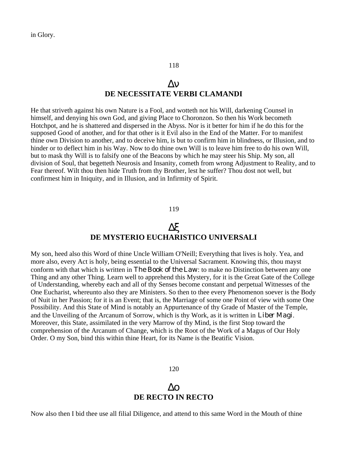118

# **Dn DE NECESSITATE VERBI CLAMANDI**

He that striveth against his own Nature is a Fool, and wotteth not his Will, darkening Counsel in himself, and denying his own God, and giving Place to Choronzon. So then his Work becometh Hotchpot, and he is shattered and dispersed in the Abyss. Nor is it better for him if he do this for the supposed Good of another, and for that other is it Evil also in the End of the Matter. For to manifest thine own Division to another, and to deceive him, is but to confirm him in blindness, or Illusion, and to hinder or to deflect him in his Way. Now to do thine own Will is to leave him free to do his own Will, but to mask thy Will is to falsify one of the Beacons by which he may steer his Ship. My son, all division of Soul, that begetteth Neurosis and Insanity, cometh from wrong Adjustment to Reality, and to Fear thereof. Wilt thou then hide Truth from thy Brother, lest he suffer? Thou dost not well, but confirmest him in Iniquity, and in Illusion, and in Infirmity of Spirit.

119

# **Dx DE MYSTERIO EUCHARISTICO UNIVERSALI**

My son, heed also this Word of thine Uncle William O'Neill; Everything that lives is holy. Yea, and more also, every Act is holy, being essential to the Universal Sacrament. Knowing this, thou mayst conform with that which is written in *The Book of the Law*: to make no Distinction between any one Thing and any other Thing. Learn well to apprehend this Mystery, for it is the Great Gate of the College of Understanding, whereby each and all of thy Senses become constant and perpetual Witnesses of the One Eucharist, whereunto also they are Ministers. So then to thee every Phenomenon soever is the Body of Nuit in her Passion; for it is an Event; that is, the Marriage of some one Point of view with some One Possibility. And this State of Mind is notably an Appurtenance of thy Grade of Master of the Temple, and the Unveiling of the Arcanum of Sorrow, which is thy Work, as it is written in *Liber Magi*. Moreover, this State, assimilated in the very Marrow of thy Mind, is the first Stop toward the comprehension of the Arcanum of Change, which is the Root of the Work of a Magus of Our Holy Order. O my Son, bind this within thine Heart, for its Name is the Beatific Vision.

120

### **Do DE RECTO IN RECTO**

Now also then I bid thee use all filial Diligence, and attend to this same Word in the Mouth of thine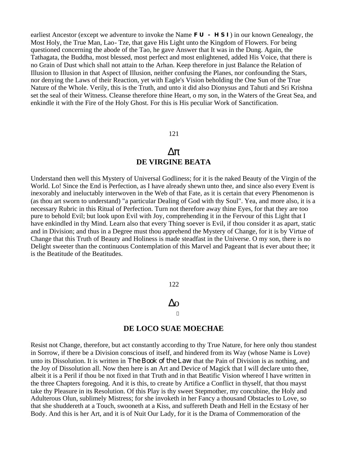earliest Ancestor (except we adventure to invoke the Name **F U - H S I**) in our known Genealogy, the Most Holy, the True Man, Lao- Tze, that gave His Light unto the Kingdom of Flowers. For being questioned concerning the abode of the Tao, he gave Answer that It was in the Dung. Again, the Tathagata, the Buddha, most blessed, most perfect and most enlightened, added His Voice, that there is no Grain of Dust which shall not attain to the Arhan. Keep therefore in just Balance the Relation of Illusion to Illusion in that Aspect of Illusion, neither confusing the Planes, nor confounding the Stars, nor denying the Laws of their Reaction, yet with Eagle's Vision beholding the One Sun of the True Nature of the Whole. Verily, this is the Truth, and unto it did also Dionysus and Tahuti and Sri Krishna set the seal of their Witness. Cleanse therefore thine Heart, o my son, in the Waters of the Great Sea, and enkindle it with the Fire of the Holy Ghost. For this is His peculiar Work of Sanctification.

#### 121

# **Dp DE VIRGINE BEATA**

Understand then well this Mystery of Universal Godliness; for it is the naked Beauty of the Virgin of the World. Lo! Since the End is Perfection, as I have already shewn unto thee, and since also every Event is inexorably and ineluctably interwoven in the Web of that Fate, as it is certain that every Phenomenon is (as thou art sworn to understand) "a particular Dealing of God with thy Soul". Yea, and more also, it is a necessary Rubric in this Ritual of Perfection. Turn not therefore away thine Eyes, for that they are too pure to behold Evil; but look upon Evil with Joy, comprehending it in the Fervour of this Light that I have enkindled in thy Mind. Learn also that every Thing soever is Evil, if thou consider it as apart, static and in Division; and thus in a Degree must thou apprehend the Mystery of Change, for it is by Virtue of Change that this Truth of Beauty and Holiness is made steadfast in the Universe. O my son, there is no Delight sweeter than the continuous Contemplation of this Marvel and Pageant that is ever about thee; it is the Beatitude of the Beatitudes.

#### 122

### Δo

# - 1 **DE LOCO SUAE MOECHAE**

Resist not Change, therefore, but act constantly according to thy True Nature, for here only thou standest in Sorrow, if there be a Division conscious of itself, and hindered from its Way (whose Name is Love) unto its Dissolution. It is written in *The Book of the Law* that the Pain of Division is as nothing, and the Joy of Dissolution all. Now then here is an Art and Device of Magick that I will declare unto thee, albeit it is a Peril if thou be not fixed in that Truth and in that Beatific Vision whereof I have written in the three Chapters foregoing. And it is this, to create by Artifice a Conflict in thyself, that thou mayst take thy Pleasure in its Resolution. Of this Play is thy sweet Stepmother, my concubine, the Holy and Adulterous Olun, sublimely Mistress; for she invoketh in her Fancy a thousand Obstacles to Love, so that she shuddereth at a Touch, swooneth at a Kiss, and suffereth Death and Hell in the Ecstasy of her Body. And this is her Art, and it is of Nuit Our Lady, for it is the Drama of Commemoration of the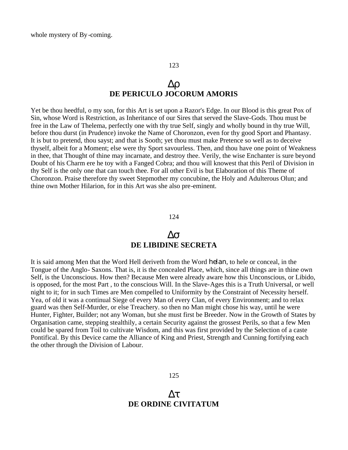123

# **Dr DE PERICULO JOCORUM AMORIS**

Yet be thou heedful, o my son, for this Art is set upon a Razor's Edge. In our Blood is this great Pox of Sin, whose Word is Restriction, as Inheritance of our Sires that served the Slave-Gods. Thou must be free in the Law of Thelema, perfectly one with thy true Self, singly and wholly bound in thy true Will, before thou durst (in Prudence) invoke the Name of Choronzon, even for thy good Sport and Phantasy. It is but to pretend, thou sayst; and that is Sooth; yet thou must make Pretence so well as to deceive thyself, albeit for a Moment; else were thy Sport savourless. Then, and thou have one point of Weakness in thee, that Thought of thine may incarnate, and destroy thee. Verily, the wise Enchanter is sure beyond Doubt of his Charm ere he toy with a Fanged Cobra; and thou will knowest that this Peril of Division in thy Self is the only one that can touch thee. For all other Evil is but Elaboration of this Theme of Choronzon. Praise therefore thy sweet Stepmother my concubine, the Holy and Adulterous Olun; and thine own Mother Hilarion, for in this Art was she also pre-eminent.

#### 124

# **Ds DE LIBIDINE SECRETA**

It is said among Men that the Word Hell deriveth from the Word *helan*, to hele or conceal, in the Tongue of the Anglo- Saxons. That is, it is the concealed Place, which, since all things are in thine own Self, is the Unconscious. How then? Because Men were already aware how this Unconscious, or Libido, is opposed, for the most Part , to the conscious Will. In the Slave-Ages this is a Truth Universal, or well night to it; for in such Times are Men compelled to Uniformity by the Constraint of Necessity herself. Yea, of old it was a continual Siege of every Man of every Clan, of every Environment; and to relax guard was then Self-Murder, or else Treachery. so then no Man might chose his way, until he were Hunter, Fighter, Builder; not any Woman, but she must first be Breeder. Now in the Growth of States by Organisation came, stepping stealthily, a certain Security against the grossest Perils, so that a few Men could be spared from Toil to cultivate Wisdom, and this was first provided by the Selection of a caste Pontifical. By this Device came the Alliance of King and Priest, Strength and Cunning fortifying each the other through the Division of Labour.

#### 125

# **Dt DE ORDINE CIVITATUM**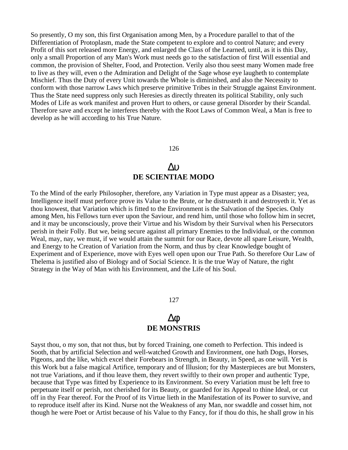So presently, O my son, this first Organisation among Men, by a Procedure parallel to that of the Differentiation of Protoplasm, made the State competent to explore and to control Nature; and every Profit of this sort released more Energy, and enlarged the Class of the Learned, until, as it is this Day, only a small Proportion of any Man's Work must needs go to the satisfaction of first Will essential and common, the provision of Shelter, Food, and Protection. Verily also thou seest many Women made free to live as they will, even o the Admiration and Delight of the Sage whose eye laugheth to contemplate Mischief. Thus the Duty of every Unit towards the Whole is diminished, and also the Necessity to conform with those narrow Laws which preserve primitive Tribes in their Struggle against Environment. Thus the State need suppress only such Heresies as directly threaten its political Stability, only such Modes of Life as work manifest and proven Hurt to others, or cause general Disorder by their Scandal. Therefore save and except he interferes thereby with the Root Laws of Common Weal, a Man is free to develop as he will according to his True Nature.

#### 126

### **Du DE SCIENTIAE MODO**

To the Mind of the early Philosopher, therefore, any Variation in Type must appear as a Disaster; yea, Intelligence itself must perforce prove its Value to the Brute, or he distrusteth it and destroyeth it. Yet as thou knowest, that Variation which is fitted to the Environment is the Salvation of the Species. Only among Men, his Fellows turn ever upon the Saviour, and rend him, until those who follow him in secret, and it may be unconsciously, prove their Virtue and his Wisdom by their Survival when his Persecutors perish in their Folly. But we, being secure against all primary Enemies to the Individual, or the common Weal, may, nay, we must, if we would attain the summit for our Race, devote all spare Leisure, Wealth, and Energy to he Creation of Variation from the Norm, and thus by clear Knowledge bought of Experiment and of Experience, move with Eyes well open upon our True Path. So therefore Our Law of Thelema is justified also of Biology and of Social Science. It is the true Way of Nature, the right Strategy in the Way of Man with his Environment, and the Life of his Soul.

#### 127

# **Df DE MONSTRIS**

Sayst thou, o my son, that not thus, but by forced Training, one cometh to Perfection. This indeed is Sooth, that by artificial Selection and well-watched Growth and Environment, one hath Dogs, Horses, Pigeons, and the like, which excel their Forebears in Strength, in Beauty, in Speed, as one will. Yet is this Work but a false magical Artifice, temporary and of Illusion; for thy Masterpieces are but Monsters, not true Variations, and if thou leave them, they revert swiftly to their own proper and authentic Type, because that Type was fitted by Experience to its Environment. So every Variation must be left free to perpetuate itself or perish, not cherished for its Beauty, or guarded for its Appeal to thine Ideal, or cut off in thy Fear thereof. For the Proof of its Virtue lieth in the Manifestation of its Power to survive, and to reproduce itself after its Kind. Nurse not the Weakness of any Man, nor swaddle and cosset him, not though he were Poet or Artist because of his Value to thy Fancy, for if thou do this, he shall grow in his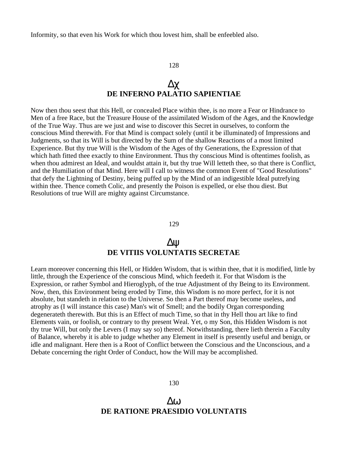Informity, so that even his Work for which thou lovest him, shall be enfeebled also.

128

# **Dc DE INFERNO PALATIO SAPIENTIAE**

Now then thou seest that this Hell, or concealed Place within thee, is no more a Fear or Hindrance to Men of a free Race, but the Treasure House of the assimilated Wisdom of the Ages, and the Knowledge of the True Way. Thus are we just and wise to discover this Secret in ourselves, to conform the conscious Mind therewith. For that Mind is compact solely (until it be illuminated) of Impressions and Judgments, so that its Will is but directed by the Sum of the shallow Reactions of a most limited Experience. But thy true Will is the Wisdom of the Ages of thy Generations, the Expression of that which hath fitted thee exactly to thine Environment. Thus thy conscious Mind is oftentimes foolish, as when thou admirest an Ideal, and wouldst attain it, but thy true Will letteth thee, so that there is Conflict, and the Humiliation of that Mind. Here will I call to witness the common Event of "Good Resolutions" that defy the Lightning of Destiny, being puffed up by the Mind of an indigestible Ideal putrefying within thee. Thence cometh Colic, and presently the Poison is expelled, or else thou diest. But Resolutions of true Will are mighty against Circumstance.

#### 129

# **Dy DE VITIIS VOLUNTATIS SECRETAE**

Learn moreover concerning this Hell, or Hidden Wisdom, that is within thee, that it is modified, little by little, through the Experience of the conscious Mind, which feedeth it. For that Wisdom is the Expression, or rather Symbol and Hieroglyph, of the true Adjustment of thy Being to its Environment. Now, then, this Environment being eroded by Time, this Wisdom is no more perfect, for it is not absolute, but standeth in relation to the Universe. So then a Part thereof may become useless, and atrophy as (I will instance this case) Man's wit of Smell; and the bodily Organ corresponding degenerateth therewith. But this is an Effect of much Time, so that in thy Hell thou art like to find Elements vain, or foolish, or contrary to thy present Weal. Yet, o my Son, this Hidden Wisdom is not thy true Will, but only the Levers (I may say so) thereof. Notwithstanding, there lieth therein a Faculty of Balance, whereby it is able to judge whether any Element in itself is presently useful and benign, or idle and malignant. Here then is a Root of Conflict between the Conscious and the Unconscious, and a Debate concerning the right Order of Conduct, how the Will may be accomplished.

#### 130

# **Dw DE RATIONE PRAESIDIO VOLUNTATIS**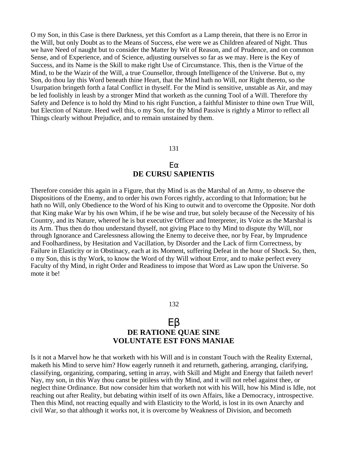O my Son, in this Case is there Darkness, yet this Comfort as a Lamp therein, that there is no Error in the Will, but only Doubt as to the Means of Success, else were we as Children afeared of Night. Thus we have Need of naught but to consider the Matter by Wit of Reason, and of Prudence, and on common Sense, and of Experience, and of Science, adjusting ourselves so far as we may. Here is the Key of Success, and its Name is the Skill to make right Use of Circumstance. This, then is the Virtue of the Mind, to be the Wazir of the Will, a true Counsellor, through Intelligence of the Universe. But o, my Son, do thou lay this Word beneath thine Heart, that the Mind hath no Will, nor Right thereto, so the Usurpation bringeth forth a fatal Conflict in thyself. For the Mind is sensitive, unstable as Air, and may be led foolishly in leash by a stronger Mind that worketh as the cunning Tool of a Will. Therefore thy Safety and Defence is to hold thy Mind to his right Function, a faithful Minister to thine own True Will, but Election of Nature. Heed well this, o my Son, for thy Mind Passive is rightly a Mirror to reflect all Things clearly without Prejudice, and to remain unstained by them.

#### 131

#### **Ea DE CURSU SAPIENTIS**

Therefore consider this again in a Figure, that thy Mind is as the Marshal of an Army, to observe the Dispositions of the Enemy, and to order his own Forces rightly, according to that Information; but he hath no Will, only Obedience to the Word of his King to outwit and to overcome the Opposite. Nor doth that King make War by his own Whim, if he be wise and true, but solely because of the Necessity of his Country, and its Nature, whereof he is but executive Officer and Interpreter, its Voice as the Marshal is its Arm. Thus then do thou understand thyself, not giving Place to thy Mind to dispute thy Will, nor through Ignorance and Carelessness allowing the Enemy to deceive thee, nor by Fear, by Imprudence and Foolhardiness, by Hesitation and Vacillation, by Disorder and the Lack of firm Correctness, by Failure in Elasticity or in Obstinacy, each at its Moment, suffering Defeat in the hour of Shock. So, then, o my Son, this is thy Work, to know the Word of thy Will without Error, and to make perfect every Faculty of thy Mind, in right Order and Readiness to impose that Word as Law upon the Universe. So mote it be!

#### 132

# **Eb DE RATIONE QUAE SINE VOLUNTATE EST FONS MANIAE**

Is it not a Marvel how he that worketh with his Will and is in constant Touch with the Reality External, maketh his Mind to serve him? How eagerly runneth it and returneth, gathering, arranging, clarifying, classifying, organizing, comparing, setting in array, with Skill and Might and Energy that faileth never! Nay, my son, in this Way thou canst be pitiless with thy Mind, and it will not rebel against thee, or neglect thine Ordinance. But now consider him that worketh not with his Will, how his Mind is Idle, not reaching out after Reality, but debating within itself of its own Affairs, like a Democracy, introspective. Then this Mind, not reacting equally and with Elasticity to the World, is lost in its own Anarchy and civil War, so that although it works not, it is overcome by Weakness of Division, and becometh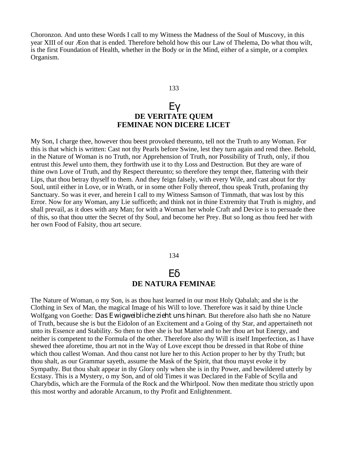Choronzon. And unto these Words I call to my Witness the Madness of the Soul of Muscovy, in this year XIII of our Æon that is ended. Therefore behold how this our Law of Thelema, Do what thou wilt, is the first Foundation of Health, whether in the Body or in the Mind, either of a simple, or a complex Organism.

#### 133

### **Eg DE VERITATE QUEM FEMINAE NON DICERE LICET**

My Son, I charge thee, however thou beest provoked thereunto, tell not the Truth to any Woman. For this is that which is written: Cast not thy Pearls before Swine, lest they turn again and rend thee. Behold, in the Nature of Woman is no Truth, nor Apprehension of Truth, nor Possibility of Truth, only, if thou entrust this Jewel unto them, they forthwith use it to thy Loss and Destruction. But they are ware of thine own Love of Truth, and thy Respect thereunto; so therefore they tempt thee, flattering with their Lips, that thou betray thyself to them. And they feign falsely, with every Wile, and cast about for thy Soul, until either in Love, or in Wrath, or in some other Folly thereof, thou speak Truth, profaning thy Sanctuary. So was it ever, and herein I call to my Witness Samson of Timmath, that was lost by this Error. Now for any Woman, any Lie sufficeth; and think not in thine Extremity that Truth is mighty, and shall prevail, as it does with any Man; for with a Woman her whole Craft and Device is to persuade thee of this, so that thou utter the Secret of thy Soul, and become her Prey. But so long as thou feed her with her own Food of Falsity, thou art secure.

#### 134

# **Ed DE NATURA FEMINAE**

The Nature of Woman, o my Son, is as thou hast learned in our most Holy Qabalah; and she is the Clothing in Sex of Man, the magical Image of his Will to love. Therefore was it said by thine Uncle Wolfgang von Goethe: *Das Ewigweibliche zieht uns hinan*. But therefore also hath she no Nature of Truth, because she is but the Eidolon of an Excitement and a Going of thy Star, and appertaineth not unto its Essence and Stability. So then to thee she is but Matter and to her thou art but Energy, and neither is competent to the Formula of the other. Therefore also thy Will is itself Imperfection, as I have shewed thee aforetime, thou art not in the Way of Love except thou be dressed in that Robe of thine which thou callest Woman. And thou canst not lure her to this Action proper to her by thy Truth; but thou shalt, as our Grammar sayeth, assume the Mask of the Spirit, that thou mayst evoke it by Sympathy. But thou shalt appear in thy Glory only when she is in thy Power, and bewildered utterly by Ecstasy. This is a Mystery, o my Son, and of old Times it was Declared in the Fable of Scylla and Charybdis, which are the Formula of the Rock and the Whirlpool. Now then meditate thou strictly upon this most worthy and adorable Arcanum, to thy Profit and Enlightenment.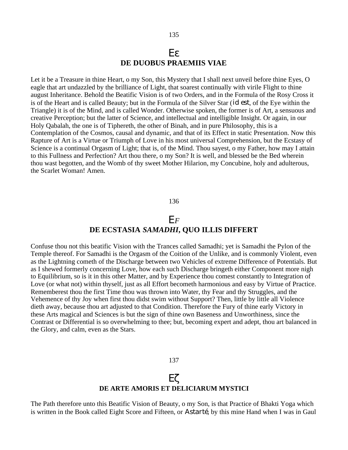# **Ee DE DUOBUS PRAEMIIS VIAE**

Let it be a Treasure in thine Heart, o my Son, this Mystery that I shall next unveil before thine Eyes, O eagle that art undazzled by the brilliance of Light, that soarest continually with virile Flight to thine august Inheritance. Behold the Beatific Vision is of two Orders, and in the Formula of the Rosy Cross it is of the Heart and is called Beauty; but in the Formula of the Silver Star (*id est*, of the Eye within the Triangle) it is of the Mind, and is called Wonder. Otherwise spoken, the former is of Art, a sensuous and creative Perception; but the latter of Science, and intellectual and intelligible Insight. Or again, in our Holy Qabalah, the one is of Tiphereth, the other of Binah, and in pure Philosophy, this is a Contemplation of the Cosmos, causal and dynamic, and that of its Effect in static Presentation. Now this Rapture of Art is a Virtue or Triumph of Love in his most universal Comprehension, but the Ecstasy of Science is a continual Orgasm of Light; that is, of the Mind. Thou sayest, o my Father, how may I attain to this Fullness and Perfection? Art thou there, o my Son? It is well, and blessed be the Bed wherein thou wast begotten, and the Womb of thy sweet Mother Hilarion, my Concubine, holy and adulterous, the Scarlet Woman! Amen.

#### 136

# **E***F* **DE ECSTASIA** *SAMADHI***, QUO ILLIS DIFFERT**

Confuse thou not this beatific Vision with the Trances called Samadhi; yet is Samadhi the Pylon of the Temple thereof. For Samadhi is the Orgasm of the Coition of the Unlike, and is commonly Violent, even as the Lightning cometh of the Discharge between two Vehicles of extreme Difference of Potentials. But as I shewed formerly concerning Love, how each such Discharge bringeth either Component more nigh to Equilibrium, so is it in this other Matter, and by Experience thou comest constantly to Integration of Love (or what not) within thyself, just as all Effort becometh harmonious and easy by Virtue of Practice. Rememberest thou the first Time thou was thrown into Water, thy Fear and thy Struggles, and the Vehemence of thy Joy when first thou didst swim without Support? Then, little by little all Violence dieth away, because thou art adjusted to that Condition. Therefore the Fury of thine early Victory in these Arts magical and Sciences is but the sign of thine own Baseness and Unworthiness, since the Contrast or Differential is so overwhelming to thee; but, becoming expert and adept, thou art balanced in the Glory, and calm, even as the Stars.

137

# **Ez**

# **DE ARTE AMORIS ET DELICIARUM MYSTICI**

The Path therefore unto this Beatific Vision of Beauty, o my Son, is that Practice of Bhakti Yoga which is written in the Book called Eight Score and Fifteen, or *Astarté*, by this mine Hand when I was in Gaul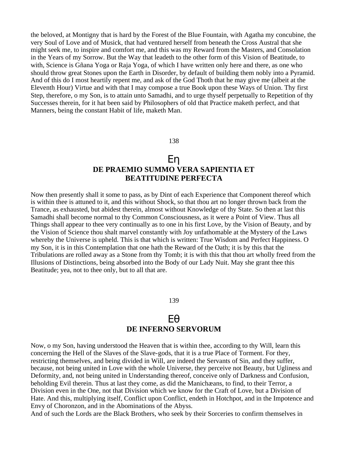the beloved, at Montigny that is hard by the Forest of the Blue Fountain, with Agatha my concubine, the very Soul of Love and of Musick, that had ventured herself from beneath the Cross Austral that she might seek me, to inspire and comfort me, and this was my Reward from the Masters, and Consolation in the Years of my Sorrow. But the Way that leadeth to the other form of this Vision of Beatitude, to with, Science is Gñana Yoga or Raja Yoga, of which I have written only here and there, as one who should throw great Stones upon the Earth in Disorder, by default of building them nobly into a Pyramid. And of this do I most heartily repent me, and ask of the God Thoth that he may give me (albeit at the Eleventh Hour) Virtue and with that I may compose a true Book upon these Ways of Union. Thy first Step, therefore, o my Son, is to attain unto Samadhi, and to urge thyself perpetually to Repetition of thy Successes therein, for it hat been said by Philosophers of old that Practice maketh perfect, and that Manners, being the constant Habit of life, maketh Man.

#### 138

# **Eh DE PRAEMIO SUMMO VERA SAPIENTIA ET BEATITUDINE PERFECTA**

Now then presently shall it some to pass, as by Dint of each Experience that Component thereof which is within thee is attuned to it, and this without Shock, so that thou art no longer thrown back from the Trance, as exhausted, but abidest therein, almost without Knowledge of thy State. So then at last this Samadhi shall become normal to thy Common Consciousness, as it were a Point of View. Thus all Things shall appear to thee very continually as to one in his first Love, by the Vision of Beauty, and by the Vision of Science thou shalt marvel constantly with Joy unfathomable at the Mystery of the Laws whereby the Universe is upheld. This is that which is written: True Wisdom and Perfect Happiness. O my Son, it is in this Contemplation that one hath the Reward of the Oath; it is by this that the Tribulations are rolled away as a Stone from thy Tomb; it is with this that thou art wholly freed from the Illusions of Distinctions, being absorbed into the Body of our Lady Nuit. May she grant thee this Beatitude; yea, not to thee only, but to all that are.

#### 139

# **Eq DE INFERNO SERVORUM**

Now, o my Son, having understood the Heaven that is within thee, according to thy Will, learn this concerning the Hell of the Slaves of the Slave-gods, that it is a true Place of Torment. For they, restricting themselves, and being divided in Will, are indeed the Servants of Sin, and they suffer, because, not being united in Love with the whole Universe, they perceive not Beauty, but Ugliness and Deformity, and, not being united in Understanding thereof, conceive only of Darkness and Confusion, beholding Evil therein. Thus at last they come, as did the Manichæans, to find, to their Terror, a Division even in the One, not that Division which we know for the Craft of Love, but a Division of Hate. And this, multiplying itself, Conflict upon Conflict, endeth in Hotchpot, and in the Impotence and Envy of Choronzon, and in the Abominations of the Abyss.

And of such the Lords are the Black Brothers, who seek by their Sorceries to confirm themselves in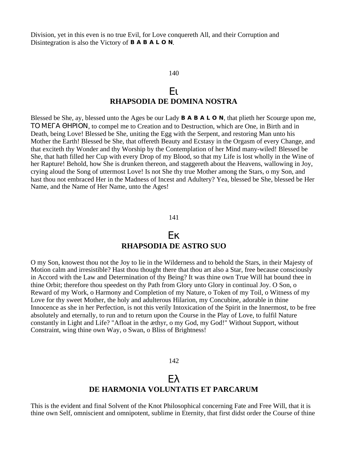Division, yet in this even is no true Evil, for Love conquereth All, and their Corruption and Disintegration is also the Victory of **B A B A L O N**.

140

# **Ei RHAPSODIA DE DOMINA NOSTRA**

Blessed be She, ay, blessed unto the Ages be our Lady **B A B A L O N**, that plieth her Scourge upon me, ΤΟ ΜΕΓΑ ΘΗΡΙΟΝ, to compel me to Creation and to Destruction, which are One, in Birth and in Death, being Love! Blessed be She, uniting the Egg with the Serpent, and restoring Man unto his Mother the Earth! Blessed be She, that offereth Beauty and Ecstasy in the Orgasm of every Change, and that exciteth thy Wonder and thy Worship by the Contemplation of her Mind many-wiled! Blessed be She, that hath filled her Cup with every Drop of my Blood, so that my Life is lost wholly in the Wine of her Rapture! Behold, how She is drunken thereon, and staggereth about the Heavens, wallowing in Joy, crying aloud the Song of uttermost Love! Is not She thy true Mother among the Stars, o my Son, and hast thou not embraced Her in the Madness of Incest and Adultery? Yea, blessed be She, blessed be Her Name, and the Name of Her Name, unto the Ages!

#### 141

# **Ek RHAPSODIA DE ASTRO SUO**

O my Son, knowest thou not the Joy to lie in the Wilderness and to behold the Stars, in their Majesty of Motion calm and irresistible? Hast thou thought there that thou art also a Star, free because consciously in Accord with the Law and Determination of thy Being? It was thine own True Will hat bound thee in thine Orbit; therefore thou speedest on thy Path from Glory unto Glory in continual Joy. O Son, o Reward of my Work, o Harmony and Completion of my Nature, o Token of my Toil, o Witness of my Love for thy sweet Mother, the holy and adulterous Hilarion, my Concubine, adorable in thine Innocence as she in her Perfection, is not this verily Intoxication of the Spirit in the Innermost, to be free absolutely and eternally, to run and to return upon the Course in the Play of Love, to fulfil Nature constantly in Light and Life? "Afloat in the æthyr, o my God, my God!" Without Support, without Constraint, wing thine own Way, o Swan, o Bliss of Brightness!

142

### **El**

#### **DE HARMONIA VOLUNTATIS ET PARCARUM**

This is the evident and final Solvent of the Knot Philosophical concerning Fate and Free Will, that it is thine own Self, omniscient and omnipotent, sublime in Eternity, that first didst order the Course of thine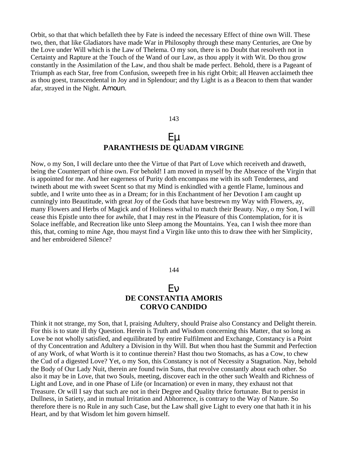Orbit, so that that which befalleth thee by Fate is indeed the necessary Effect of thine own Will. These two, then, that like Gladiators have made War in Philosophy through these many Centuries, are One by the Love under Will which is the Law of Thelema. O my son, there is no Doubt that resolveth not in Certainty and Rapture at the Touch of the Wand of our Law, as thou apply it with Wit. Do thou grow constantly in the Assimilation of the Law, and thou shalt be made perfect. Behold, there is a Pageant of Triumph as each Star, free from Confusion, sweepeth free in his right Orbit; all Heaven acclaimeth thee as thou goest, transcendental in Joy and in Splendour; and thy Light is as a Beacon to them that wander afar, strayed in the Night. *Amoun*.

#### 143

# **Em PARANTHESIS DE QUADAM VIRGINE**

Now, o my Son, I will declare unto thee the Virtue of that Part of Love which receiveth and draweth, being the Counterpart of thine own. For behold! I am moved in myself by the Absence of the Virgin that is appointed for me. And her eagerness of Purity doth encompass me with its soft Tenderness, and twineth about me with sweet Scent so that my Mind is enkindled with a gentle Flame, luminous and subtle, and I write unto thee as in a Dream; for in this Enchantment of her Devotion I am caught up cunningly into Beautitude, with great Joy of the Gods that have bestrewn my Way with Flowers, ay, many Flowers and Herbs of Magick and of Holiness withal to match their Beauty. Nay, o my Son, I will cease this Epistle unto thee for awhile, that I may rest in the Pleasure of this Contemplation, for it is Solace ineffable, and Recreation like unto Sleep among the Mountains. Yea, can I wish thee more than this, that, coming to mine Age, thou mayst find a Virgin like unto this to draw thee with her Simplicity, and her embroidered Silence?

#### 144

### **En DE CONSTANTIA AMORIS CORVO CANDIDO**

Think it not strange, my Son, that I, praising Adultery, should Praise also Constancy and Delight therein. For this is to state ill thy Question. Herein is Truth and Wisdom concerning this Matter, that so long as Love be not wholly satisfied, and equilibrated by entire Fulfilment and Exchange, Constancy is a Point of thy Concentration and Adultery a Division in thy Will. But when thou hast the Summit and Perfection of any Work, of what Worth is it to continue therein? Hast thou two Stomachs, as has a Cow, to chew the Cud of a digested Love? Yet, o my Son, this Constancy is not of Necessity a Stagnation. Nay, behold the Body of Our Lady Nuit, therein are found twin Suns, that revolve constantly about each other. So also it may be in Love, that two Souls, meeting, discover each in the other such Wealth and Richness of Light and Love, and in one Phase of Life (or Incarnation) or even in many, they exhaust not that Treasure. Or will I say that such are not in their Degree and Quality thrice fortunate. But to persist in Dullness, in Satiety, and in mutual Irritation and Abhorrence, is contrary to the Way of Nature. So therefore there is no Rule in any such Case, but the Law shall give Light to every one that hath it in his Heart, and by that Wisdom let him govern himself.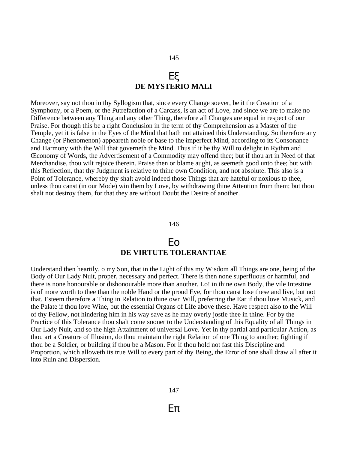# **Ex DE MYSTERIO MALI**

145

Moreover, say not thou in thy Syllogism that, since every Change soever, be it the Creation of a Symphony, or a Poem, or the Putrefaction of a Carcass, is an act of Love, and since we are to make no Difference between any Thing and any other Thing, therefore all Changes are equal in respect of our Praise. For though this be a right Conclusion in the term of thy Comprehension as a Master of the Temple, yet it is false in the Eyes of the Mind that hath not attained this Understanding. So therefore any Change (or Phenomenon) appeareth noble or base to the imperfect Mind, according to its Consonance and Harmony with the Will that governeth the Mind. Thus if it be thy Will to delight in Rythm and Œconomy of Words, the Advertisement of a Commodity may offend thee; but if thou art in Need of that Merchandise, thou wilt rejoice therein. Praise then or blame aught, as seemeth good unto thee; but with this Reflection, that thy Judgment is relative to thine own Condition, and not absolute. This also is a Point of Tolerance, whereby thy shalt avoid indeed those Things that are hateful or noxious to thee, unless thou canst (in our Mode) win them by Love, by withdrawing thine Attention from them; but thou shalt not destroy them, for that they are without Doubt the Desire of another.

146

### **Eo DE VIRTUTE TOLERANTIAE**

Understand then heartily, o my Son, that in the Light of this my Wisdom all Things are one, being of the Body of Our Lady Nuit, proper, necessary and perfect. There is then none superfluous or harmful, and there is none honourable or dishonourable more than another. Lo! in thine own Body, the vile Intestine is of more worth to thee than the noble Hand or the proud Eye, for thou canst lose these and live, but not that. Esteem therefore a Thing in Relation to thine own Will, preferring the Ear if thou love Musick, and the Palate if thou love Wine, but the essential Organs of Life above these. Have respect also to the Will of thy Fellow, not hindering him in his way save as he may overly jostle thee in thine. For by the Practice of this Tolerance thou shalt come sooner to the Understanding of this Equality of all Things in Our Lady Nuit, and so the high Attainment of universal Love. Yet in thy partial and particular Action, as thou art a Creature of Illusion, do thou maintain the right Relation of one Thing to another; fighting if thou be a Soldier, or building if thou be a Mason. For if thou hold not fast this Discipline and Proportion, which alloweth its true Will to every part of thy Being, the Error of one shall draw all after it into Ruin and Dispersion.

147

**Ep**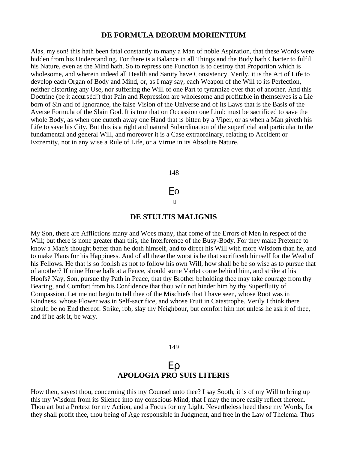#### **DE FORMULA DEORUM MORIENTIUM**

Alas, my son! this hath been fatal constantly to many a Man of noble Aspiration, that these Words were hidden from his Understanding. For there is a Balance in all Things and the Body hath Charter to fulfil his Nature, even as the Mind hath. So to repress one Function is to destroy that Proportion which is wholesome, and wherein indeed all Health and Sanity have Consistency. Verily, it is the Art of Life to develop each Organ of Body and Mind, or, as I may say, each Weapon of the Will to its Perfection, neither distorting any Use, nor suffering the Will of one Part to tyrannize over that of another. And this Doctrine (be it accursèd!) that Pain and Repression are wholesome and profitable in themselves is a Lie born of Sin and of Ignorance, the false Vision of the Universe and of its Laws that is the Basis of the Averse Formula of the Slain God. It is true that on Occassion one Limb must be sacrificed to save the whole Body, as when one cutteth away one Hand that is bitten by a Viper, or as when a Man giveth his Life to save his City. But this is a right and natural Subordination of the superficial and particular to the fundamental and general Will, and moreover it is a Case extraordinary, relating to Accident or Extremity, not in any wise a Rule of Life, or a Virtue in its Absolute Nature.

#### 148

### **E**o  $\mathbf{I}$

#### **DE STULTIS MALIGNIS**

My Son, there are Afflictions many and Woes many, that come of the Errors of Men in respect of the Will; but there is none greater than this, the Interference of the Busy-Body. For they make Pretence to know a Man's thought better than he doth himself, and to direct his Will with more Wisdom than he, and to make Plans for his Happiness. And of all these the worst is he that sacrificeth himself for the Weal of his Fellows. He that is so foolish as not to follow his own Will, how shall be be so wise as to pursue that of another? If mine Horse balk at a Fence, should some Varlet come behind him, and strike at his Hoofs? Nay, Son, pursue thy Path in Peace, that thy Brother beholding thee may take courage from thy Bearing, and Comfort from his Confidence that thou wilt not hinder him by thy Superfluity of Compassion. Let me not begin to tell thee of the Mischiefs that I have seen, whose Root was in Kindness, whose Flower was in Self-sacrifice, and whose Fruit in Catastrophe. Verily I think there should be no End thereof. Strike, rob, slay thy Neighbour, but comfort him not unless he ask it of thee, and if he ask it, be wary.

#### 149

# **Er APOLOGIA PRO SUIS LITERIS**

How then, sayest thou, concerning this my Counsel unto thee? I say Sooth, it is of my Will to bring up this my Wisdom from its Silence into my conscious Mind, that I may the more easily reflect thereon. Thou art but a Pretext for my Action, and a Focus for my Light. Nevertheless heed these my Words, for they shall profit thee, thou being of Age responsible in Judgment, and free in the Law of Thelema. Thus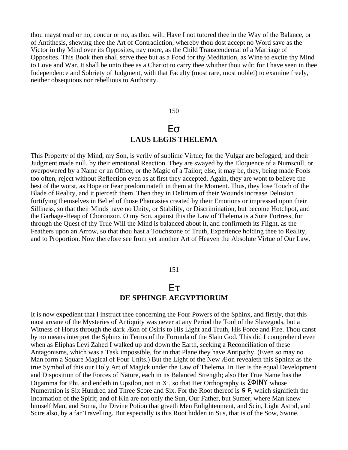thou mayst read or no, concur or no, as thou wilt. Have I not tutored thee in the Way of the Balance, or of Antithesis, shewing thee the Art of Contradiction, whereby thou dost accept no Word save as the Victor in thy Mind over its Opposites, nay more, as the Child Transcendental of a Marriage of Opposites. This Book then shall serve thee but as a Food for thy Meditation, as Wine to excite thy Mind to Love and War. It shall be unto thee as a Chariot to carry thee whither thou wilt; for I have seen in thee Independence and Sobriety of Judgment, with that Faculty (most rare, most noble!) to examine freely, neither obsequious nor rebellious to Authority.

#### 150

# **Es LAUS LEGIS THELEMA**

This Property of thy Mind, my Son, is verily of sublime Virtue; for the Vulgar are befogged, and their Judgment made null, by their emotional Reaction. They are swayed by the Eloquence of a Numscull, or overpowered by a Name or an Office, or the Magic of a Tailor; else, it may be, they, being made Fools too often, reject without Reflection even as at first they accepted. Again, they are wont to believe the best of the worst, as Hope or Fear predominateth in them at the Moment. Thus, they lose Touch of the Blade of Reality, and it pierceth them. Then they in Delirium of their Wounds increase Delusion fortifying themselves in Belief of those Phantasies created by their Emotions or impressed upon their Silliness, so that their Minds have no Unity, or Stability, or Discrimination, but become Hotchpot, and the Garbage-Heap of Choronzon. O my Son, against this the Law of Thelema is a Sure Fortress, for through the Quest of thy True Will the Mind is balanced about it, and confirmeth its Flight, as the Feathers upon an Arrow, so that thou hast a Touchstone of Truth, Experience holding thee to Reality, and to Proportion. Now therefore see from yet another Art of Heaven the Absolute Virtue of Our Law.

#### 151

# **Et DE SPHINGE AEGYPTIORUM**

It is now expedient that I instruct thee concerning the Four Powers of the Sphinx, and firstly, that this most arcane of the Mysteries of Antiquity was never at any Period the Tool of the Slavegods, but a Witness of Horus through the dark Æon of Osiris to His Light and Truth, His Force and Fire. Thou canst by no means interpret the Sphinx in Terms of the Formula of the Slain God. This did I comprehend even when as Eliphas Levi Zahed I walked up and down the Earth, seeking a Reconciliation of these Antagonisms, which was a Task impossible, for in that Plane they have Antipathy. (Even so may no Man form a Square Magical of Four Units.) But the Light of the New Æon revealeth this Sphinx as the true Symbol of this our Holy Art of Magick under the Law of Thelema. In Her is the equal Development and Disposition of the Forces of Nature, each in its Balanced Strength; also Her True Name has the Digamma for Phi, and endeth in Upsilon, not in Xi, so that Her Orthography is ΣΦΙΝΥ whose Numeration is Six Hundred and Three Score and Six. For the Root thereof is *S F*, which signifieth the Incarnation of the Spirit; and of Kin are not only the Sun, Our Father, but Sumer, where Man knew himself Man, and Soma, the Divine Potion that giveth Men Enlightenment, and Scin, Light Astral, and Scire also, by a far Travelling. But especially is this Root hidden in Sus, that is of the Sow, Swine,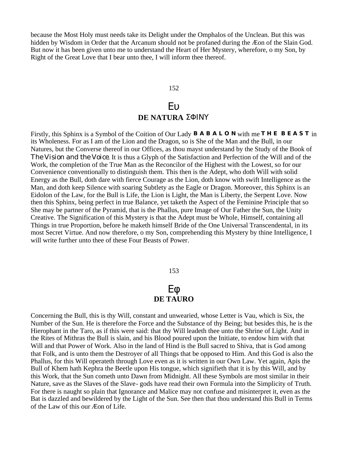because the Most Holy must needs take its Delight under the Omphalos of the Unclean. But this was hidden by Wisdom in Order that the Arcanum should not be profaned during the Æon of the Slain God. But now it has been given unto me to understand the Heart of Her Mystery, wherefore, o my Son, by Right of the Great Love that I bear unto thee, I will inform thee thereof.

#### 152

# **Eu DE NATURA SFINU**

Firstly, this Sphinx is a Symbol of the Coition of Our Lady **B A B A L O N** with me **T H E B E A S T** in its Wholeness. For as I am of the Lion and the Dragon, so is She of the Man and the Bull, in our Natures, but the Converse thereof in our Offices, as thou mayst understand by the Study of the Book of *The Vision and the Voice*. It is thus a Glyph of the Satisfaction and Perfection of the Will and of the Work, the completion of the True Man as the Reconcilor of the Highest with the Lowest, so for our Convenience conventionally to distinguish them. This then is the Adept, who doth Will with solid Energy as the Bull, doth dare with fierce Courage as the Lion, doth know with swift Intelligence as the Man, and doth keep Silence with soaring Subtlety as the Eagle or Dragon. Moreover, this Sphinx is an Eidolon of the Law, for the Bull is Life, the Lion is Light, the Man is Liberty, the Serpent Love. Now then this Sphinx, being perfect in true Balance, yet taketh the Aspect of the Feminine Principle that so She may be partner of the Pyramid, that is the Phallus, pure Image of Our Father the Sun, the Unity Creative. The Signification of this Mystery is that the Adept must be Whole, Himself, containing all Things in true Proportion, before he maketh himself Bride of the One Universal Transcendental, in its most Secret Virtue. And now therefore, o my Son, comprehending this Mystery by thine Intelligence, I will write further unto thee of these Four Beasts of Power.

#### 153

# **Ef DE TAURO**

Concerning the Bull, this is thy Will, constant and unwearied, whose Letter is Vau, which is Six, the Number of the Sun. He is therefore the Force and the Substance of thy Being; but besides this, he is the Hierophant in the Taro, as if this were said: that thy Will leadeth thee unto the Shrine of Light. And in the Rites of Mithras the Bull is slain, and his Blood poured upon the Initiate, to endow him with that Will and that Power of Work. Also in the land of Hind is the Bull sacred to Shiva, that is God among that Folk, and is unto them the Destroyer of all Things that be opposed to Him. And this God is also the Phallus, for this Will operateth through Love even as it is written in our Own Law. Yet again, Apis the Bull of Khem hath Kephra the Beetle upon His tongue, which signifieth that it is by this Will, and by this Work, that the Sun cometh unto Dawn from Midnight. All these Symbols are most similar in their Nature, save as the Slaves of the Slave- gods have read their own Formula into the Simplicity of Truth. For there is naught so plain that Ignorance and Malice may not confuse and misinterpret it, even as the Bat is dazzled and bewildered by the Light of the Sun. See then that thou understand this Bull in Terms of the Law of this our Æon of Life.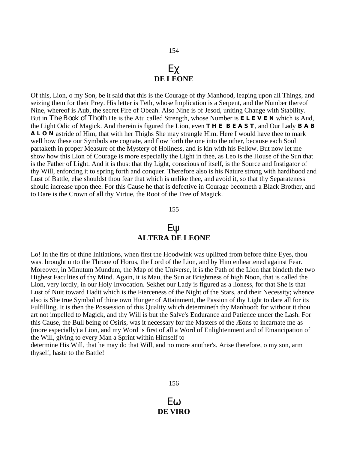# **Ec DE LEONE**

Of this, Lion, o my Son, be it said that this is the Courage of thy Manhood, leaping upon all Things, and seizing them for their Prey. His letter is Teth, whose Implication is a Serpent, and the Number thereof Nine, whereof is Aub, the secret Fire of Obeah. Also Nine is of Jesod, uniting Change with Stability. But in *The Book of Thoth* He is the Atu called Strength, whose Number is **E L E V E N** which is Aud, the Light Odic of Magick. And therein is figured the Lion, even **T H E B E A S T** , and Our Lady **B A B A L O N** astride of Him, that with her Thighs She may strangle Him. Here I would have thee to mark well how these our Symbols are cognate, and flow forth the one into the other, because each Soul partaketh in proper Measure of the Mystery of Holiness, and is kin with his Fellow. But now let me show how this Lion of Courage is more especially the Light in thee, as Leo is the House of the Sun that is the Father of Light. And it is thus: that thy Light, conscious of itself, is the Source and Instigator of thy Will, enforcing it to spring forth and conquer. Therefore also is his Nature strong with hardihood and Lust of Battle, else shouldst thou fear that which is unlike thee, and avoid it, so that thy Separateness should increase upon thee. For this Cause he that is defective in Courage becometh a Black Brother, and to Dare is the Crown of all thy Virtue, the Root of the Tree of Magick.

155

# **Ey ALTERA DE LEONE**

Lo! In the firs of thine Initiations, when first the Hoodwink was uplifted from before thine Eyes, thou wast brought unto the Throne of Horus, the Lord of the Lion, and by Him enheartened against Fear. Moreover, in Minutum Mundum, the Map of the Universe, it is the Path of the Lion that bindeth the two Highest Faculties of thy Mind. Again, it is Mau, the Sun at Brightness of high Noon, that is called the Lion, very lordly, in our Holy Invocation. Sekhet our Lady is figured as a lioness, for that She is that Lust of Nuit toward Hadit which is the Fierceness of the Night of the Stars, and their Necessity; whence also is She true Symbol of thine own Hunger of Attainment, the Passion of thy Light to dare all for its Fulfilling. It is then the Possession of this Quality which determineth thy Manhood; for without it thou art not impelled to Magick, and thy Will is but the Salve's Endurance and Patience under the Lash. For this Cause, the Bull being of Osiris, was it necessary for the Masters of the Æons to incarnate me as (more especially) a Lion, and my Word is first of all a Word of Enlightenment and of Emancipation of the Will, giving to every Man a Sprint within Himself to

determine His Will, that he may do that Will, and no more another's. Arise therefore, o my son, arm thyself, haste to the Battle!

156

**Ew DE VIRO**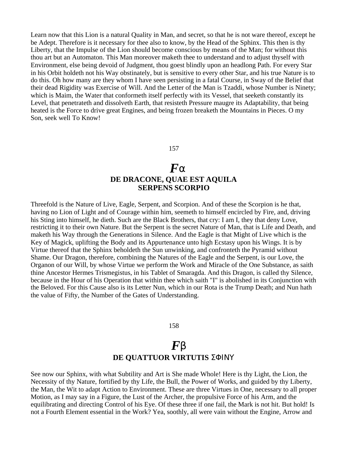Learn now that this Lion is a natural Quality in Man, and secret, so that he is not ware thereof, except he be Adept. Therefore is it necessary for thee also to know, by the Head of the Sphinx. This then is thy Liberty, that the Impulse of the Lion should become conscious by means of the Man; for without this thou art but an Automaton. This Man moreover maketh thee to understand and to adjust thyself with Environment, else being devoid of Judgment, thou goest blindly upon an headlong Path. For every Star in his Orbit holdeth not his Way obstinately, but is sensitive to every other Star, and his true Nature is to do this. Oh how many are they whom I have seen persisting in a fatal Course, in Sway of the Belief that their dead Rigidity was Exercise of Will. And the Letter of the Man is Tzaddi, whose Number is Ninety; which is Maim, the Water that conformeth itself perfectly with its Vessel, that seeketh constantly its Level, that penetrateth and dissolveth Earth, that resisteth Pressure maugre its Adaptability, that being heated is the Force to drive great Engines, and being frozen breaketh the Mountains in Pieces. O my Son, seek well To Know!

#### 157

# *F***a DE DRACONE, QUAE EST AQUILA SERPENS SCORPIO**

Threefold is the Nature of Live, Eagle, Serpent, and Scorpion. And of these the Scorpion is he that, having no Lion of Light and of Courage within him, seemeth to himself encircled by Fire, and, driving his Sting into himself, he dieth. Such are the Black Brothers, that cry: I am I, they that deny Love, restricting it to their own Nature. But the Serpent is the secret Nature of Man, that is Life and Death, and maketh his Way through the Generations in Silence. And the Eagle is that Might of Live which is the Key of Magick, uplifting the Body and its Appurtenance unto high Ecstasy upon his Wings. It is by Virtue thereof that the Sphinx beholdeth the Sun unwinking, and confronteth the Pyramid without Shame. Our Dragon, therefore, combining the Natures of the Eagle and the Serpent, is our Love, the Organon of our Will, by whose Virtue we perform the Work and Miracle of the One Substance, as saith thine Ancestor Hermes Trismegistus, in his Tablet of Smaragda. And this Dragon, is called thy Silence, because in the Hour of his Operation that within thee which saith "I" is abolished in its Conjunction with the Beloved. For this Cause also is its Letter Nun, which in our Rota is the Trump Death; and Nun hath the value of Fifty, the Number of the Gates of Understanding.

158

# *F***b DE QUATTUOR VIRTUTIS SFINU**

See now our Sphinx, with what Subtility and Art is She made Whole! Here is thy Light, the Lion, the Necessity of thy Nature, fortified by thy Life, the Bull, the Power of Works, and guided by thy Liberty, the Man, the Wit to adapt Action to Environment. These are three Virtues in One, necessary to all proper Motion, as I may say in a Figure, the Lust of the Archer, the propulsive Force of his Arm, and the equilibrating and directing Control of his Eye. Of these three if one fail, the Mark is not hit. But hold! Is not a Fourth Element essential in the Work? Yea, soothly, all were vain without the Engine, Arrow and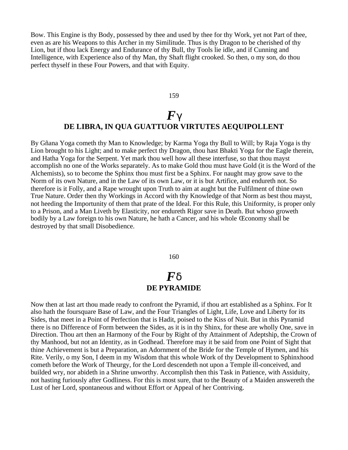Bow. This Engine is thy Body, possessed by thee and used by thee for thy Work, yet not Part of thee, even as are his Weapons to this Archer in my Similitude. Thus is thy Dragon to be cherished of thy Lion, but if thou lack Energy and Endurance of thy Bull, thy Tools lie idle, and if Cunning and Intelligence, with Experience also of thy Man, thy Shaft flight crooked. So then, o my son, do thou perfect thyself in these Four Powers, and that with Equity.

#### 159

# *F***g DE LIBRA, IN QUA GUATTUOR VIRTUTES AEQUIPOLLENT**

By Gñana Yoga cometh thy Man to Knowledge; by Karma Yoga thy Bull to Will; by Raja Yoga is thy Lion brought to his Light; and to make perfect thy Dragon, thou hast Bhakti Yoga for the Eagle therein, and Hatha Yoga for the Serpent. Yet mark thou well how all these interfuse, so that thou mayst accomplish no one of the Works separately. As to make Gold thou must have Gold (it is the Word of the Alchemists), so to become the Sphinx thou must first be a Sphinx. For naught may grow save to the Norm of its own Nature, and in the Law of its own Law, or it is but Artifice, and endureth not. So therefore is it Folly, and a Rape wrought upon Truth to aim at aught but the Fulfilment of thine own True Nature. Order then thy Workings in Accord with thy Knowledge of that Norm as best thou mayst, not heeding the Importunity of them that prate of the Ideal. For this Rule, this Uniformity, is proper only to a Prison, and a Man Liveth by Elasticity, nor endureth Rigor save in Death. But whoso groweth bodily by a Law foreign to his own Nature, he hath a Cancer, and his whole Œconomy shall be destroyed by that small Disobedience.

#### 160

# *F***d DE PYRAMIDE**

Now then at last art thou made ready to confront the Pyramid, if thou art established as a Sphinx. For It also hath the foursquare Base of Law, and the Four Triangles of Light, Life, Love and Liberty for its Sides, that meet in a Point of Perfection that is Hadit, poised to the Kiss of Nuit. But in this Pyramid there is no Difference of Form between the Sides, as it is in thy Shinx, for these are wholly One, save in Direction. Thou art then an Harmony of the Four by Right of thy Attainment of Adeptship, the Crown of thy Manhood, but not an Identity, as in Godhead. Therefore may it be said from one Point of Sight that thine Achievement is but a Preparation, an Adornment of the Bride for the Temple of Hymen, and his Rite. Verily, o my Son, I deem in my Wisdom that this whole Work of thy Development to Sphinxhood cometh before the Work of Theurgy, for the Lord descendeth not upon a Temple ill-conceived, and builded wry, nor abideth in a Shrine unworthy. Accomplish then this Task in Patience, with Assiduity, not hasting furiously after Godliness. For this is most sure, that to the Beauty of a Maiden answereth the Lust of her Lord, spontaneous and without Effort or Appeal of her Contriving.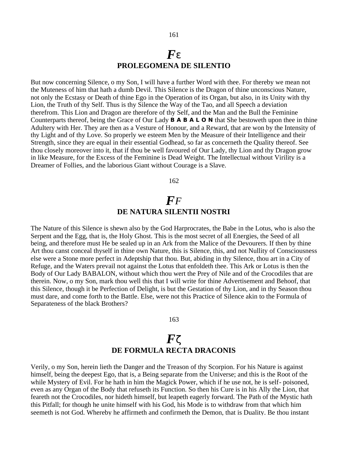# *F***e PROLEGOMENA DE SILENTIO**

But now concerning Silence, o my Son, I will have a further Word with thee. For thereby we mean not the Muteness of him that hath a dumb Devil. This Silence is the Dragon of thine unconscious Nature, not only the Ecstasy or Death of thine Ego in the Operation of its Organ, but also, in its Unity with thy Lion, the Truth of thy Self. Thus is thy Silence the Way of the Tao, and all Speech a deviation therefrom. This Lion and Dragon are therefore of thy Self, and the Man and the Bull the Feminine Counterparts thereof, being the Grace of Our Lady **B A B A L O N** that She bestoweth upon thee in thine Adultery with Her. They are then as a Vesture of Honour, and a Reward, that are won by the Intensity of thy Light and of thy Love. So properly we esteem Men by the Measure of their Intelligence and their Strength, since they are equal in their essential Godhead, so far as concerneth the Quality thereof. See thou closely moreover into it, that if thou be well favoured of Our Lady, thy Lion and thy Dragon grow in like Measure, for the Excess of the Feminine is Dead Weight. The Intellectual without Virility is a Dreamer of Follies, and the laborious Giant without Courage is a Slave.

162

# *FF* **DE NATURA SILENTII NOSTRI**

The Nature of this Silence is shewn also by the God Harprocrates, the Babe in the Lotus, who is also the Serpent and the Egg, that is, the Holy Ghost. This is the most secret of all Energies, the Seed of all being, and therefore must He be sealed up in an Ark from the Malice of the Devourers. If then by thine Art thou canst conceal thyself in thine own Nature, this is Silence, this, and not Nullity of Consciousness else were a Stone more perfect in Adeptship that thou. But, abiding in thy Silence, thou art in a City of Refuge, and the Waters prevail not against the Lotus that enfoldeth thee. This Ark or Lotus is then the Body of Our Lady BABALON, without which thou wert the Prey of Nile and of the Crocodiles that are therein. Now, o my Son, mark thou well this that I will write for thine Advertisement and Behoof, that this Silence, though it be Perfection of Delight, is but the Gestation of thy Lion, and in thy Season thou must dare, and come forth to the Battle. Else, were not this Practice of Silence akin to the Formula of Separateness of the black Brothers?

163

# *F*ζ **DE FORMULA RECTA DRACONIS**

Verily, o my Son, herein lieth the Danger and the Treason of thy Scorpion. For his Nature is against himself, being the deepest Ego, that is, a Being separate from the Universe; and this is the Root of the while Mystery of Evil. For he hath in him the Magick Power, which if he use not, he is self- poisoned, even as any Organ of the Body that refuseth its Function. So then his Cure is in his Ally the Lion, that feareth not the Crocodiles, nor hideth himself, but leapeth eagerly forward. The Path of the Mystic hath this Pitfall; for though he unite himself with his God, his Mode is to withdraw from that which him seemeth is not God. Whereby he affirmeth and confirmeth the Demon, that is Duality. Be thou instant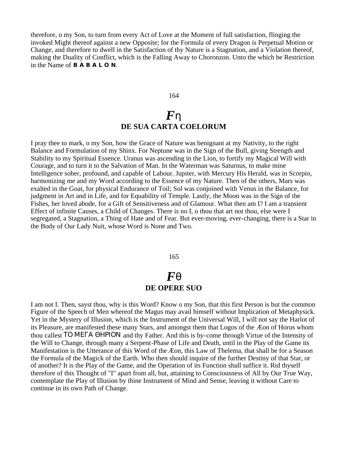therefore, o my Son, to turn from every Act of Love at the Moment of full satisfaction, flinging the invoked Might thereof against a new Opposite; for the Formula of every Dragon is Perpetual Motion or Change, and therefore to dwell in the Satisfaction of thy Nature is a Stagnation, and a Violation thereof, making the Duality of Conflict, which is the Falling Away to Choronzon. Unto the which be Restriction in the Name of **B A B A L O N**.

164

# *F*η **DE SUA CARTA COELORUM**

I pray thee to mark, o my Son, how the Grace of Nature was benignant at my Nativity, to the right Balance and Formulation of my Shinx. For Neptune was in the Sign of the Bull, giving Strength and Stability to my Spiritual Essence. Uranus was ascending in the Lion, to fortify my Magical Will with Courage, and to turn it to the Salvation of Man. In the Waterman was Saturnus, to make mine Intelligence sober, profound, and capable of Labour. Jupiter, with Mercury His Herald, was in Scorpio, harmonizing me and my Word according to the Essence of my Nature. Then of the others, Mars was exalted in the Goat, for physical Endurance of Toil; Sol was conjoined with Venus in the Balance, for judgment in Art and in Life, and for Equability of Temple. Lastly, the Moon was in the Sign of the Fishes, her loved abode, for a Gift of Sensitiveness and of Glamour. What then am I? I am a transient Effect of infinite Causes, a Child of Changes. There is no I, o thou that art not thou, else were I segregated, a Stagnation, a Thing of Hate and of Fear. But ever-moving, ever-changing, there is a Star in the Body of Our Lady Nuit, whose Word is None and Two.

#### 165

# *F***q DE OPERE SUO**

I am not I. Then, sayst thou, why is this Word? Know o my Son, that this first Person is but the common Figure of the Speech of Men whereof the Magus may avail himself without Implication of Metaphysick. Yet in the Mystery of Illusion, which is the Instrument of the Universal Will, I will not say the Harlot of its Pleasure, are manifested these many Stars, and amongst them that Logos of the Æon of Horus whom thou callest ΤΟ ΜΕΓΑ ΘΗΡΙΟΝ and thy Father. And this is by-come through Virtue of the Intensity of the Will to Change, through many a Serpent-Phase of Life and Death, until in the Play of the Game its Manifestation is the Utterance of this Word of the Æon, this Law of Thelema, that shall be for a Season the Formula of the Magick of the Earth. Who then should inquire of the further Destiny of that Star, or of another? It is the Play of the Game, and the Operation of its Function shall suffice it. Rid thyself therefore of this Thought of "I" apart from all, but, attaining to Consciousness of All by Our True Way, contemplate the Play of Illusion by thine Instrument of Mind and Sense, leaving it without Care to continue in its own Path of Change.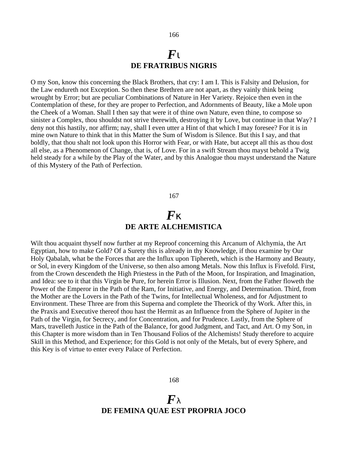# *F***i DE FRATRIBUS NIGRIS**

O my Son, know this concerning the Black Brothers, that cry: I am I. This is Falsity and Delusion, for the Law endureth not Exception. So then these Brethren are not apart, as they vainly think being wrought by Error; but are peculiar Combinations of Nature in Her Variety. Rejoice then even in the Contemplation of these, for they are proper to Perfection, and Adornments of Beauty, like a Mole upon the Cheek of a Woman. Shall I then say that were it of thine own Nature, even thine, to compose so sinister a Complex, thou shouldst not strive therewith, destroying it by Love, but continue in that Way? I deny not this hastily, nor affirm; nay, shall I even utter a Hint of that which I may foresee? For it is in mine own Nature to think that in this Matter the Sum of Wisdom is Silence. But this I say, and that boldly, that thou shalt not look upon this Horror with Fear, or with Hate, but accept all this as thou dost all else, as a Phenomenon of Change, that is, of Love. For in a swift Stream thou mayst behold a Twig held steady for a while by the Play of the Water, and by this Analogue thou mayst understand the Nature of this Mystery of the Path of Perfection.

#### 167

# *F***k DE ARTE ALCHEMISTICA**

Wilt thou acquaint thyself now further at my Reproof concerning this Arcanum of Alchymia, the Art Egyptian, how to make Gold? Of a Surety this is already in thy Knowledge, if thou examine by Our Holy Qabalah, what be the Forces that are the Influx upon Tiphereth, which is the Harmony and Beauty, or Sol, in every Kingdom of the Universe, so then also among Metals. Now this Influx is Fivefold. First, from the Crown descendeth the High Priestess in the Path of the Moon, for Inspiration, and Imagination, and Idea: see to it that this Virgin be Pure, for herein Error is Illusion. Next, from the Father floweth the Power of the Emperor in the Path of the Ram, for Initiative, and Energy, and Determination. Third, from the Mother are the Lovers in the Path of the Twins, for Intellectual Wholeness, and for Adjustment to Environment. These Three are from this Superna and complete the Theorick of thy Work. After this, in the Praxis and Executive thereof thou hast the Hermit as an Influence from the Sphere of Jupiter in the Path of the Virgin, for Secrecy, and for Concentration, and for Prudence. Lastly, from the Sphere of Mars, travelleth Justice in the Path of the Balance, for good Judgment, and Tact, and Art. O my Son, in this Chapter is more wisdom than in Ten Thousand Folios of the Alchemists! Study therefore to acquire Skill in this Method, and Experience; for this Gold is not only of the Metals, but of every Sphere, and this Key is of virtue to enter every Palace of Perfection.

168

# $F<sub>1</sub>$ **DE FEMINA QUAE EST PROPRIA JOCO**

#### 166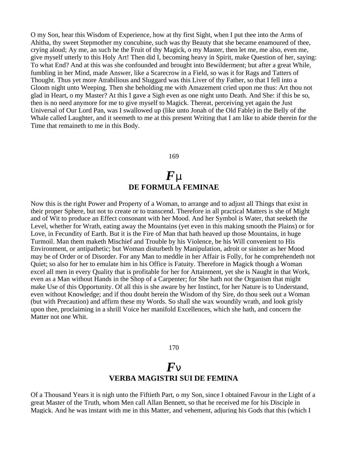O my Son, hear this Wisdom of Experience, how at thy first Sight, when I put thee into the Arms of Ahitha, thy sweet Stepmother my concubine, such was thy Beauty that she became enamoured of thee, crying aloud; Ay me, an such he the Fruit of thy Magick, o my Master, then let me, me also, even me, give myself utterly to this Holy Art! Then did I, becoming heavy in Spirit, make Question of her, saying: To what End? And at this was she confounded and brought into Bewilderment; but after a great While, fumbling in her Mind, made Answer, like a Scarecrow in a Field, so was it for Rags and Tatters of Thought. Thus yet more Atrabilious and Sluggard was this Liver of thy Father, so that I fell into a Gloom night unto Weeping. Then she beholding me with Amazement cried upon me thus: Art thou not glad in Heart, o my Master? At this I gave a Sigh even as one night unto Death. And She: if this be so, then is no need anymore for me to give myself to Magick. Thereat, perceiving yet again the Just Universal of Our Lord Pan, was I swallowed up (like unto Jonah of the Old Fable) in the Belly of the Whale called Laughter, and it seemeth to me at this present Writing that I am like to abide therein for the Time that remaineth to me in this Body.

#### 169

# *F***m DE FORMULA FEMINAE**

Now this is the right Power and Property of a Woman, to arrange and to adjust all Things that exist in their proper Sphere, but not to create or to transcend. Therefore in all practical Matters is she of Might and of Wit to produce an Effect consonant with her Mood. And her Symbol is Water, that seeketh the Level, whether for Wrath, eating away the Mountains (yet even in this making smooth the Plains) or for Love, in Fecundity of Earth. But it is the Fire of Man that hath heaved up those Mountains, in huge Turmoil. Man them maketh Mischief and Trouble by his Violence, be his Will convenient to His Environment, or antipathetic; but Woman disturbeth by Manipulation, adroit or sinister as her Mood may be of Order or of Disorder. For any Man to meddle in her Affair is Folly, for he comprehendeth not Quiet; so also for her to emulate him in his Office is Fatuity. Therefore in Magick though a Woman excel all men in every Quality that is profitable for her for Attainment, yet she is Naught in that Work, even as a Man without Hands in the Shop of a Carpenter; for She hath not the Organism that might make Use of this Opportunity. Of all this is she aware by her Instinct, for her Nature is to Understand, even without Knowledge; and if thou doubt herein the Wisdom of thy Sire, do thou seek out a Woman (but with Precaution) and affirm these my Words. So shall she wax woundily wrath, and look grisly upon thee, proclaiming in a shrill Voice her manifold Excellences, which she hath, and concern the Matter not one Whit.

#### 170

# *F***n VERBA MAGISTRI SUI DE FEMINA**

Of a Thousand Years it is nigh unto the Fiftieth Part, o my Son, since I obtained Favour in the Light of a great Master of the Truth, whom Men call Allan Bennett, so that he received me for his Disciple in Magick. And he was instant with me in this Matter, and vehement, adjuring his Gods that this (which I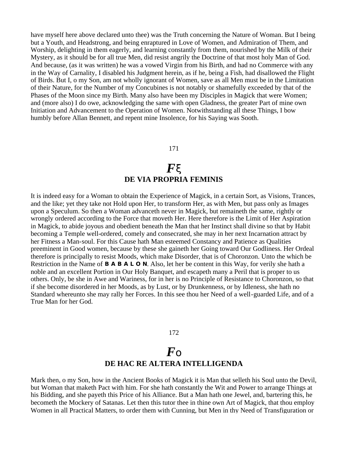have myself here above declared unto thee) was the Truth concerning the Nature of Woman. But I being but a Youth, and Headstrong, and being enraptured in Love of Women, and Admiration of Them, and Worship, delighting in them eagerly, and learning constantly from them, nourished by the Milk of their Mystery, as it should be for all true Men, did resist angrily the Doctrine of that most holy Man of God. And because, (as it was written) he was a vowed Virgin from his Birth, and had no Commerce with any in the Way of Carnality, I disabled his Judgment herein, as if he, being a Fish, had disallowed the Flight of Birds. But I, o my Son, am not wholly ignorant of Women, save as all Men must be in the Limitation of their Nature, for the Number of my Concubines is not notably or shamefully exceeded by that of the Phases of the Moon since my Birth. Many also have been my Disciples in Magick that were Women; and (more also) I do owe, acknowledging the same with open Gladness, the greater Part of mine own Initiation and Advancement to the Operation of Women. Notwithstanding all these Things, I bow humbly before Allan Bennett, and repent mine Insolence, for his Saying was Sooth.

#### 171

# *F***x DE VIA PROPRIA FEMINIS**

It is indeed easy for a Woman to obtain the Experience of Magick, in a certain Sort, as Visions, Trances, and the like; yet they take not Hold upon Her, to transform Her, as with Men, but pass only as Images upon a Speculum. So then a Woman advanceth never in Magick, but remaineth the same, rightly or wrongly ordered according to the Force that moveth Her. Here therefore is the Limit of Her Aspiration in Magick, to abide joyous and obedient beneath the Man that her Instinct shall divine so that by Habit becoming a Temple well-ordered, comely and consecrated, she may in her next Incarnation attract by her Fitness a Man-soul. For this Cause hath Man esteemed Constancy and Patience as Qualities preeminent in Good women, because by these she gaineth her Going toward Our Godliness. Her Ordeal therefore is principally to resist Moods, which make Disorder, that is of Choronzon. Unto the which be Restriction in the Name of **B A B A L O N**. Also, let her be content in this Way, for verily she hath a noble and an excellent Portion in Our Holy Banquet, and escapeth many a Peril that is proper to us others. Only, be she in Awe and Wariness, for in her is no Principle of Resistance to Choronzon, so that if she become disordered in her Moods, as by Lust, or by Drunkenness, or by Idleness, she hath no Standard whereunto she may rally her Forces. In this see thou her Need of a well-guarded Life, and of a True Man for her God.

#### 172

# *F***o DE HAC RE ALTERA INTELLIGENDA**

Mark then, o my Son, how in the Ancient Books of Magick it is Man that selleth his Soul unto the Devil, but Woman that maketh Pact with him. For she hath constantly the Wit and Power to arrange Things at his Bidding, and she payeth this Price of his Alliance. But a Man hath one Jewel, and, bartering this, he becometh the Mockery of Satanas. Let then this tutor thee in thine own Art of Magick, that thou employ Women in all Practical Matters, to order them with Cunning, but Men in thy Need of Transfiguration or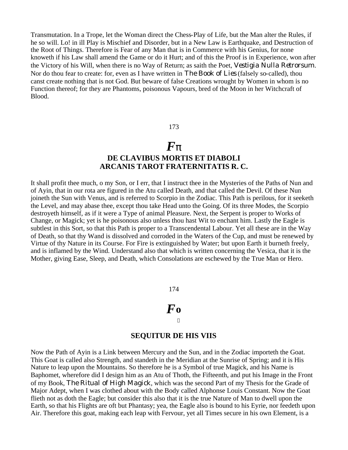Transmutation. In a Trope, let the Woman direct the Chess-Play of Life, but the Man alter the Rules, if he so will. Lo! in ill Play is Mischief and Disorder, but in a New Law is Earthquake, and Destruction of the Root of Things. Therefore is Fear of any Man that is in Commerce with his Genius, for none knoweth if his Law shall amend the Game or do it Hurt; and of this the Proof is in Experience, won after the Victory of his Will, when there is no Way of Return; as saith the Poet, *Vestigia Nulla Retrorsum*. Nor do thou fear to create: for, even as I have written in *The Book of Lies* (falsely so-called), thou canst create nothing that is not God. But beware of false Creations wrought by Women in whom is no Function thereof; for they are Phantoms, poisonous Vapours, bred of the Moon in her Witchcraft of Blood.

#### 173

# *F***p DE CLAVIBUS MORTIS ET DIABOLI ARCANIS TAROT FRATERNITATIS R. C.**

It shall profit thee much, o my Son, or I err, that I instruct thee in the Mysteries of the Paths of Nun and of Ayin, that in our rota are figured in the Atu called Death, and that called the Devil. Of these Nun joineth the Sun with Venus, and is referred to Scorpio in the Zodiac. This Path is perilous, for it seeketh the Level, and may abase thee, except thou take Head unto the Going. Of its three Modes, the Scorpio destroyeth himself, as if it were a Type of animal Pleasure. Next, the Serpent is proper to Works of Change, or Magick; yet is he poisonous also unless thou hast Wit to enchant him. Lastly the Eagle is subtlest in this Sort, so that this Path is proper to a Transcendental Labour. Yet all these are in the Way of Death, so that thy Wand is dissolved and corroded in the Waters of the Cup, and must be renewed by Virtue of thy Nature in its Course. For Fire is extinguished by Water; but upon Earth it burneth freely, and is inflamed by the Wind. Understand also that which is written concerning the Vesica, that it is the Mother, giving Ease, Sleep, and Death, which Consolations are eschewed by the True Man or Hero.

174

# *F***o** - 1

#### **SEQUITUR DE HIS VIIS**

Now the Path of Ayin is a Link between Mercury and the Sun, and in the Zodiac importeth the Goat. This Goat is called also Strength, and standeth in the Meridian at the Sunrise of Spring; and it is His Nature to leap upon the Mountains. So therefore he is a Symbol of true Magick, and his Name is Baphomet, wherefore did I design him as an Atu of Thoth, the Fifteenth, and put his Image in the Front of my Book, *The Ritual of High Magick*, which was the second Part of my Thesis for the Grade of Major Adept, when I was clothed about with the Body called Alphonse Louis Constant. Now the Goat flieth not as doth the Eagle; but consider this also that it is the true Nature of Man to dwell upon the Earth, so that his Flights are oft but Phantasy; yea, the Eagle also is bound to his Eyrie, nor feedeth upon Air. Therefore this goat, making each leap with Fervour, yet all Times secure in his own Element, is a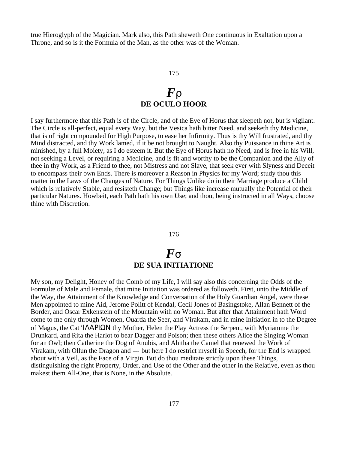true Hieroglyph of the Magician. Mark also, this Path sheweth One continuous in Exaltation upon a Throne, and so is it the Formula of the Man, as the other was of the Woman.

#### 175

# *F***r DE OCULO HOOR**

I say furthermore that this Path is of the Circle, and of the Eye of Horus that sleepeth not, but is vigilant. The Circle is all-perfect, equal every Way, but the Vesica hath bitter Need, and seeketh thy Medicine, that is of right compounded for High Purpose, to ease her Infirmity. Thus is thy Will frustrated, and thy Mind distracted, and thy Work lamed, if it be not brought to Naught. Also thy Puissance in thine Art is minished, by a full Moiety, as I do esteem it. But the Eye of Horus hath no Need, and is free in his Will, not seeking a Level, or requiring a Medicine, and is fit and worthy to be the Companion and the Ally of thee in thy Work, as a Friend to thee, not Mistress and not Slave, that seek ever with Slyness and Deceit to encompass their own Ends. There is moreover a Reason in Physics for my Word; study thou this matter in the Laws of the Changes of Nature. For Things Unlike do in their Marriage produce a Child which is relatively Stable, and resisteth Change; but Things like increase mutually the Potential of their particular Natures. Howbeit, each Path hath his own Use; and thou, being instructed in all Ways, choose thine with Discretion.

#### 176

# *F***s DE SUA INITIATIONE**

My son, my Delight, Honey of the Comb of my Life, I will say also this concerning the Odds of the Formulæ of Male and Female, that mine Initiation was ordered as followeth. First, unto the Middle of the Way, the Attainment of the Knowledge and Conversation of the Holy Guardian Angel, were these Men appointed to mine Aid, Jerome Politt of Kendal, Cecil Jones of Basingstoke, Allan Bennett of the Border, and Oscar Exkenstein of the Mountain with no Woman. But after that Attainment hath Word come to me only through Women, Ouarda the Seer, and Virakam, and in mine Initiation in to the Degree of Magus, the Cat 'ΙΛΑΡΙΩΝ thy Mother, Helen the Play Actress the Serpent, with Myriamme the Drunkard, and Rita the Harlot to bear Dagger and Poison; then these others Alice the Singing Woman for an Owl; then Catherine the Dog of Anubis, and Ahitha the Camel that renewed the Work of Virakam, with Ollun the Dragon and --- but here I do restrict myself in Speech, for the End is wrapped about with a Veil, as the Face of a Virgin. But do thou meditate strictly upon these Things, distinguishing the right Property, Order, and Use of the Other and the other in the Relative, even as thou makest them All-One, that is None, in the Absolute.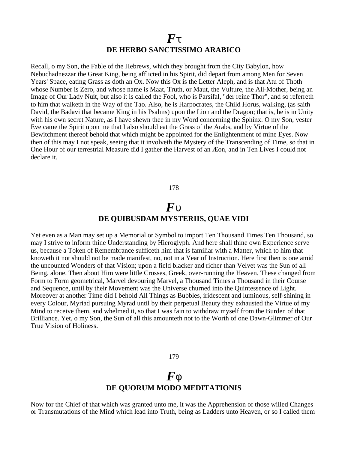# *F***t DE HERBO SANCTISSIMO ARABICO**

Recall, o my Son, the Fable of the Hebrews, which they brought from the City Babylon, how Nebuchadnezzar the Great King, being afflicted in his Spirit, did depart from among Men for Seven Years' Space, eating Grass as doth an Ox. Now this Ox is the Letter Aleph, and is that Atu of Thoth whose Number is Zero, and whose name is Maat, Truth, or Maut, the Vulture, the All-Mother, being an Image of Our Lady Nuit, but also it is called the Fool, who is Parsifal, "der reine Thor", and so referreth to him that walketh in the Way of the Tao. Also, he is Harpocrates, the Child Horus, walking, (as saith David, the Badavi that became King in his Psalms) upon the Lion and the Dragon; that is, he is in Unity with his own secret Nature, as I have shewn thee in my Word concerning the Sphinx. O my Son, yester Eve came the Spirit upon me that I also should eat the Grass of the Arabs, and by Virtue of the Bewitchment thereof behold that which might be appointed for the Enlightenment of mine Eyes. Now then of this may I not speak, seeing that it involveth the Mystery of the Transcending of Time, so that in One Hour of our terrestrial Measure did I gather the Harvest of an Æon, and in Ten Lives I could not declare it.

#### 178

# $F$ **u DE QUIBUSDAM MYSTERIIS, QUAE VIDI**

Yet even as a Man may set up a Memorial or Symbol to import Ten Thousand Times Ten Thousand, so may I strive to inform thine Understanding by Hieroglyph. And here shall thine own Experience serve us, because a Token of Remembrance sufficeth him that is familiar with a Matter, which to him that knoweth it not should not be made manifest, no, not in a Year of Instruction. Here first then is one amid the uncounted Wonders of that Vision; upon a field blacker and richer than Velvet was the Sun of all Being, alone. Then about Him were little Crosses, Greek, over-running the Heaven. These changed from Form to Form geometrical, Marvel devouring Marvel, a Thousand Times a Thousand in their Course and Sequence, until by their Movement was the Universe churned into the Quintessence of Light. Moreover at another Time did I behold All Things as Bubbles, iridescent and luminous, self-shining in every Colour, Myriad pursuing Myrad until by their perpetual Beauty they exhausted the Virtue of my Mind to receive them, and whelmed it, so that I was fain to withdraw myself from the Burden of that Brilliance. Yet, o my Son, the Sun of all this amounteth not to the Worth of one Dawn-Glimmer of Our True Vision of Holiness.

#### 179

# *F***f DE QUORUM MODO MEDITATIONIS**

Now for the Chief of that which was granted unto me, it was the Apprehension of those willed Changes or Transmutations of the Mind which lead into Truth, being as Ladders unto Heaven, or so I called them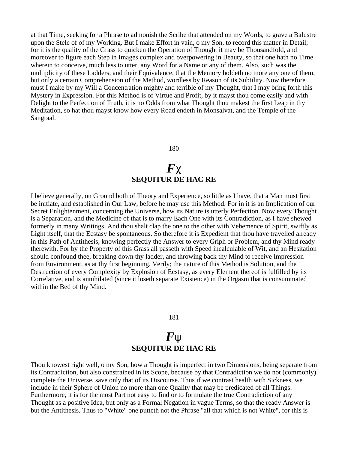at that Time, seeking for a Phrase to admonish the Scribe that attended on my Words, to grave a Balustre upon the Stele of of my Working. But I make Effort in vain, o my Son, to record this matter in Detail; for it is the quality of the Grass to quicken the Operation of Thought it may be Thousandfold, and moreover to figure each Step in Images complex and overpowering in Beauty, so that one hath no Time wherein to conceive, much less to utter, any Word for a Name or any of them. Also, such was the multiplicity of these Ladders, and their Equivalence, that the Memory holdeth no more any one of them, but only a certain Comprehension of the Method, wordless by Reason of its Subtility. Now therefore must I make by my Will a Concentration mighty and terrible of my Thought, that I may bring forth this Mystery in Expression. For this Method is of Virtue and Profit, by it mayst thou come easily and with Delight to the Perfection of Truth, it is no Odds from what Thought thou makest the first Leap in thy Meditation, so hat thou mayst know how every Road endeth in Monsalvat, and the Temple of the Sangraal.

#### 180

# *F***c SEQUITUR DE HAC RE**

I believe generally, on Ground both of Theory and Experience, so little as I have, that a Man must first be initiate, and established in Our Law, before he may use this Method. For in it is an Implication of our Secret Enlightenment, concerning the Universe, how its Nature is utterly Perfection. Now every Thought is a Separation, and the Medicine of that is to marry Each One with its Contradiction, as I have shewed formerly in many Writings. And thou shalt clap the one to the other with Vehemence of Spirit, swiftly as Light itself, that the Ecstasy be spontaneous. So therefore it is Expedient that thou have travelled already in this Path of Antithesis, knowing perfectly the Answer to every Griph or Problem, and thy Mind ready therewith. For by the Property of this Grass all passeth with Speed incalculable of Wit, and an Hesitation should confound thee, breaking down thy ladder, and throwing back thy Mind to receive Impression from Environment, as at thy first beginning. Verily; the nature of this Method is Solution, and the Destruction of every Complexity by Explosion of Ecstasy, as every Element thereof is fulfilled by its Correlative, and is annihilated (since it loseth separate Existence) in the Orgasm that is consummated within the Bed of thy Mind.

181

# *F***y SEQUITUR DE HAC RE**

Thou knowest right well, o my Son, how a Thought is imperfect in two Dimensions, being separate from its Contradiction, but also constrained in its Scope, because by that Contradiction we do not (commonly) complete the Universe, save only that of its Discourse. Thus if we contrast health with Sickness, we include in their Sphere of Union no more than one Quality that may be predicated of all Things. Furthermore, it is for the most Part not easy to find or to formulate the true Contradiction of any Thought as a positive Idea, but only as a Formal Negation in vague Terms, so that the ready Answer is but the Antithesis. Thus to "White" one putteth not the Phrase "all that which is not White", for this is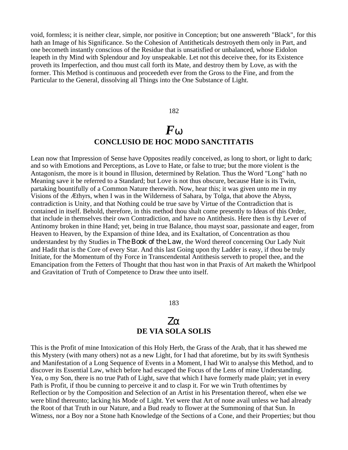void, formless; it is neither clear, simple, nor positive in Conception; but one answereth "Black", for this hath an Image of his Significance. So the Cohesion of Antitheticals destroyeth them only in Part, and one becometh instantly conscious of the Residue that is unsatisfied or unbalanced, whose Eidolon leapeth in thy Mind with Splendour and Joy unspeakable. Let not this deceive thee, for its Existence proveth its Imperfection, and thou must call forth its Mate, and destroy them by Love, as with the former. This Method is continuous and proceedeth ever from the Gross to the Fine, and from the Particular to the General, dissolving all Things into the One Substance of Light.

182

# *F***w CONCLUSIO DE HOC MODO SANCTITATIS**

Lean now that Impression of Sense have Opposites readily conceived, as long to short, or light to dark; and so with Emotions and Perceptions, as Love to Hate, or false to true; but the more violent is the Antagonism, the more is it bound in Illusion, determined by Relation. Thus the Word "Long" hath no Meaning save it be referred to a Standard; but Love is not thus obscure, because Hate is its Twin, partaking bountifully of a Common Nature therewith. Now, hear this; it was given unto me in my Visions of the Æthyrs, when I was in the Wilderness of Sahara, by Tolga, that above the Abyss, contradiction is Unity, and that Nothing could be true save by Virtue of the Contradiction that is contained in itself. Behold, therefore, in this method thou shalt come presently to Ideas of this Order, that include in themselves their own Contradiction, and have no Antithesis. Here then is thy Lever of Antinomy broken in thine Hand; yet, being in true Balance, thou mayst soar, passionate and eager, from Heaven to Heaven, by the Expansion of thine Idea, and its Exaltation, of Concentration as thou understandest by thy Studies in *The Book of the Law*, the Word thereof concerning Our Lady Nuit and Hadit that is the Core of every Star. And this last Going upon thy Ladder is easy, if thou be truly Initiate, for the Momentum of thy Force in Transcendental Antithesis serveth to propel thee, and the Emancipation from the Fetters of Thought that thou hast won in that Praxis of Art maketh the Whirlpool and Gravitation of Truth of Competence to Draw thee unto itself.

#### 183

### **Za DE VIA SOLA SOLIS**

This is the Profit of mine Intoxication of this Holy Herb, the Grass of the Arab, that it has shewed me this Mystery (with many others) not as a new Light, for I had that aforetime, but by its swift Synthesis and Manifestation of a Long Sequence of Events in a Moment, I had Wit to analyse this Method, and to discover its Essential Law, which before had escaped the Focus of the Lens of mine Understanding. Yea, o my Son, there is no true Path of Light, save that which I have formerly made plain; yet in every Path is Profit, if thou be cunning to perceive it and to clasp it. For we win Truth oftentimes by Reflection or by the Composition and Selection of an Artist in his Presentation thereof, when else we were blind thereunto; lacking his Mode of Light. Yet were that Art of none avail unless we had already the Root of that Truth in our Nature, and a Bud ready to flower at the Summoning of that Sun. In Witness, nor a Boy nor a Stone hath Knowledge of the Sections of a Cone, and their Properties; but thou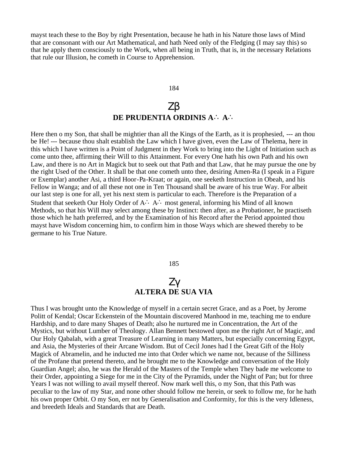mayst teach these to the Boy by right Presentation, because he hath in his Nature those laws of Mind that are consonant with our Art Mathematical, and hath Need only of the Fledging (I may say this) so that he apply them consciously to the Work, when all being in Truth, that is, in the necessary Relations that rule our Illusion, he cometh in Course to Apprehension.

#### 184

### **Zb DE PRUDENTIA ORDINIS A\ A\**

Here then o my Son, that shall be mightier than all the Kings of the Earth, as it is prophesied, --- an thou be He! --- because thou shalt establish the Law which I have given, even the Law of Thelema, here in this which I have written is a Point of Judgment in they Work to bring into the Light of Initiation such as come unto thee, affirming their Will to this Attainment. For every One hath his own Path and his own Law, and there is no Art in Magick but to seek out that Path and that Law, that he may pursue the one by the right Used of the Other. It shall be that one cometh unto thee, desiring Amen-Ra (I speak in a Figure or Exemplar) another Asi, a third Hoor-Pa-Kraat; or again, one seeketh Instruction in Obeah, and his Fellow in Wanga; and of all these not one in Ten Thousand shall be aware of his true Way. For albeit our last step is one for all, yet his next stem is particular to each. Therefore is the Preparation of a Student that seeketh Our Holy Order of A∴ A∴ most general, informing his Mind of all known Methods, so that his Will may select among these by Instinct: then after, as a Probationer, he practiseth those which he hath preferred, and by the Examination of his Record after the Period appointed thou mayst have Wisdom concerning him, to confirm him in those Ways which are shewed thereby to be germane to his True Nature.

#### 185

### **Zg ALTERA DE SUA VIA**

Thus I was brought unto the Knowledge of myself in a certain secret Grace, and as a Poet, by Jerome Politt of Kendal; Oscar Eckenstein of the Mountain discovered Manhood in me, teaching me to endure Hardship, and to dare many Shapes of Death; also he nurtured me in Concentration, the Art of the Mystics, but without Lumber of Theology. Allan Bennett bestowed upon me the right Art of Magic, and Our Holy Qabalah, with a great Treasure of Learning in many Matters, but especially concerning Egypt, and Asia, the Mysteries of their Arcane Wisdom. But of Cecil Jones had I the Great Gift of the Holy Magick of Abramelin, and he inducted me into that Order which we name not, because of the Silliness of the Profane that pretend thereto, and he brought me to the Knowledge and conversation of the Holy Guardian Angel; also, he was the Herald of the Masters of the Temple when They bade me welcome to their Order, appointing a Siege for me in the City of the Pyramids, under the Night of Pan; but for three Years I was not willing to avail myself thereof. Now mark well this, o my Son, that this Path was peculiar to the law of my Star, and none other should follow me herein, or seek to follow me, for he hath his own proper Orbit. O my Son, err not by Generalisation and Conformity, for this is the very Idleness, and breedeth Ideals and Standards that are Death.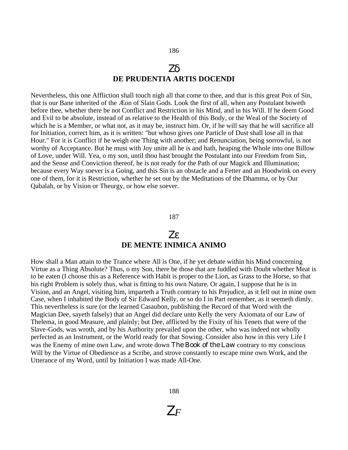# **Zd DE PRUDENTIA ARTIS DOCENDI**

Nevertheless, this one Affliction shall touch nigh all that come to thee, and that is this great Pox of Sin, that is our Bane inherited of the Æon of Slain Gods. Look the first of all, when any Postulant boweth before thee, whether there be not Conflict and Restriction in his Mind, and in his Will. If he deem Good and Evil to be absolute, instead of as relative to the Health of this Body, or the Weal of the Society of which he is a Member, or what not, as it may be, instruct him. Or, if he will say that he will sacrifice all for Initiation, correct him, as it is written: "but whoso gives one Particle of Dust shall lose all in that Hour." For it is Conflict if he weigh one Thing with another; and Renunciation, being sorrowful, is not worthy of Acceptance. But he must with Joy unite all he is and hath, heaping the Whole into one Billow of Love, under Will. Yea, o my son, until thou hast brought the Postulant into our Freedom from Sin, and the Sense and Conviction thereof, he is not ready for the Path of our Magick and Illumination; because every Way soever is a Going, and this Sin is an obstacle and a Fetter and an Hoodwink on every one of them, for it is Restriction, whether he set out by the Meditations of the Dhamma, or by Our Qabalah, or by Vision or Theurgy, or how else soever.

#### 187

### **Ze DE MENTE INIMICA ANIMO**

How shall a Man attain to the Trance where All is One, if he yet debate within his Mind concerning Virtue as a Thing Absolute? Thus, o my Son, there be those that are fuddled with Doubt whether Meat is to be eaten (I choose this as a Reference with Habit is proper to the Lion, as Grass to the Horse, so that his right Problem is solely thus, what is fitting to his own Nature. Or again, I suppose that he is in Vision, and an Angel, visiting him, imparteth a Truth contrary to his Prejudice, as it fell out in mine own Case, when I inhabited the Body of Sir Edward Kelly, or so do I in Part remember, as it seemeth dimly. This nevertheless is sure (or the learned Casaubon, publishing the Record of that Word with the Magician Dee, sayeth falsely) that an Angel did declare unto Kelly the very Axiomata of our Law of Thelema, in good Measure, and plainly; but Dee, afflicted by the Fixity of his Tenets that were of the Slave-Gods, was wroth, and by his Authority prevailed upon the other, who was indeed not wholly perfected as an Instrument, or the World ready for that Sowing. Consider also how in this very Life I was the Enemy of mine own Law, and wrote down *The Book of the Law* contrary to my conscious Will by the Virtue of Obedience as a Scribe, and strove constantly to escape mine own Work, and the Utterance of my Word, until by Initiation I was made All-One.

# **Z***F*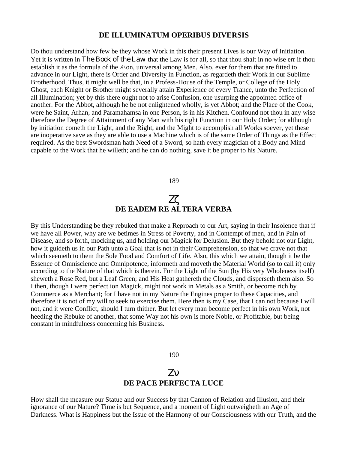### **DE ILLUMINATUM OPERIBUS DIVERSIS**

Do thou understand how few be they whose Work in this their present Lives is our Way of Initiation. Yet it is written in *The Book of the Law* that the Law is for all, so that thou shalt in no wise err if thou establish it as the formula of the Æon, universal among Men. Also, ever for them that are fitted to advance in our Light, there is Order and Diversity in Function, as regardeth their Work in our Sublime Brotherhood, Thus, it might well be that, in a Profess-House of the Temple, or College of the Holy Ghost, each Knight or Brother might severally attain Experience of every Trance, unto the Perfection of all Illumination; yet by this there ought not to arise Confusion, one usurping the appointed office of another. For the Abbot, although he be not enlightened wholly, is yet Abbot; and the Place of the Cook, were he Saint, Arhan, and Paramahamsa in one Person, is in his Kitchen. Confound not thou in any wise therefore the Degree of Attainment of any Man with his right Function in our Holy Order; for although by initiation cometh the Light, and the Right, and the Might to accomplish all Works soever, yet these are inoperative save as they are able to use a Machine which is of the same Order of Things as the Effect required. As the best Swordsman hath Need of a Sword, so hath every magician of a Body and Mind capable to the Work that he willeth; and he can do nothing, save it be proper to his Nature.

#### 189

### **Zz DE EADEM RE ALTERA VERBA**

By this Understanding be they rebuked that make a Reproach to our Art, saying in their Insolence that if we have all Power, why are we betimes in Stress of Poverty, and in Contempt of men, and in Pain of Disease, and so forth, mocking us, and holding our Magick for Delusion. But they behold not our Light, how it guideth us in our Path unto a Goal that is not in their Comprehension, so that we crave not that which seemeth to them the Sole Food and Comfort of Life. Also, this which we attain, though it be the Essence of Omniscience and Omnipotence, informeth and moveth the Material World (so to call it) only according to the Nature of that which is therein. For the Light of the Sun (by His very Wholeness itself) sheweth a Rose Red, but a Leaf Green; and His Heat gathereth the Clouds, and disperseth them also. So I then, though I were perfect ion Magick, might not work in Metals as a Smith, or become rich by Commerce as a Merchant; for I have not in my Nature the Engines proper to these Capacities, and therefore it is not of my will to seek to exercise them. Here then is my Case, that I can not because I will not, and it were Conflict, should I turn thither. But let every man become perfect in his own Work, not heeding the Rebuke of another, that some Way not his own is more Noble, or Profitable, but being constant in mindfulness concerning his Business.

#### 190

### **Zn DE PACE PERFECTA LUCE**

How shall the measure our Statue and our Success by that Cannon of Relation and Illusion, and their ignorance of our Nature? Time is but Sequence, and a moment of Light outweigheth an Age of Darkness. What is Happiness but the Issue of the Harmony of our Consciousness with our Truth, and the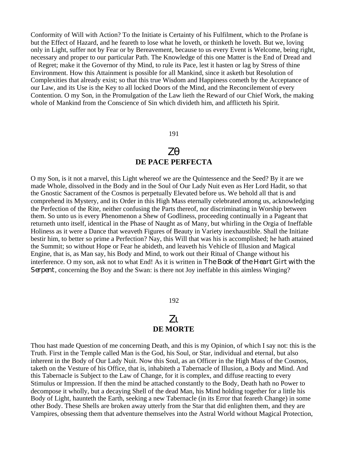Conformity of Will with Action? To the Initiate is Certainty of his Fulfilment, which to the Profane is but the Effect of Hazard, and he feareth to lose what he loveth, or thinketh he loveth. But we, loving only in Light, suffer not by Fear or by Bereavement, because to us every Event is Welcome, being right, necessary and proper to our particular Path. The Knowledge of this one Matter is the End of Dread and of Regret; make it the Governor of thy Mind, to rule its Pace, lest it hasten or lag by Stress of thine Environment. How this Attainment is possible for all Mankind, since it asketh but Resolution of Complexities that already exist; so that this true Wisdom and Happiness cometh by the Acceptance of our Law, and its Use is the Key to all locked Doors of the Mind, and the Reconcilement of every Contention. O my Son, in the Promulgation of the Law lieth the Reward of our Chief Work, the making whole of Mankind from the Conscience of Sin which divideth him, and afflicteth his Spirit.

#### 191

### **Zq DE PACE PERFECTA**

O my Son, is it not a marvel, this Light whereof we are the Quintessence and the Seed? By it are we made Whole, dissolved in the Body and in the Soul of Our Lady Nuit even as Her Lord Hadit, so that the Gnostic Sacrament of the Cosmos is perpetually Elevated before us. We behold all that is and comprehend its Mystery, and its Order in this High Mass eternally celebrated among us, acknowledging the Perfection of the Rite, neither confusing the Parts thereof, nor discriminating in Worship between them. So unto us is every Phenomenon a Shew of Godliness, proceeding continually in a Pageant that returneth unto itself, identical in the Phase of Naught as of Many, but whirling in the Orgia of Ineffable Holiness as it were a Dance that weaveth Figures of Beauty in Variety inexhaustible. Shall the Initiate bestir him, to better so prime a Perfection? Nay, this Will that was his is accomplished; he hath attained the Summit; so without Hope or Fear he abideth, and leaveth his Vehicle of Illusion and Magical Engine, that is, as Man say, his Body and Mind, to work out their Ritual of Change without his interference. O my son, ask not to what End! As it is written in *The Book of the Heart Girt with the Serpent*, concerning the Boy and the Swan: is there not Joy ineffable in this aimless Winging?

#### 192

### **Zi DE MORTE**

Thou hast made Question of me concerning Death, and this is my Opinion, of which I say not: this is the Truth. First in the Temple called Man is the God, his Soul, or Star, individual and eternal, but also inherent in the Body of Our Lady Nuit. Now this Soul, as an Officer in the High Mass of the Cosmos, taketh on the Vesture of his Office, that is, inhabiteth a Tabernacle of Illusion, a Body and Mind. And this Tabernacle is Subject to the Law of Change, for it is complex, and diffuse reacting to every Stimulus or Impression. If then the mind be attached constantly to the Body, Death hath no Power to decompose it wholly, but a decaying Shell of the dead Man, his Mind holding together for a little his Body of Light, haunteth the Earth, seeking a new Tabernacle (in its Error that feareth Change) in some other Body. These Shells are broken away utterly from the Star that did enlighten them, and they are Vampires, obsessing them that adventure themselves into the Astral World without Magical Protection,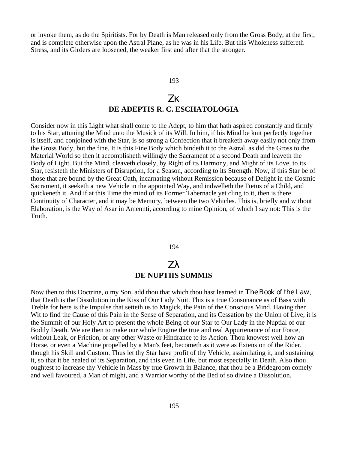or invoke them, as do the Spiritists. For by Death is Man released only from the Gross Body, at the first, and is complete otherwise upon the Astral Plane, as he was in his Life. But this Wholeness suffereth Stress, and its Girders are loosened, the weaker first and after that the stronger.

#### 193

## **Zk DE ADEPTIS R. C. ESCHATOLOGIA**

Consider now in this Light what shall come to the Adept, to him that hath aspired constantly and firmly to his Star, attuning the Mind unto the Musick of its Will. In him, if his Mind be knit perfectly together is itself, and conjoined with the Star, is so strong a Confection that it breaketh away easily not only from the Gross Body, but the fine. It is this Fine Body which bindeth it to the Astral, as did the Gross to the Material World so then it accomplisheth willingly the Sacrament of a second Death and leaveth the Body of Light. But the Mind, cleaveth closely, by Right of its Harmony, and Might of its Love, to its Star, resisteth the Ministers of Disruption, for a Season, according to its Strength. Now, if this Star be of those that are bound by the Great Oath, incarnating without Remission because of Delight in the Cosmic Sacrament, it seeketh a new Vehicle in the appointed Way, and indwelleth the Fœtus of a Child, and quickeneth it. And if at this Time the mind of its Former Tabernacle yet cling to it, then is there Continuity of Character, and it may be Memory, between the two Vehicles. This is, briefly and without Elaboration, is the Way of Asar in Amennti, according to mine Opinion, of which I say not: This is the Truth.

#### 194

### **Zl DE NUPTIIS SUMMIS**

Now then to this Doctrine, o my Son, add thou that which thou hast learned in *The Book of the Law*, that Death is the Dissolution in the Kiss of Our Lady Nuit. This is a true Consonance as of Bass with Treble for here is the Impulse that setteth us to Magick, the Pain of the Conscious Mind. Having then Wit to find the Cause of this Pain in the Sense of Separation, and its Cessation by the Union of Live, it is the Summit of our Holy Art to present the whole Being of our Star to Our Lady in the Nuptial of our Bodily Death. We are then to make our whole Engine the true and real Appurtenance of our Force, without Leak, or Friction, or any other Waste or Hindrance to its Action. Thou knowest well how an Horse, or even a Machine propelled by a Man's feet, becometh as it were as Extension of the Rider, though his Skill and Custom. Thus let thy Star have profit of thy Vehicle, assimilating it, and sustaining it, so that it be healed of its Separation, and this even in Life, but most especially in Death. Also thou oughtest to increase thy Vehicle in Mass by true Growth in Balance, that thou be a Bridegroom comely and well favoured, a Man of might, and a Warrior worthy of the Bed of so divine a Dissolution.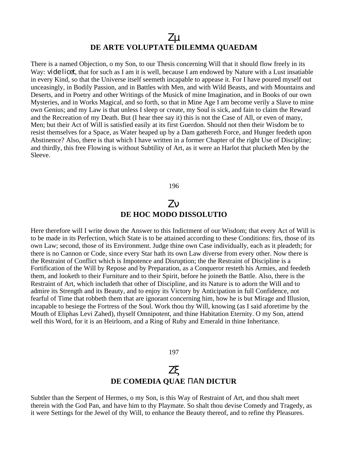### **Zm DE ARTE VOLUPTATE DILEMMA QUAEDAM**

There is a named Objection, o my Son, to our Thesis concerning Will that it should flow freely in its Way: *vide licet*, that for such as I am it is well, because I am endowed by Nature with a Lust insatiable in every Kind, so that the Universe itself seemeth incapable to appease it. For I have poured myself out unceasingly, in Bodily Passion, and in Battles with Men, and with Wild Beasts, and with Mountains and Deserts, and in Poetry and other Writings of the Musick of mine Imagination, and in Books of our own Mysteries, and in Works Magical, and so forth, so that in Mine Age I am become verily a Slave to mine own Genius; and my Law is that unless I sleep or create, my Soul is sick, and fain to claim the Reward and the Recreation of my Death. But (I hear thee say it) this is not the Case of All, or even of many, Men; but their Act of Will is satisfied easily at its first Guerdon. Should not then their Wisdom be to resist themselves for a Space, as Water heaped up by a Dam gathereth Force, and Hunger feedeth upon Abstinence? Also, there is that which I have written in a former Chapter of the right Use of Discipline; and thirdly, this free Flowing is without Subtility of Art, as it were an Harlot that plucketh Men by the Sleeve.

#### 196

### **Zn DE HOC MODO DISSOLUTIO**

Here therefore will I write down the Answer to this Indictment of our Wisdom; that every Act of Will is to be made in its Perfection, which State is to be attained according to these Conditions: firs, those of its own Law; second, those of its Environment. Judge thine own Case individually, each as it pleadeth; for there is no Cannon or Code, since every Star hath its own Law diverse from every other. Now there is the Restraint of Conflict which is Impotence and Disruption; the the Restraint of Discipline is a Fortification of the Will by Repose and by Preparation, as a Conqueror resteth his Armies, and feedeth them, and looketh to their Furniture and to their Spirit, before he joineth the Battle. Also, there is the Restraint of Art, which includeth that other of Discipline, and its Nature is to adorn the Will and to admire its Strength and its Beauty, and to enjoy its Victory by Anticipation in full Confidence, not fearful of Time that robbeth them that are ignorant concerning him, how he is but Mirage and Illusion, incapable to besiege the Fortress of the Soul. Work thou thy Will, knowing (as I said aforetime by the Mouth of Eliphas Levi Zahed), thyself Omnipotent, and thine Habitation Eternity. O my Son, attend well this Word, for it is an Heirloom, and a Ring of Ruby and Emerald in thine Inheritance.

#### 197

### **Zx DE COMEDIA QUAE PAN DICTUR**

Subtler than the Serpent of Hermes, o my Son, is this Way of Restraint of Art, and thou shalt meet therein with the God Pan, and have him to thy Playmate. So shalt thou devise Comedy and Tragedy, as it were Settings for the Jewel of thy Will, to enhance the Beauty thereof, and to refine thy Pleasures.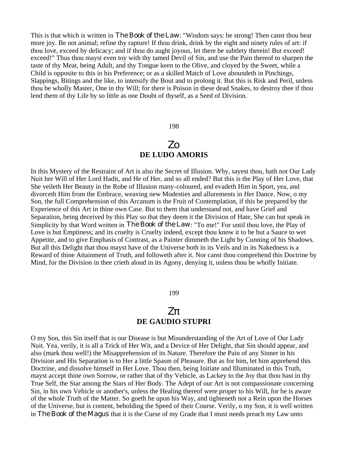This is that which is written in *The Book of the Law*: "Wisdom says: be strong! Then canst thou bear more joy. Be not animal; refine thy rapture! If thou drink, drink by the eight and ninety rules of art: if thou love, exceed by delicacy; and if thou do aught joyous, let there be subtlety therein! But exceed! exceed!" Thus thou mayst even toy with thy tamed Devil of Sin, and use the Pain thereof to sharpen the taste of thy Meat, being Adult, and thy Tongue keen to the Olive, and cloyed by the Sweet, while a Child is opposite to this in his Preference; or as a skilled Match of Love aboundeth in Pinchings, Slappings, Bitings and the like, to intensify the Bout and to prolong it. But this is Risk and Peril, unless thou be wholly Master, One in thy Will; for there is Poison in these dead Snakes, to destroy thee if thou lend them of thy Life by so little as one Doubt of thyself, as a Seed of Division.

#### 198

### **Zo DE LUDO AMORIS**

In this Mystery of the Restraint of Art is also the Secret of Illusion. Why, sayest thou, hath not Our Lady Nuit her Will of Her Lord Hadit, and He of Her, and so all ended? But this is the Play of Her Love, that She veileth Her Beauty in the Robe of Illusion many-coloured, and evadeth Him in Sport, yea, and divorceth Him from the Embrace, weaving new Modesties and allurements in Her Dance. Now, o my Son, the full Comprehension of this Arcanum is the Fruit of Contemplation, if this be prepared by the Experience of this Art in thine own Case. But to them that understand not, and have Grief and Separation, being deceived by this Play so that they deem it the Division of Hate, She can but speak in Simplicity by that Word written in *The Book of the Law*: "To me!" For until thou love, the Play of Love is but Emptiness; and its cruelty is Cruelty indeed, except thou know it to be but a Sauce to wet Appetite, and to give Emphasis of Contrast, as a Painter dimmeth the Light by Cunning of his Shadows. But all this Delight that thou mayst have of the Universe both in its Veils and in its Nakedness is a Reward of thine Attainment of Truth, and followeth after it. Nor canst thou comprehend this Doctrine by Mind, for the Division in thee crieth aloud in its Agony, denying it, unless thou be wholly Initiate.

199

### **Zp DE GAUDIO STUPRI**

O my Son, this Sin itself that is our Disease is but Misunderstanding of the Art of Love of Our Lady Nuit. Yea, verily, it is all a Trick of Her Wit, and a Device of Her Delight, that Sin should appear, and also (mark thou well!) the Misapprehension of its Nature. Therefore the Pain of any Sinner in his Division and His Separation is to Her a little Spasm of Pleasure. But as for him, let him apprehend this Doctrine, and dissolve himself in Her Love. Thou then, being Initiate and Illuminated in this Truth, mayst accept thine own Sorrow, or rather that of thy Vehicle, as Lackey to the Joy that thou hast in thy True Self, the Star among the Stars of Her Body. The Adept of our Art is not compassionate concerning Sin, in his own Vehicle or another's, unless the Healing thereof were proper to his Will, for he is aware of the whole Truth of the Matter. So goeth he upon his Way, and tighteneth not a Rein upon the Horses of the Universe, but is content, beholding the Speed of their Course. Verily, o my Son, it is well written in *The Book of the Magus* that it is the Curse of my Grade that I must needs preach my Law unto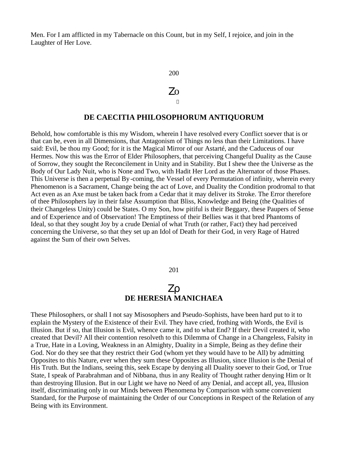Men. For I am afflicted in my Tabernacle on this Count, but in my Self, I rejoice, and join in the Laughter of Her Love.

### 200

### Ζo - 1

### **DE CAECITIA PHILOSOPHORUM ANTIQUORUM**

Behold, how comfortable is this my Wisdom, wherein I have resolved every Conflict soever that is or that can be, even in all Dimensions, that Antagonism of Things no less than their Limitations. I have said: Evil, be thou my Good; for it is the Magical Mirror of our Astarté, and the Caduceus of our Hermes. Now this was the Error of Elder Philosophers, that perceiving Changeful Duality as the Cause of Sorrow, they sought the Reconcilement in Unity and in Stability. But I shew thee the Universe as the Body of Our Lady Nuit, who is None and Two, with Hadit Her Lord as the Alternator of those Phases. This Universe is then a perpetual By-coming, the Vessel of every Permutation of infinity, wherein every Phenomenon is a Sacrament, Change being the act of Love, and Duality the Condition prodromal to that Act even as an Axe must be taken back from a Cedar that it may deliver its Stroke. The Error therefore of thee Philosophers lay in their false Assumption that Bliss, Knowledge and Being (the Qualities of their Changeless Unity) could be States. O my Son, how pitiful is their Beggary, these Paupers of Sense and of Experience and of Observation! The Emptiness of their Bellies was it that bred Phantoms of Ideal, so that they sought Joy by a crude Denial of what Truth (or rather, Fact) they had perceived concerning the Universe, so that they set up an Idol of Death for their God, in very Rage of Hatred against the Sum of their own Selves.

#### 201

### Ζρ **DE HERESIA MANICHAEA**

These Philosophers, or shall I not say Misosophers and Pseudo-Sophists, have been hard put to it to explain the Mystery of the Existence of their Evil. They have cried, frothing with Words, the Evil is Illusion. But if so, that Illusion is Evil, whence came it, and to what End? If their Devil created it, who created that Devil? All their contention resolveth to this Dilemma of Change in a Changeless, Falsity in a True, Hate in a Loving, Weakness in an Almighty, Duality in a Simple, Being as they define their God. Nor do they see that they restrict their God (whom yet they would have to be All) by admitting Opposites to this Nature, ever when they sum these Opposites as Illusion, since Illusion is the Denial of His Truth. But the Indians, seeing this, seek Escape by denying all Duality soever to their God, or True State, I speak of Parabrahman and of Nibbana, thus in any Reality of Thought rather denying Him or It than destroying Illusion. But in our Light we have no Need of any Denial, and accept all, yea, Illusion itself, discriminating only in our Minds between Phenomena by Comparison with some convenient Standard, for the Purpose of maintaining the Order of our Conceptions in Respect of the Relation of any Being with its Environment.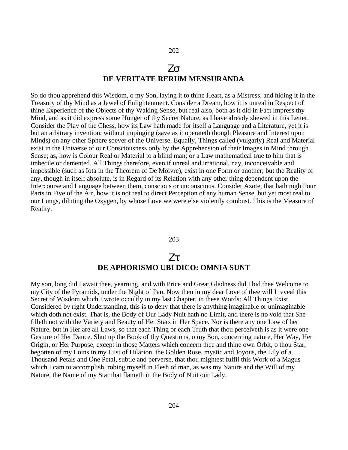# **Zs DE VERITATE RERUM MENSURANDA**

202

So do thou apprehend this Wisdom, o my Son, laying it to thine Heart, as a Mistress, and hiding it in the Treasury of thy Mind as a Jewel of Enlightenment. Consider a Dream, how it is unreal in Respect of thine Experience of the Objects of thy Waking Sense, but real also, both as it did in Fact impress thy Mind, and as it did express some Hunger of thy Secret Nature, as I have already shewed in this Letter. Consider the Play of the Chess, how its Law hath made for itself a Language and a Literature, yet it is but an arbitrary invention; without impinging (save as it operateth though Pleasure and Interest upon Minds) on any other Sphere soever of the Universe. Equally, Things called (vulgarly) Real and Material exist in the Universe of our Consciousness only by the Apprehension of their Images in Mind through Sense; as, how is Colour Real or Material to a blind man; or a Law mathematical true to him that is imbecile or demented. All Things therefore, even if unreal and irrational, nay, inconceivable and impossible (such as Iota in the Theorem of De Moivre), exist in one Form or another; but the Reality of any, though in itself absolute, is in Regard of its Relation with any other thing dependent upon the Intercourse and Language between them, conscious or unconscious. Consider Azote, that hath nigh Four Parts in Five of the Air, how it is not real to direct Perception of any human Sense, but yet most real to our Lungs, diluting the Oxygen, by whose Love we were else violently combust. This is the Measure of Reality.

#### 203

### **Zt DE APHORISMO UBI DICO: OMNIA SUNT**

My son, long did I await thee, yearning, and with Price and Great Gladness did I bid thee Welcome to my City of the Pyramids, under the Night of Pan. Now then in my dear Love of thee will I reveal this Secret of Wisdom which I wrote occultly in my last Chapter, in these Words: All Things Exist. Considered by right Understanding, this is to deny that there is anything imaginable or unimaginable which doth not exist. That is, the Body of Our Lady Nuit hath no Limit, and there is no void that She filleth not with the Variety and Beauty of Her Stars in Her Space. Nor is there any one Law of her Nature, but in Her are all Laws, so that each Thing or each Truth that thou perceiveth is as it were one Gesture of Her Dance. Shut up the Book of thy Questions, o my Son, concerning nature, Her Way, Her Origin, or Her Purpose, except in those Matters which concern thee and thine own Orbit, o thou Star, begotten of my Loins in my Lust of Hilarion, the Golden Rose, mystic and Joyous, the Lily of a Thousand Petals and One Petal, subtle and perverse, that thou mightest fulfil this Work of a Magus which I cam to accomplish, robing myself in Flesh of man, as was my Nature and the Will of my Nature, the Name of my Star that flameth in the Body of Nuit our Lady.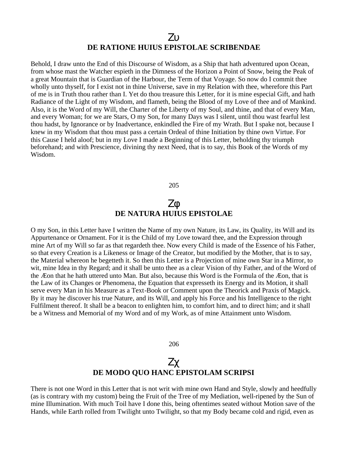### **Zu DE RATIONE HUIUS EPISTOLAE SCRIBENDAE**

Behold, I draw unto the End of this Discourse of Wisdom, as a Ship that hath adventured upon Ocean, from whose mast the Watcher espieth in the Dimness of the Horizon a Point of Snow, being the Peak of a great Mountain that is Guardian of the Harbour, the Term of that Voyage. So now do I commit thee wholly unto thyself, for I exist not in thine Universe, save in my Relation with thee, wherefore this Part of me is in Truth thou rather than I. Yet do thou treasure this Letter, for it is mine especial Gift, and hath Radiance of the Light of my Wisdom, and flameth, being the Blood of my Love of thee and of Mankind. Also, it is the Word of my Will, the Charter of the Liberty of my Soul, and thine, and that of every Man, and every Woman; for we are Stars, O my Son, for many Days was I silent, until thou wast fearful lest thou hadst, by Ignorance or by Inadvertance, enkindled the Fire of my Wrath. But I spake not, because I knew in my Wisdom that thou must pass a certain Ordeal of thine Initiation by thine own Virtue. For this Cause I held aloof; but in my Love I made a Beginning of this Letter, beholding thy triumph beforehand; and with Prescience, divining thy next Need, that is to say, this Book of the Words of my Wisdom.

#### 205

### **Zf DE NATURA HUIUS EPISTOLAE**

O my Son, in this Letter have I written the Name of my own Nature, its Law, its Quality, its Will and its Appurtenance or Ornament. For it is the Child of my Love toward thee, and the Expression through mine Art of my Will so far as that regardeth thee. Now every Child is made of the Essence of his Father, so that every Creation is a Likeness or Image of the Creator, but modified by the Mother, that is to say, the Material whereon he begetteth it. So then this Letter is a Projection of mine own Star in a Mirror, to wit, mine Idea in thy Regard; and it shall be unto thee as a clear Vision of thy Father, and of the Word of the Æon that he hath uttered unto Man. But also, because this Word is the Formula of the Æon, that is the Law of its Changes or Phenomena, the Equation that expresseth its Energy and its Motion, it shall serve every Man in his Measure as a Text-Book or Comment upon the Theorick and Praxis of Magick. By it may he discover his true Nature, and its Will, and apply his Force and his Intelligence to the right Fulfilment thereof. It shall be a beacon to enlighten him, to comfort him, and to direct him; and it shall be a Witness and Memorial of my Word and of my Work, as of mine Attainment unto Wisdom.

#### 206

### **Zc DE MODO QUO HANC EPISTOLAM SCRIPSI**

There is not one Word in this Letter that is not writ with mine own Hand and Style, slowly and heedfully (as is contrary with my custom) being the Fruit of the Tree of my Mediation, well-ripened by the Sun of mine Illumination. With much Toil have I done this, being oftentimes seated without Motion save of the Hands, while Earth rolled from Twilight unto Twilight, so that my Body became cold and rigid, even as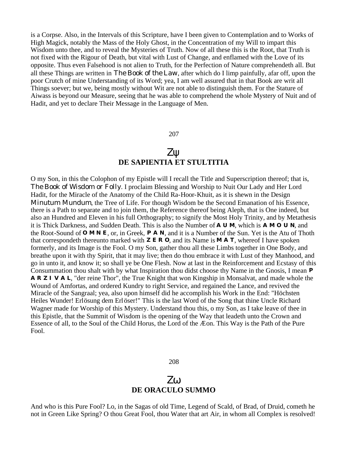is a Corpse. Also, in the Intervals of this Scripture, have I been given to Contemplation and to Works of High Magick, notably the Mass of the Holy Ghost, in the Concentration of my Will to impart this Wisdom unto thee, and to reveal the Mysteries of Truth. Now of all these this is the Root, that Truth is not fixed with the Rigour of Death, but vital with Lust of Change, and enflamed with the Love of its opposite. Thus even Falsehood is not alien to Truth, for the Perfection of Nature comprehendeth all. But all these Things are written in *The Book of the Law*, after which do I limp painfully, afar off, upon the poor Crutch of mine Understanding of its Word; yea, I am well assured that in that Book are writ all Things soever; but we, being mostly without Wit are not able to distinguish them. For the Stature of Aiwass is beyond our Measure, seeing that he was able to comprehend the whole Mystery of Nuit and of Hadit, and yet to declare Their Message in the Language of Men.

#### 207

### **Zy DE SAPIENTIA ET STULTITIA**

O my Son, in this the Colophon of my Epistle will I recall the Title and Superscription thereof; that is, *The Book of Wisdom or Folly*. I proclaim Blessing and Worship to Nuit Our Lady and Her Lord Hadit, for the Miracle of the Anatomy of the Child Ra-Hoor-Khuit, as it is shewn in the Design *Minutum Mundum*, the Tree of Life. For though Wisdom be the Second Emanation of his Essence, there is a Path to separate and to join them, the Reference thereof being Aleph, that is One indeed, but also an Hundred and Eleven in his full Orthography; to signify the Most Holy Trinity, and by Metathesis it is Thick Darkness, and Sudden Death. This is also the Number of **A U M**, which is **A M O U N**, and the Root-Sound of **O M N E**, or, in Greek, **P A N**, and it is a Number of the Sun. Yet is the Atu of Thoth that correspondeth thereunto marked with **Z E R O**, and its Name is **M A T**, whereof I have spoken formerly, and its Image is the Fool. O my Son, gather thou all these Limbs together in One Body, and breathe upon it with thy Spirit, that it may live; then do thou embrace it with Lust of they Manhood, and go in unto it, and know it; so shall ye be One Flesh. Now at last in the Reinforcement and Ecstasy of this Consummation thou shalt with by what Inspiration thou didst choose thy Name in the Gnosis, I mean **P A R Z I V A L**, "der reine Thor", the True Knight that won Kingship in Monsalvat, and made whole the Wound of Amfortas, and ordered Kundry to right Service, and regained the Lance, and revived the Miracle of the Sangraal; yea, also upon himself did he accomplish his Work in the End: "Höchsten Heiles Wunder! Erlösung dem Erlöser!" This is the last Word of the Song that thine Uncle Richard Wagner made for Worship of this Mystery. Understand thou this, o my Son, as I take leave of thee in this Epistle, that the Summit of Wisdom is the opening of the Way that leadeth unto the Crown and Essence of all, to the Soul of the Child Horus, the Lord of the Æon. This Way is the Path of the Pure Fool.

208

### **Zw DE ORACULO SUMMO**

And who is this Pure Fool? Lo, in the Sagas of old Time, Legend of Scald, of Brad, of Druid, cometh he not in Green Like Spring? O thou Great Fool, thou Water that art Air, in whom all Complex is resolved!